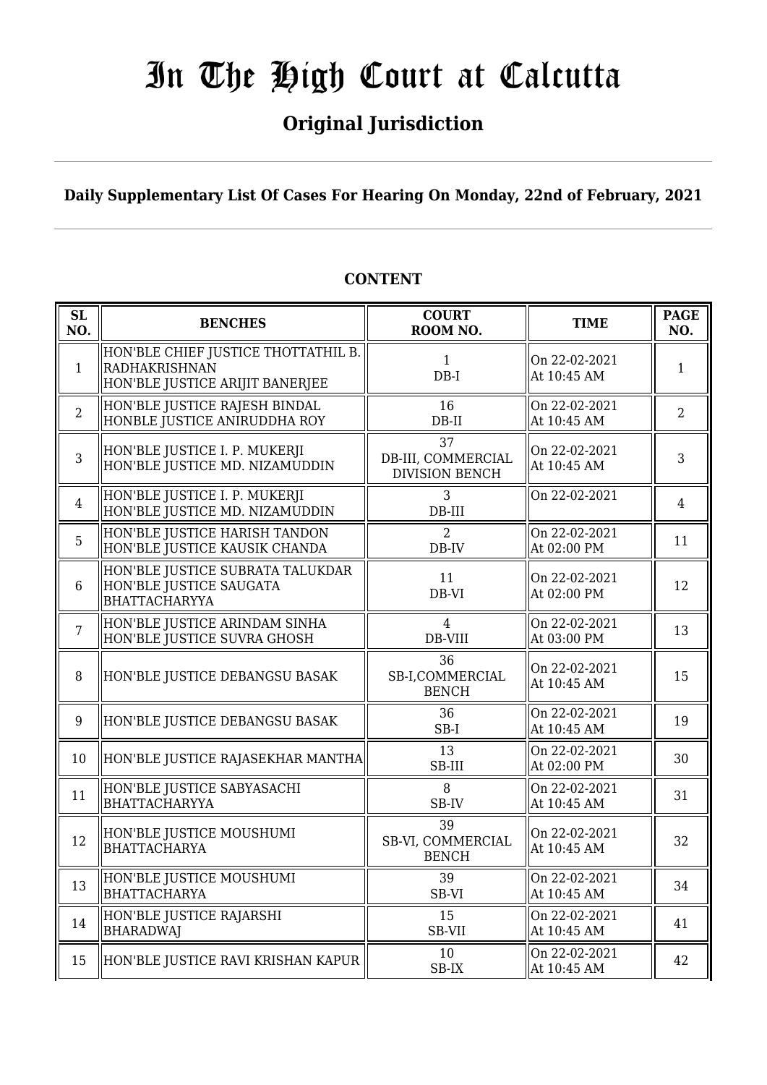## **Original Jurisdiction**

**Daily Supplementary List Of Cases For Hearing On Monday, 22nd of February, 2021**

#### **SL SL BENCHES COURT**<br> **NO. BENCHES COURT ROOM NO. TIME PAGE NO.** 1 HON'BLE CHIEF JUSTICE THOTTATHIL B. RADHAKRISHNAN HON'BLE JUSTICE ARIJIT BANERJEE 1 DB-I On 22-02-2021  $\alpha$  at 10:45 AM 1 2 HON'BLE JUSTICE RAJESH BINDAL HONBLE JUSTICE ANIRUDDHA ROY 16 DB-II On 22-02-2021  $\begin{array}{|c|c|c|c|c|}\n\hline\nAt 10:45 AM & & 2\n\end{array}$ 3 HON'BLE JUSTICE I. P. MUKERJI HON'BLE JUSTICE MD. NIZAMUDDIN 37 DB-III, COMMERCIAL DIVISION BENCH On 22-02-2021  $\begin{array}{|c|c|c|c|c|c|} \hline \text{Out 22-02-2021} & & 3 \\ \hline \text{At 10:45 AM} & & \end{array}$ 4 HON'BLE JUSTICE I. P. MUKERJI HON'BLE JUSTICE MD. NIZAMUDDIN 3 DB-III On 22-02-2021  $\parallel$  4 5 HON'BLE JUSTICE HARISH TANDON HON'BLE JUSTICE KAUSIK CHANDA  $\overline{2}$ DB-IV On 22-02-2021 At 02:00 PM  $\begin{array}{|l|} \hline 11 \end{array}$ 6 HON'BLE JUSTICE SUBRATA TALUKDAR HON'BLE JUSTICE SAUGATA BHATTACHARYYA 11 DB-VI On 22-02-2021  $\begin{array}{|c|c|c|c|c|c|} \hline \text{Out 22-02-2021} & & 12 \\ \hline \text{At 02:00 PM} & & 12 \end{array}$ 7 HON'BLE JUSTICE ARINDAM SINHA HON'BLE JUSTICE SUVRA GHOSH  $\Delta$ DB-VIII On 22-02-2021  $\begin{array}{|c|c|c|c|c|} \hline \text{Out 22-02-2021} & & 13 \\ \text{At 03:00 PM} & & 13 \\\hline \end{array}$ 8 HON'BLE JUSTICE DEBANGSU BASAK 36 SB-I,COMMERCIAL BENCH On 22-02-2021  $\begin{array}{|c|c|c|c|c|} \hline \text{Out 22-02-2021} & & 15 \\ \hline \text{At 10:45 AM} & & 15 \\\hline \end{array}$ 9 HON'BLE JUSTICE DEBANGSU BASAK  $\parallel$  36 SB-I On 22-02-2021  $\begin{array}{|c|c|c|c|c|c|c|} \hline \text{Un } 22\text{-}02\text{-}2021 & & & 19 \\ \hline \text{At 10:45 AM} & & & 19 \\\hline \end{array}$ 10  $\|$ HON'BLE JUSTICE RAJASEKHAR MANTHA $\|$  13 SB-III On 22-02-2021  $\begin{array}{|c|c|c|c|c|}\n\hline\n\text{At 02:00 PM} & & 30\n\end{array}$ 11 HON'BLE JUSTICE SABYASACHI BHATTACHARYYA 8 SB-IV On 22-02-2021  $\begin{array}{|c|c|c|c|c|} \hline \text{Out 22-02-2021} & & 31 \\ \text{At 10:45 AM} & & 31 \end{array}$ 12 HON'BLE JUSTICE MOUSHUMI BHATTACHARYA 39 SB-VI, COMMERCIAL **BENCH** On 22-02-2021  $\begin{array}{|c|c|c|c|c|}\n\hline\n\text{At 10:45 AM} & & 32\n\end{array}$  $\parallel$  HON'BLE JUSTICE MOUSHUMI BHATTACHARYA 39 SB-VI On 22-02-2021  $\begin{array}{|c|c|c|c|c|c|} \hline \text{Out 22-02-2021} & & 34 \\ \text{At 10:45 AM} & & 34 \\\hline \end{array}$ 14 HON'BLE JUSTICE RAJARSHI BHARADWAJ 15 SB-VII On 22-02-2021  $\begin{array}{|c|c|c|c|}\n\hline\n\text{At 10:45 AM} & & 41\n\end{array}$ 15 HON'BLE JUSTICE RAVI KRISHAN KAPUR  $\parallel$  10 SB-IX On 22-02-2021  $\left\| \begin{array}{c} 42 \\ 42 \end{array} \right\|$  42

#### **CONTENT**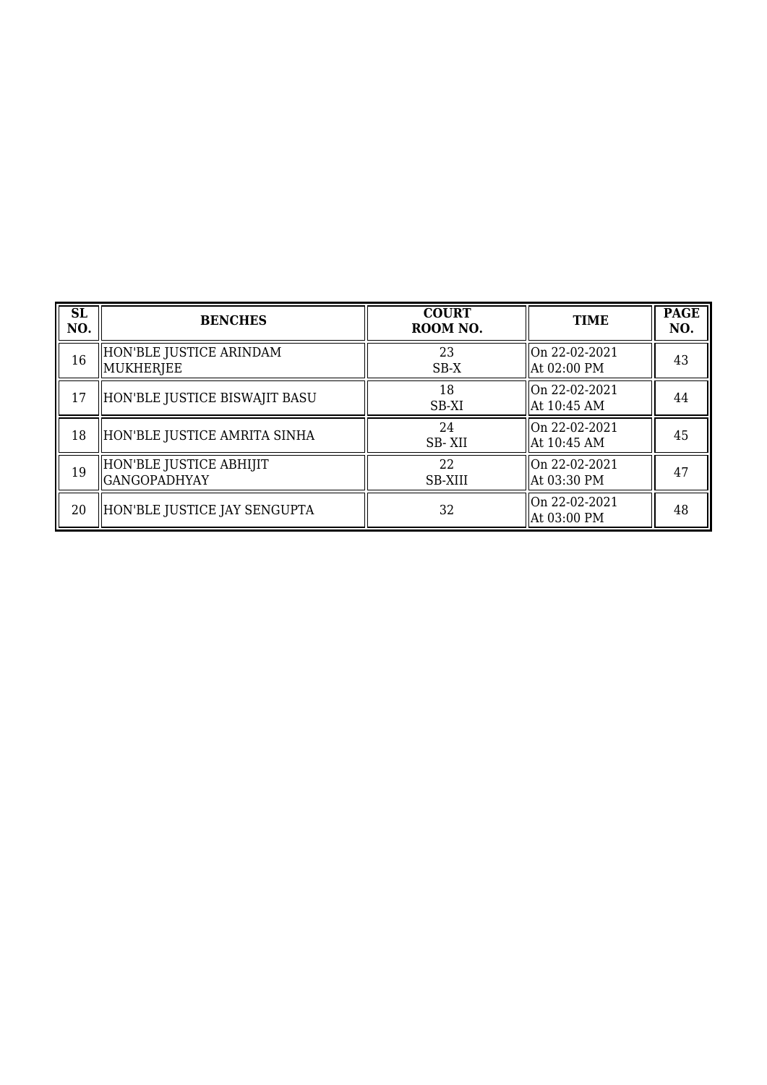| SL<br>NO. | <b>BENCHES</b>                                 | <b>COURT</b><br>ROOM NO. | <b>TIME</b>                     | <b>PAGE</b><br>NO. |
|-----------|------------------------------------------------|--------------------------|---------------------------------|--------------------|
| 16        | HON'BLE JUSTICE ARINDAM<br>MUKHERJEE           | 23<br>$SB-X$             | On 22-02-2021<br>At 02:00 PM    | 43                 |
| 17        | HON'BLE JUSTICE BISWAJIT BASU                  | 18<br>SB-XI              | On 22-02-2021<br> At 10:45 AM   | 44                 |
| 18        | HON'BLE JUSTICE AMRITA SINHA                   | 24<br>SB-XII             | On 22-02-2021<br> At 10:45 AM   | 45                 |
| 19        | HON'BLE JUSTICE ABHIJIT<br><b>GANGOPADHYAY</b> | 22<br><b>SB-XIII</b>     | On 22-02-2021<br>At 03:30 PM    | 47                 |
| 20        | HON'BLE JUSTICE JAY SENGUPTA                   | 32                       | $ On 22-02-2021$<br>At 03:00 PM | 48                 |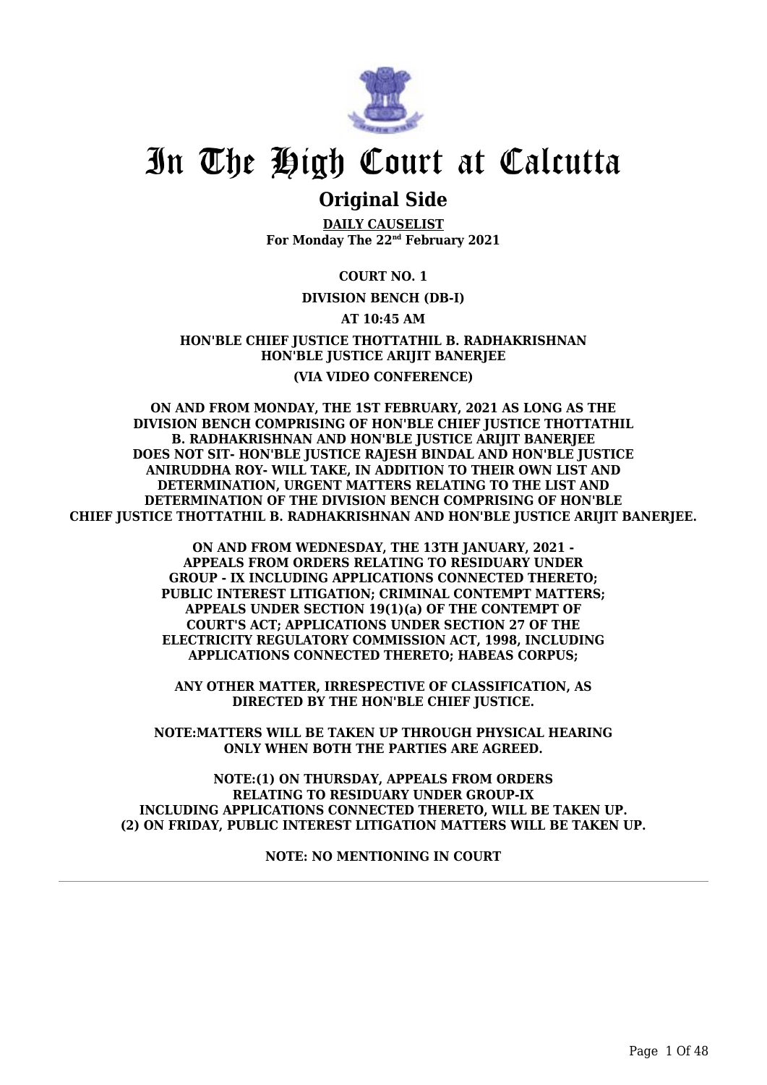

### **Original Side**

**DAILY CAUSELIST For Monday The 22nd February 2021**

**COURT NO. 1**

#### **DIVISION BENCH (DB-I)**

#### **AT 10:45 AM**

**HON'BLE CHIEF JUSTICE THOTTATHIL B. RADHAKRISHNAN HON'BLE JUSTICE ARIJIT BANERJEE (VIA VIDEO CONFERENCE)**

**ON AND FROM MONDAY, THE 1ST FEBRUARY, 2021 AS LONG AS THE DIVISION BENCH COMPRISING OF HON'BLE CHIEF JUSTICE THOTTATHIL B. RADHAKRISHNAN AND HON'BLE JUSTICE ARIJIT BANERJEE DOES NOT SIT- HON'BLE JUSTICE RAJESH BINDAL AND HON'BLE JUSTICE ANIRUDDHA ROY- WILL TAKE, IN ADDITION TO THEIR OWN LIST AND DETERMINATION, URGENT MATTERS RELATING TO THE LIST AND DETERMINATION OF THE DIVISION BENCH COMPRISING OF HON'BLE CHIEF JUSTICE THOTTATHIL B. RADHAKRISHNAN AND HON'BLE JUSTICE ARIJIT BANERJEE.**

> **ON AND FROM WEDNESDAY, THE 13TH JANUARY, 2021 - APPEALS FROM ORDERS RELATING TO RESIDUARY UNDER GROUP - IX INCLUDING APPLICATIONS CONNECTED THERETO; PUBLIC INTEREST LITIGATION; CRIMINAL CONTEMPT MATTERS; APPEALS UNDER SECTION 19(1)(a) OF THE CONTEMPT OF COURT'S ACT; APPLICATIONS UNDER SECTION 27 OF THE ELECTRICITY REGULATORY COMMISSION ACT, 1998, INCLUDING APPLICATIONS CONNECTED THERETO; HABEAS CORPUS;**

**ANY OTHER MATTER, IRRESPECTIVE OF CLASSIFICATION, AS DIRECTED BY THE HON'BLE CHIEF JUSTICE.**

**NOTE:MATTERS WILL BE TAKEN UP THROUGH PHYSICAL HEARING ONLY WHEN BOTH THE PARTIES ARE AGREED.**

**NOTE:(1) ON THURSDAY, APPEALS FROM ORDERS RELATING TO RESIDUARY UNDER GROUP-IX INCLUDING APPLICATIONS CONNECTED THERETO, WILL BE TAKEN UP. (2) ON FRIDAY, PUBLIC INTEREST LITIGATION MATTERS WILL BE TAKEN UP.**

**NOTE: NO MENTIONING IN COURT**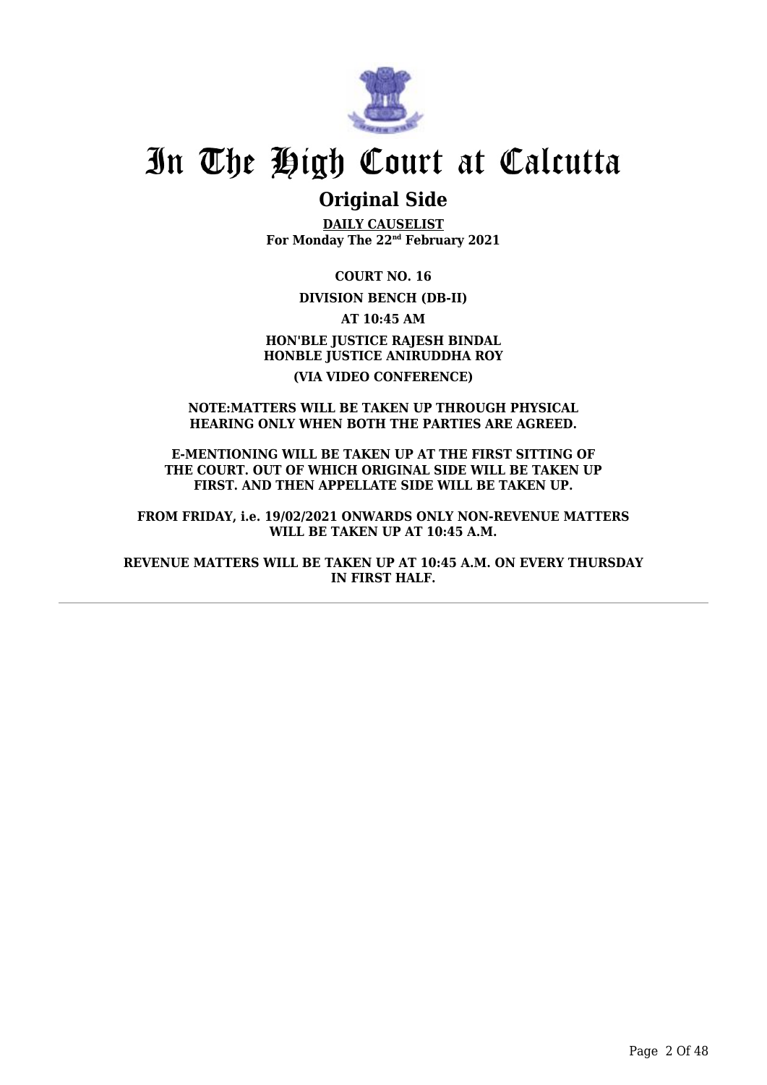

### **Original Side**

**DAILY CAUSELIST For Monday The 22nd February 2021**

**COURT NO. 16**

**DIVISION BENCH (DB-II)**

**AT 10:45 AM HON'BLE JUSTICE RAJESH BINDAL HONBLE JUSTICE ANIRUDDHA ROY (VIA VIDEO CONFERENCE)**

#### **NOTE:MATTERS WILL BE TAKEN UP THROUGH PHYSICAL HEARING ONLY WHEN BOTH THE PARTIES ARE AGREED.**

**E-MENTIONING WILL BE TAKEN UP AT THE FIRST SITTING OF THE COURT. OUT OF WHICH ORIGINAL SIDE WILL BE TAKEN UP FIRST. AND THEN APPELLATE SIDE WILL BE TAKEN UP.**

**FROM FRIDAY, i.e. 19/02/2021 ONWARDS ONLY NON-REVENUE MATTERS WILL BE TAKEN UP AT 10:45 A.M.**

**REVENUE MATTERS WILL BE TAKEN UP AT 10:45 A.M. ON EVERY THURSDAY IN FIRST HALF.**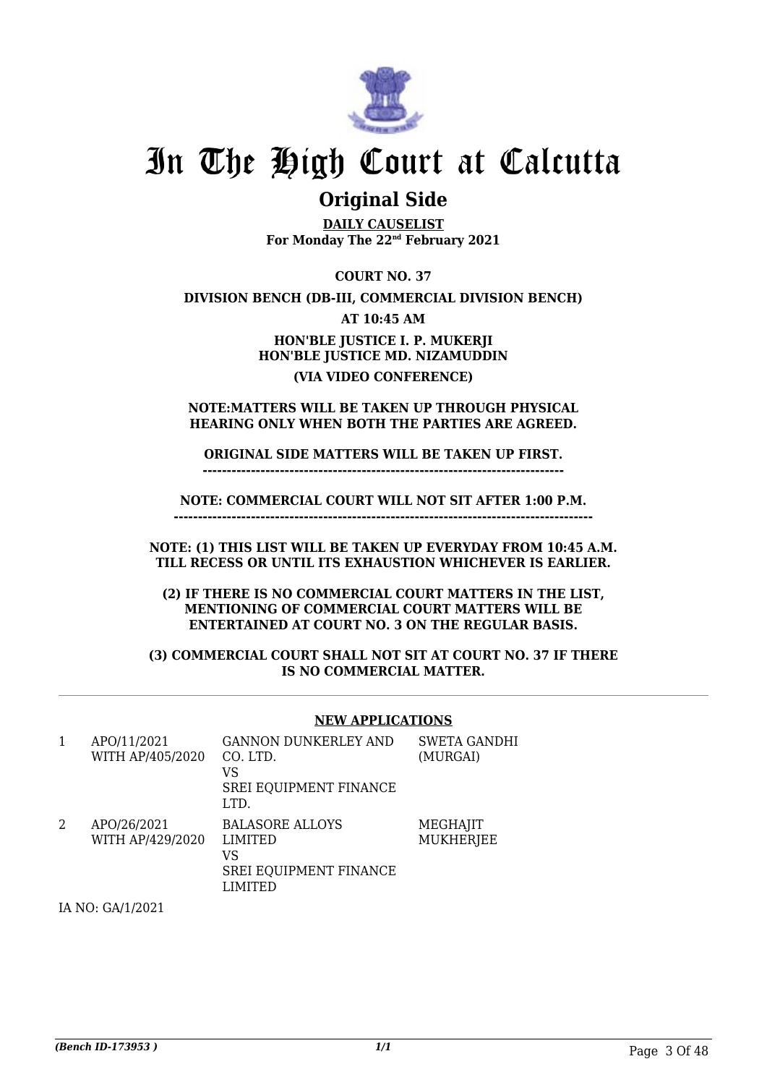

### **Original Side**

**DAILY CAUSELIST For Monday The 22nd February 2021**

**COURT NO. 37**

**DIVISION BENCH (DB-III, COMMERCIAL DIVISION BENCH)**

**AT 10:45 AM**

**HON'BLE JUSTICE I. P. MUKERJI HON'BLE JUSTICE MD. NIZAMUDDIN (VIA VIDEO CONFERENCE)**

**NOTE:MATTERS WILL BE TAKEN UP THROUGH PHYSICAL HEARING ONLY WHEN BOTH THE PARTIES ARE AGREED.**

**ORIGINAL SIDE MATTERS WILL BE TAKEN UP FIRST. ---------------------------------------------------------------------------**

**NOTE: COMMERCIAL COURT WILL NOT SIT AFTER 1:00 P.M. ---------------------------------------------------------------------------------------**

**NOTE: (1) THIS LIST WILL BE TAKEN UP EVERYDAY FROM 10:45 A.M. TILL RECESS OR UNTIL ITS EXHAUSTION WHICHEVER IS EARLIER.**

**(2) IF THERE IS NO COMMERCIAL COURT MATTERS IN THE LIST, MENTIONING OF COMMERCIAL COURT MATTERS WILL BE ENTERTAINED AT COURT NO. 3 ON THE REGULAR BASIS.**

**(3) COMMERCIAL COURT SHALL NOT SIT AT COURT NO. 37 IF THERE IS NO COMMERCIAL MATTER.**

#### **NEW APPLICATIONS**

| 1 | APO/11/2021<br>WITH AP/405/2020 | <b>GANNON DUNKERLEY AND</b><br>CO. LTD.<br>VS<br>SREI EQUIPMENT FINANCE<br>LTD.     | <b>SWETA GANDHI</b><br>(MURGAI) |
|---|---------------------------------|-------------------------------------------------------------------------------------|---------------------------------|
| 2 | APO/26/2021<br>WITH AP/429/2020 | <b>BALASORE ALLOYS</b><br><b>LIMITED</b><br>VS<br>SREI EQUIPMENT FINANCE<br>LIMITED | MEGHAJIT<br><b>MUKHERJEE</b>    |

IA NO: GA/1/2021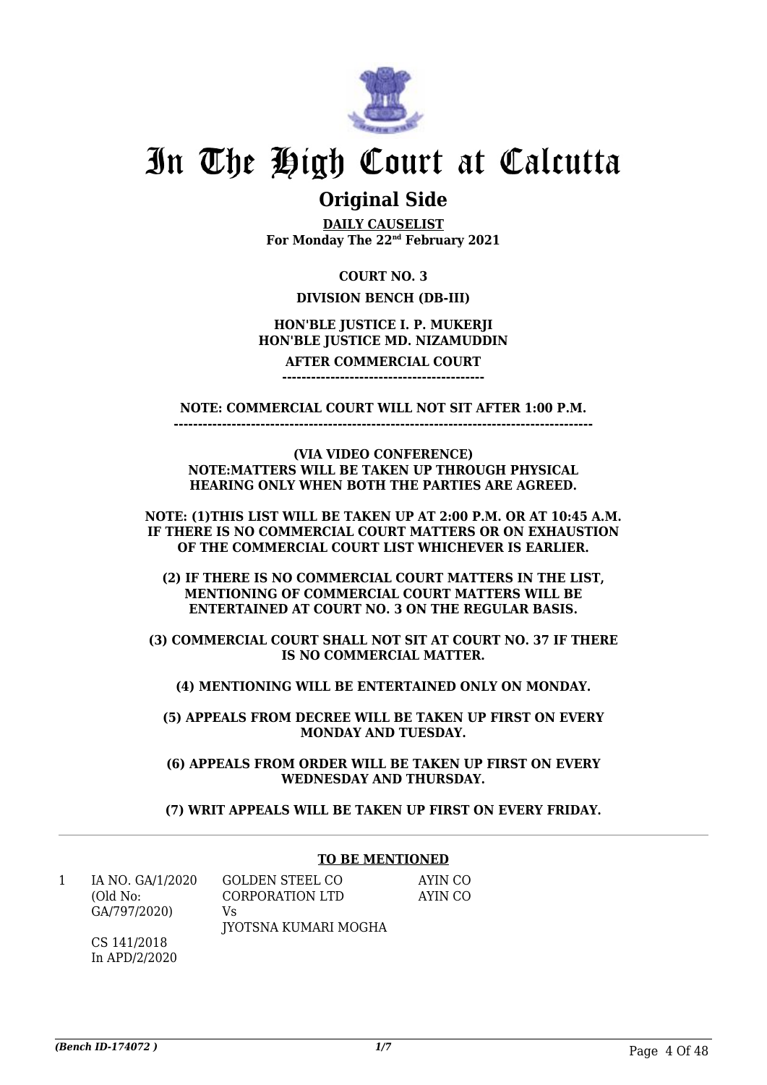

### **Original Side**

**DAILY CAUSELIST For Monday The 22nd February 2021**

#### **COURT NO. 3**

#### **DIVISION BENCH (DB-III)**

#### **HON'BLE JUSTICE I. P. MUKERJI HON'BLE JUSTICE MD. NIZAMUDDIN**

#### **AFTER COMMERCIAL COURT ------------------------------------------**

**NOTE: COMMERCIAL COURT WILL NOT SIT AFTER 1:00 P.M.**

**--------------------------------------------------------------------------------------- (VIA VIDEO CONFERENCE)**

**NOTE:MATTERS WILL BE TAKEN UP THROUGH PHYSICAL HEARING ONLY WHEN BOTH THE PARTIES ARE AGREED.**

**NOTE: (1)THIS LIST WILL BE TAKEN UP AT 2:00 P.M. OR AT 10:45 A.M. IF THERE IS NO COMMERCIAL COURT MATTERS OR ON EXHAUSTION OF THE COMMERCIAL COURT LIST WHICHEVER IS EARLIER.**

**(2) IF THERE IS NO COMMERCIAL COURT MATTERS IN THE LIST, MENTIONING OF COMMERCIAL COURT MATTERS WILL BE ENTERTAINED AT COURT NO. 3 ON THE REGULAR BASIS.**

**(3) COMMERCIAL COURT SHALL NOT SIT AT COURT NO. 37 IF THERE IS NO COMMERCIAL MATTER.**

**(4) MENTIONING WILL BE ENTERTAINED ONLY ON MONDAY.**

**(5) APPEALS FROM DECREE WILL BE TAKEN UP FIRST ON EVERY MONDAY AND TUESDAY.**

**(6) APPEALS FROM ORDER WILL BE TAKEN UP FIRST ON EVERY WEDNESDAY AND THURSDAY.**

**(7) WRIT APPEALS WILL BE TAKEN UP FIRST ON EVERY FRIDAY.**

#### **TO BE MENTIONED**

| IA NO. GA/1/2020 | GOLDEN STEEL CO      | AYIN CO |
|------------------|----------------------|---------|
| (Old No:         | CORPORATION LTD      | AYIN CO |
| GA/797/2020)     | Vs                   |         |
|                  | JYOTSNA KUMARI MOGHA |         |
| CS 141/2018      |                      |         |

In APD/2/2020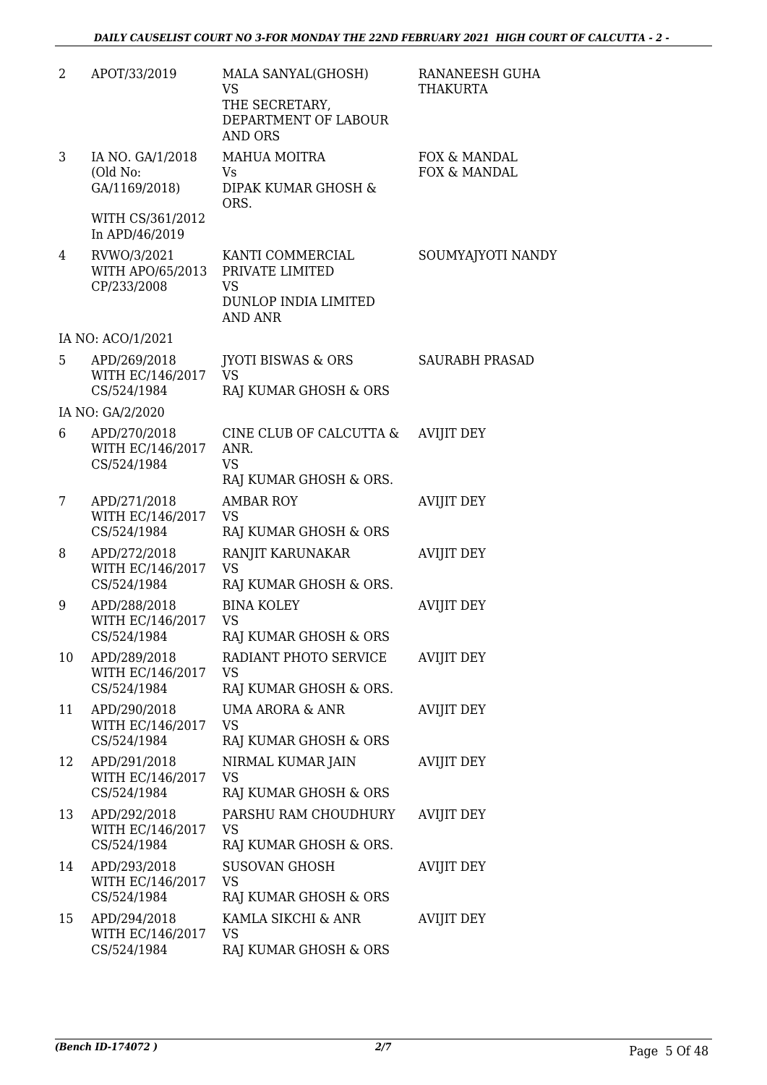| 2  | APOT/33/2019                                    | MALA SANYAL(GHOSH)<br><b>VS</b><br>THE SECRETARY,<br>DEPARTMENT OF LABOUR<br><b>AND ORS</b> | RANANEESH GUHA<br><b>THAKURTA</b> |
|----|-------------------------------------------------|---------------------------------------------------------------------------------------------|-----------------------------------|
| 3  | IA NO. GA/1/2018<br>(Old No:<br>GA/1169/2018)   | MAHUA MOITRA<br>Vs<br>DIPAK KUMAR GHOSH &<br>ORS.                                           | FOX & MANDAL<br>FOX & MANDAL      |
|    | WITH CS/361/2012<br>In APD/46/2019              |                                                                                             |                                   |
| 4  | RVWO/3/2021<br>WITH APO/65/2013<br>CP/233/2008  | KANTI COMMERCIAL<br>PRIVATE LIMITED<br>VS<br>DUNLOP INDIA LIMITED<br><b>AND ANR</b>         | SOUMYAJYOTI NANDY                 |
|    | IA NO: ACO/1/2021                               |                                                                                             |                                   |
| 5  | APD/269/2018<br>WITH EC/146/2017<br>CS/524/1984 | <b>IYOTI BISWAS &amp; ORS</b><br><b>VS</b><br>RAJ KUMAR GHOSH & ORS                         | <b>SAURABH PRASAD</b>             |
|    | IA NO: GA/2/2020                                |                                                                                             |                                   |
| 6  | APD/270/2018<br>WITH EC/146/2017<br>CS/524/1984 | CINE CLUB OF CALCUTTA &<br>ANR.<br><b>VS</b><br>RAJ KUMAR GHOSH & ORS.                      | <b>AVIJIT DEY</b>                 |
| 7  | APD/271/2018<br>WITH EC/146/2017<br>CS/524/1984 | <b>AMBAR ROY</b><br><b>VS</b><br>RAJ KUMAR GHOSH & ORS                                      | <b>AVIJIT DEY</b>                 |
| 8  | APD/272/2018<br>WITH EC/146/2017<br>CS/524/1984 | RANJIT KARUNAKAR<br><b>VS</b><br>RAJ KUMAR GHOSH & ORS.                                     | <b>AVIJIT DEY</b>                 |
| 9  | APD/288/2018<br>WITH EC/146/2017<br>CS/524/1984 | <b>BINA KOLEY</b><br><b>VS</b><br>RAJ KUMAR GHOSH & ORS                                     | <b>AVIJIT DEY</b>                 |
| 10 | APD/289/2018<br>WITH EC/146/2017<br>CS/524/1984 | RADIANT PHOTO SERVICE<br>VS<br>RAJ KUMAR GHOSH & ORS.                                       | <b>AVIJIT DEY</b>                 |
| 11 | APD/290/2018<br>WITH EC/146/2017<br>CS/524/1984 | <b>UMA ARORA &amp; ANR</b><br><b>VS</b><br>RAJ KUMAR GHOSH & ORS                            | <b>AVIJIT DEY</b>                 |
| 12 | APD/291/2018<br>WITH EC/146/2017<br>CS/524/1984 | NIRMAL KUMAR JAIN<br><b>VS</b><br>RAJ KUMAR GHOSH & ORS                                     | <b>AVIJIT DEY</b>                 |
| 13 | APD/292/2018<br>WITH EC/146/2017<br>CS/524/1984 | PARSHU RAM CHOUDHURY<br>VS<br>RAJ KUMAR GHOSH & ORS.                                        | <b>AVIJIT DEY</b>                 |
| 14 | APD/293/2018<br>WITH EC/146/2017<br>CS/524/1984 | <b>SUSOVAN GHOSH</b><br><b>VS</b><br>RAJ KUMAR GHOSH & ORS                                  | <b>AVIJIT DEY</b>                 |
| 15 | APD/294/2018<br>WITH EC/146/2017<br>CS/524/1984 | KAMLA SIKCHI & ANR<br><b>VS</b><br>RAJ KUMAR GHOSH & ORS                                    | <b>AVIJIT DEY</b>                 |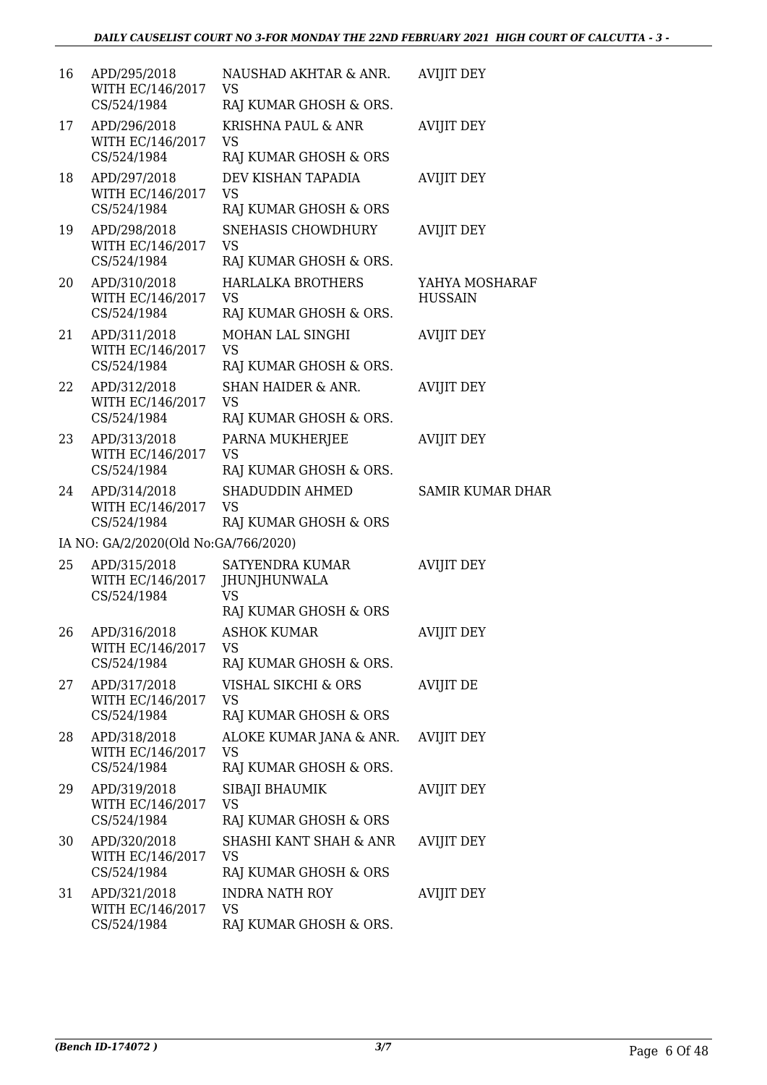| 16 | APD/295/2018<br>WITH EC/146/2017<br>CS/524/1984 | NAUSHAD AKHTAR & ANR.<br>VS<br>RAJ KUMAR GHOSH & ORS.                        | <b>AVIJIT DEY</b>                |
|----|-------------------------------------------------|------------------------------------------------------------------------------|----------------------------------|
| 17 | APD/296/2018<br>WITH EC/146/2017<br>CS/524/1984 | KRISHNA PAUL & ANR<br><b>VS</b><br>RAJ KUMAR GHOSH & ORS                     | <b>AVIJIT DEY</b>                |
| 18 | APD/297/2018<br>WITH EC/146/2017<br>CS/524/1984 | DEV KISHAN TAPADIA<br><b>VS</b><br>RAJ KUMAR GHOSH & ORS                     | <b>AVIJIT DEY</b>                |
| 19 | APD/298/2018<br>WITH EC/146/2017<br>CS/524/1984 | <b>SNEHASIS CHOWDHURY</b><br><b>VS</b><br>RAJ KUMAR GHOSH & ORS.             | <b>AVIJIT DEY</b>                |
| 20 | APD/310/2018<br>WITH EC/146/2017<br>CS/524/1984 | <b>HARLALKA BROTHERS</b><br><b>VS</b><br>RAJ KUMAR GHOSH & ORS.              | YAHYA MOSHARAF<br><b>HUSSAIN</b> |
| 21 | APD/311/2018<br>WITH EC/146/2017<br>CS/524/1984 | MOHAN LAL SINGHI<br><b>VS</b><br>RAJ KUMAR GHOSH & ORS.                      | <b>AVIJIT DEY</b>                |
| 22 | APD/312/2018<br>WITH EC/146/2017<br>CS/524/1984 | <b>SHAN HAIDER &amp; ANR.</b><br><b>VS</b><br>RAJ KUMAR GHOSH & ORS.         | <b>AVIJIT DEY</b>                |
| 23 | APD/313/2018<br>WITH EC/146/2017<br>CS/524/1984 | PARNA MUKHERJEE<br><b>VS</b><br>RAJ KUMAR GHOSH & ORS.                       | <b>AVIJIT DEY</b>                |
| 24 | APD/314/2018<br>WITH EC/146/2017<br>CS/524/1984 | SHADUDDIN AHMED<br><b>VS</b><br>RAJ KUMAR GHOSH & ORS                        | <b>SAMIR KUMAR DHAR</b>          |
|    | IA NO: GA/2/2020(Old No:GA/766/2020)            |                                                                              |                                  |
| 25 | APD/315/2018<br>WITH EC/146/2017<br>CS/524/1984 | <b>SATYENDRA KUMAR</b><br><b>JHUNJHUNWALA</b><br>VS<br>RAJ KUMAR GHOSH & ORS | <b>AVIJIT DEY</b>                |
| 26 | APD/316/2018<br>WITH EC/146/2017<br>CS/524/1984 | <b>ASHOK KUMAR</b><br><b>VS</b><br>RAJ KUMAR GHOSH & ORS.                    | <b>AVIJIT DEY</b>                |
| 27 | APD/317/2018<br>WITH EC/146/2017<br>CS/524/1984 | VISHAL SIKCHI & ORS<br>VS<br>RAJ KUMAR GHOSH & ORS                           | <b>AVIJIT DE</b>                 |
| 28 | APD/318/2018<br>WITH EC/146/2017<br>CS/524/1984 | ALOKE KUMAR JANA & ANR.<br><b>VS</b><br>RAJ KUMAR GHOSH & ORS.               | <b>AVIJIT DEY</b>                |
| 29 | APD/319/2018<br>WITH EC/146/2017<br>CS/524/1984 | SIBAJI BHAUMIK<br><b>VS</b><br>RAJ KUMAR GHOSH & ORS                         | <b>AVIJIT DEY</b>                |
| 30 | APD/320/2018<br>WITH EC/146/2017<br>CS/524/1984 | SHASHI KANT SHAH & ANR<br>VS<br>RAJ KUMAR GHOSH & ORS                        | <b>AVIJIT DEY</b>                |
| 31 | APD/321/2018<br>WITH EC/146/2017<br>CS/524/1984 | <b>INDRA NATH ROY</b><br><b>VS</b><br>RAJ KUMAR GHOSH & ORS.                 | <b>AVIJIT DEY</b>                |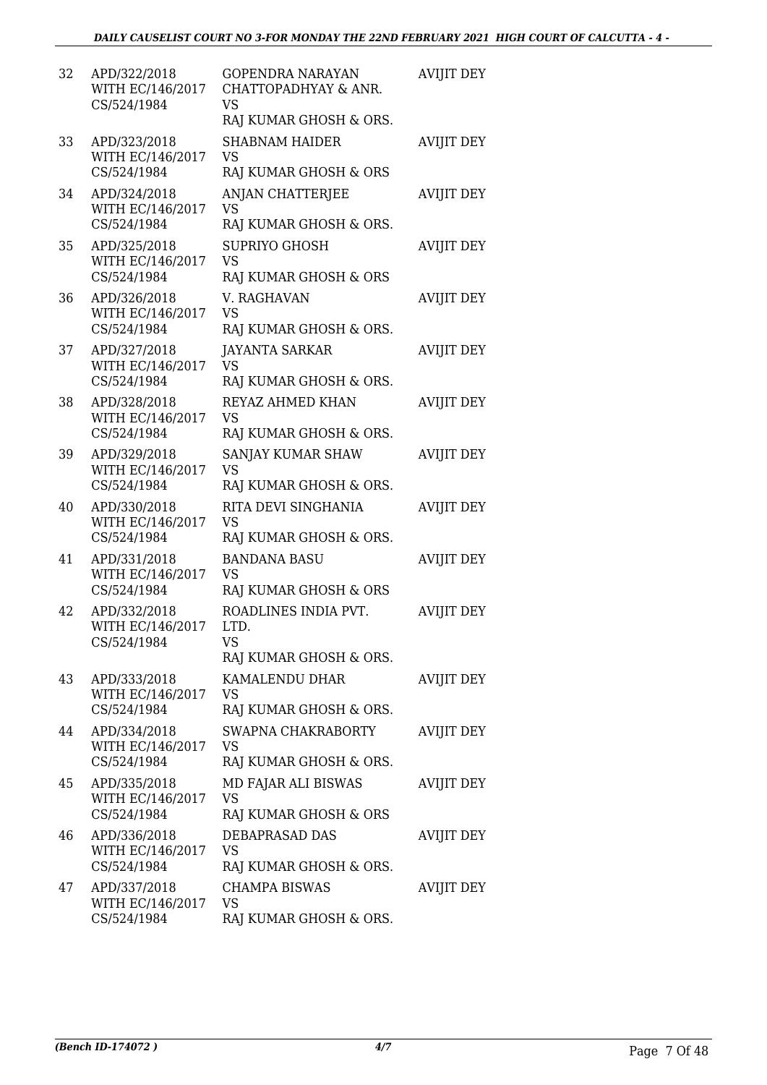| 32 | APD/322/2018<br>WITH EC/146/2017<br>CS/524/1984 | <b>GOPENDRA NARAYAN</b><br>CHATTOPADHYAY & ANR.<br>VS<br>RAJ KUMAR GHOSH & ORS. | <b>AVIJIT DEY</b> |
|----|-------------------------------------------------|---------------------------------------------------------------------------------|-------------------|
| 33 | APD/323/2018<br>WITH EC/146/2017<br>CS/524/1984 | <b>SHABNAM HAIDER</b><br><b>VS</b><br>RAJ KUMAR GHOSH & ORS                     | <b>AVIJIT DEY</b> |
| 34 | APD/324/2018<br>WITH EC/146/2017<br>CS/524/1984 | ANJAN CHATTERJEE<br>VS<br>RAJ KUMAR GHOSH & ORS.                                | <b>AVIJIT DEY</b> |
| 35 | APD/325/2018<br>WITH EC/146/2017<br>CS/524/1984 | <b>SUPRIYO GHOSH</b><br><b>VS</b><br>RAJ KUMAR GHOSH & ORS                      | <b>AVIJIT DEY</b> |
| 36 | APD/326/2018<br>WITH EC/146/2017<br>CS/524/1984 | V. RAGHAVAN<br><b>VS</b><br>RAJ KUMAR GHOSH & ORS.                              | <b>AVIJIT DEY</b> |
| 37 | APD/327/2018<br>WITH EC/146/2017<br>CS/524/1984 | <b>JAYANTA SARKAR</b><br><b>VS</b><br>RAJ KUMAR GHOSH & ORS.                    | <b>AVIJIT DEY</b> |
| 38 | APD/328/2018<br>WITH EC/146/2017<br>CS/524/1984 | REYAZ AHMED KHAN<br><b>VS</b><br>RAJ KUMAR GHOSH & ORS.                         | <b>AVIJIT DEY</b> |
| 39 | APD/329/2018<br>WITH EC/146/2017<br>CS/524/1984 | SANJAY KUMAR SHAW<br>VS<br>RAJ KUMAR GHOSH & ORS.                               | <b>AVIJIT DEY</b> |
| 40 | APD/330/2018<br>WITH EC/146/2017<br>CS/524/1984 | RITA DEVI SINGHANIA<br><b>VS</b><br>RAJ KUMAR GHOSH & ORS.                      | <b>AVIJIT DEY</b> |
| 41 | APD/331/2018<br>WITH EC/146/2017<br>CS/524/1984 | <b>BANDANA BASU</b><br><b>VS</b><br>RAJ KUMAR GHOSH & ORS                       | <b>AVIJIT DEY</b> |
| 42 | APD/332/2018<br>WITH EC/146/2017<br>CS/524/1984 | ROADLINES INDIA PVT.<br>LTD.<br>VS<br>RAJ KUMAR GHOSH & ORS.                    | <b>AVIJIT DEY</b> |
| 43 | APD/333/2018<br>WITH EC/146/2017<br>CS/524/1984 | KAMALENDU DHAR<br><b>VS</b><br>RAJ KUMAR GHOSH & ORS.                           | <b>AVIJIT DEY</b> |
| 44 | APD/334/2018<br>WITH EC/146/2017<br>CS/524/1984 | SWAPNA CHAKRABORTY<br><b>VS</b><br>RAJ KUMAR GHOSH & ORS.                       | <b>AVIJIT DEY</b> |
| 45 | APD/335/2018<br>WITH EC/146/2017<br>CS/524/1984 | MD FAJAR ALI BISWAS<br><b>VS</b><br>RAJ KUMAR GHOSH & ORS                       | <b>AVIJIT DEY</b> |
| 46 | APD/336/2018<br>WITH EC/146/2017<br>CS/524/1984 | DEBAPRASAD DAS<br>VS<br>RAJ KUMAR GHOSH & ORS.                                  | <b>AVIJIT DEY</b> |
| 47 | APD/337/2018<br>WITH EC/146/2017<br>CS/524/1984 | <b>CHAMPA BISWAS</b><br><b>VS</b><br>RAJ KUMAR GHOSH & ORS.                     | <b>AVIJIT DEY</b> |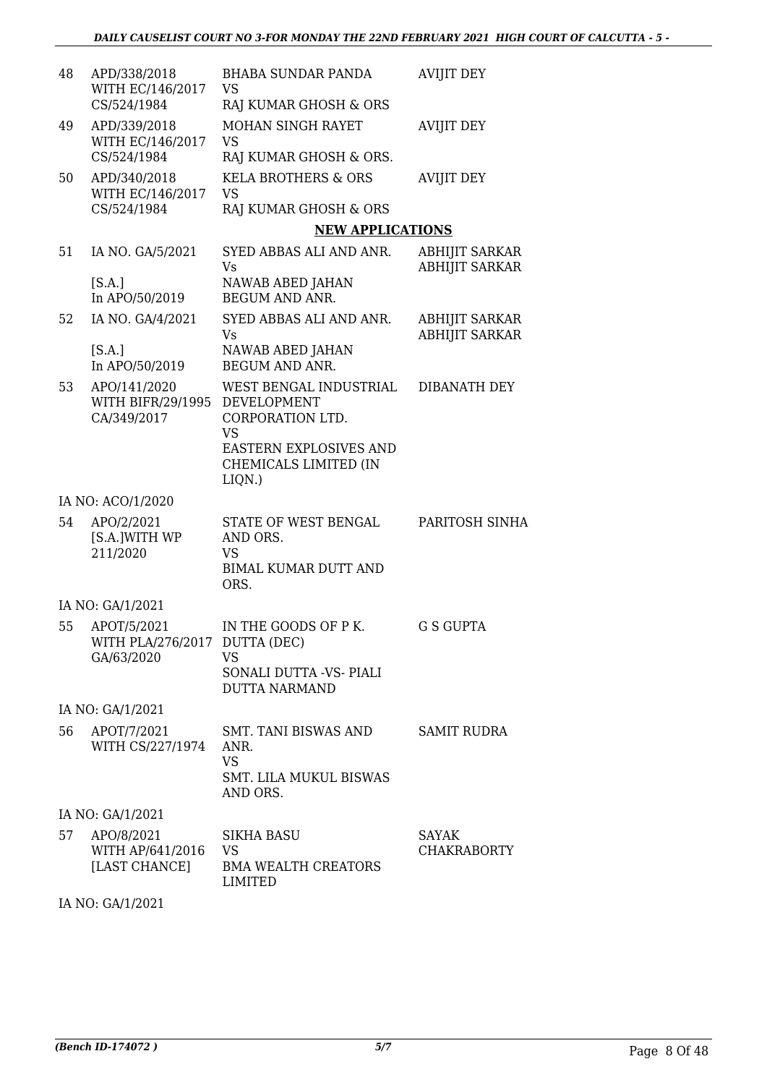| 48 | APD/338/2018<br>WITH EC/146/2017                             | <b>BHABA SUNDAR PANDA</b><br>VS                                           | <b>AVIJIT DEY</b>                              |
|----|--------------------------------------------------------------|---------------------------------------------------------------------------|------------------------------------------------|
|    | CS/524/1984                                                  | RAJ KUMAR GHOSH & ORS                                                     |                                                |
| 49 | APD/339/2018<br>WITH EC/146/2017<br>CS/524/1984              | MOHAN SINGH RAYET<br><b>VS</b><br>RAJ KUMAR GHOSH & ORS.                  | <b>AVIJIT DEY</b>                              |
| 50 | APD/340/2018                                                 | <b>KELA BROTHERS &amp; ORS</b>                                            | <b>AVIJIT DEY</b>                              |
|    | WITH EC/146/2017<br>CS/524/1984                              | VS<br>RAJ KUMAR GHOSH & ORS                                               |                                                |
|    |                                                              | <b>NEW APPLICATIONS</b>                                                   |                                                |
| 51 | IA NO. GA/5/2021                                             | SYED ABBAS ALI AND ANR.<br>Vs                                             | <b>ABHIJIT SARKAR</b><br><b>ABHIJIT SARKAR</b> |
|    | [S.A.]<br>In APO/50/2019                                     | NAWAB ABED JAHAN<br><b>BEGUM AND ANR.</b>                                 |                                                |
| 52 | IA NO. GA/4/2021                                             | SYED ABBAS ALI AND ANR.<br>Vs                                             | <b>ABHIJIT SARKAR</b><br><b>ABHIJIT SARKAR</b> |
|    | [S.A.]<br>In APO/50/2019                                     | NAWAB ABED JAHAN<br><b>BEGUM AND ANR.</b>                                 |                                                |
| 53 | APO/141/2020<br>WITH BIFR/29/1995 DEVELOPMENT<br>CA/349/2017 | WEST BENGAL INDUSTRIAL<br>CORPORATION LTD.                                | DIBANATH DEY                                   |
|    |                                                              | <b>VS</b><br>EASTERN EXPLOSIVES AND<br>CHEMICALS LIMITED (IN<br>$LIQN.$ ) |                                                |
|    | IA NO: ACO/1/2020                                            |                                                                           |                                                |
| 54 | APO/2/2021<br>[S.A.]WITH WP<br>211/2020                      | STATE OF WEST BENGAL<br>AND ORS.<br><b>VS</b>                             | PARITOSH SINHA                                 |
|    |                                                              | <b>BIMAL KUMAR DUTT AND</b><br>ORS.                                       |                                                |
|    | IA NO: GA/1/2021                                             |                                                                           |                                                |
| 55 | APOT/5/2021<br>WITH PLA/276/2017 DUTTA (DEC)<br>GA/63/2020   | IN THE GOODS OF P K.<br><b>VS</b>                                         | <b>G S GUPTA</b>                               |
|    |                                                              | SONALI DUTTA -VS- PIALI<br><b>DUTTA NARMAND</b>                           |                                                |
|    | IA NO: GA/1/2021                                             |                                                                           |                                                |
| 56 | APOT/7/2021<br>WITH CS/227/1974                              | SMT. TANI BISWAS AND<br>ANR.<br><b>VS</b><br>SMT. LILA MUKUL BISWAS       | <b>SAMIT RUDRA</b>                             |
|    |                                                              | AND ORS.                                                                  |                                                |
|    | IA NO: GA/1/2021                                             |                                                                           |                                                |
| 57 | APO/8/2021<br>WITH AP/641/2016<br>[LAST CHANCE]              | <b>SIKHA BASU</b><br>VS<br><b>BMA WEALTH CREATORS</b>                     | SAYAK<br><b>CHAKRABORTY</b>                    |

LIMITED

IA NO: GA/1/2021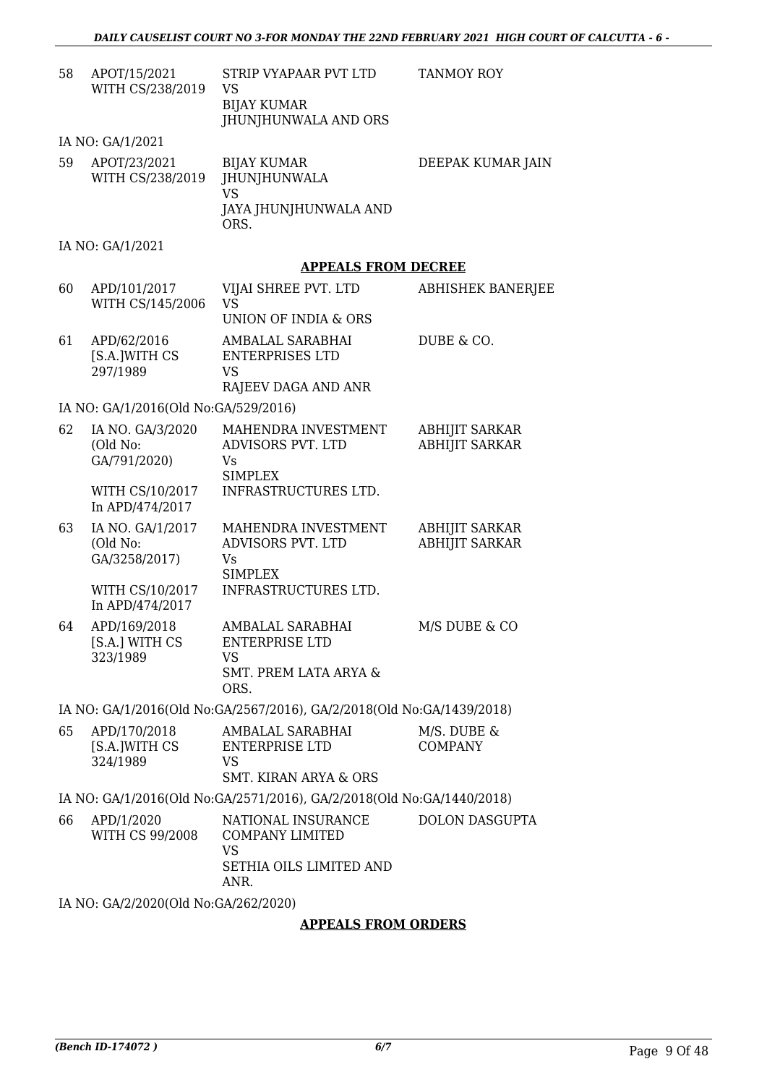| 58 | APOT/15/2021<br>WITH CS/238/2019              | STRIP VYAPAAR PVT LTD<br>VS<br><b>BIJAY KUMAR</b><br>JHUNJHUNWALA AND ORS                    | <b>TANMOY ROY</b>                              |  |
|----|-----------------------------------------------|----------------------------------------------------------------------------------------------|------------------------------------------------|--|
|    | IA NO: GA/1/2021                              |                                                                                              |                                                |  |
| 59 | APOT/23/2021<br>WITH CS/238/2019              | <b>BIJAY KUMAR</b><br><b>JHUNJHUNWALA</b><br><b>VS</b><br>JAYA JHUNJHUNWALA AND<br>ORS.      | DEEPAK KUMAR JAIN                              |  |
|    | IA NO: GA/1/2021                              |                                                                                              |                                                |  |
|    |                                               | <b>APPEALS FROM DECREE</b>                                                                   |                                                |  |
| 60 | APD/101/2017<br>WITH CS/145/2006              | VIJAI SHREE PVT. LTD<br><b>VS</b><br>UNION OF INDIA & ORS                                    | ABHISHEK BANERJEE                              |  |
| 61 | APD/62/2016<br>[S.A.]WITH CS<br>297/1989      | AMBALAL SARABHAI<br><b>ENTERPRISES LTD</b><br>VS                                             | DUBE & CO.                                     |  |
|    |                                               | RAJEEV DAGA AND ANR                                                                          |                                                |  |
|    | IA NO: GA/1/2016(Old No:GA/529/2016)          | MAHENDRA INVESTMENT                                                                          |                                                |  |
| 62 | IA NO. GA/3/2020<br>(Old No:<br>GA/791/2020)  | ADVISORS PVT. LTD<br>Vs<br><b>SIMPLEX</b>                                                    | <b>ABHIJIT SARKAR</b><br><b>ABHIJIT SARKAR</b> |  |
|    | WITH CS/10/2017<br>In APD/474/2017            | INFRASTRUCTURES LTD.                                                                         |                                                |  |
| 63 | IA NO. GA/1/2017<br>(Old No:<br>GA/3258/2017) | MAHENDRA INVESTMENT<br>ADVISORS PVT. LTD<br>Vs<br><b>SIMPLEX</b>                             | <b>ABHIJIT SARKAR</b><br><b>ABHIJIT SARKAR</b> |  |
|    | WITH CS/10/2017<br>In APD/474/2017            | INFRASTRUCTURES LTD.                                                                         |                                                |  |
| 64 | APD/169/2018<br>[S.A.] WITH CS<br>323/1989    | AMBALAL SARABHAI<br><b>ENTERPRISE LTD</b><br>VS<br><b>SMT. PREM LATA ARYA &amp;</b><br>ORS.  | M/S DUBE & CO                                  |  |
|    |                                               | IA NO: GA/1/2016(Old No:GA/2567/2016), GA/2/2018(Old No:GA/1439/2018)                        |                                                |  |
| 65 | APD/170/2018<br>[S.A.]WITH CS<br>324/1989     | AMBALAL SARABHAI<br><b>ENTERPRISE LTD</b><br><b>VS</b><br><b>SMT. KIRAN ARYA &amp; ORS</b>   | M/S. DUBE &<br><b>COMPANY</b>                  |  |
|    |                                               | IA NO: GA/1/2016(Old No:GA/2571/2016), GA/2/2018(Old No:GA/1440/2018)                        |                                                |  |
| 66 | APD/1/2020<br>WITH CS 99/2008                 | NATIONAL INSURANCE<br><b>COMPANY LIMITED</b><br><b>VS</b><br>SETHIA OILS LIMITED AND<br>ANR. | <b>DOLON DASGUPTA</b>                          |  |
|    | IA NO: GA/2/2020(Old No:GA/262/2020)          |                                                                                              |                                                |  |
|    | <b>APPEALS FROM ORDERS</b>                    |                                                                                              |                                                |  |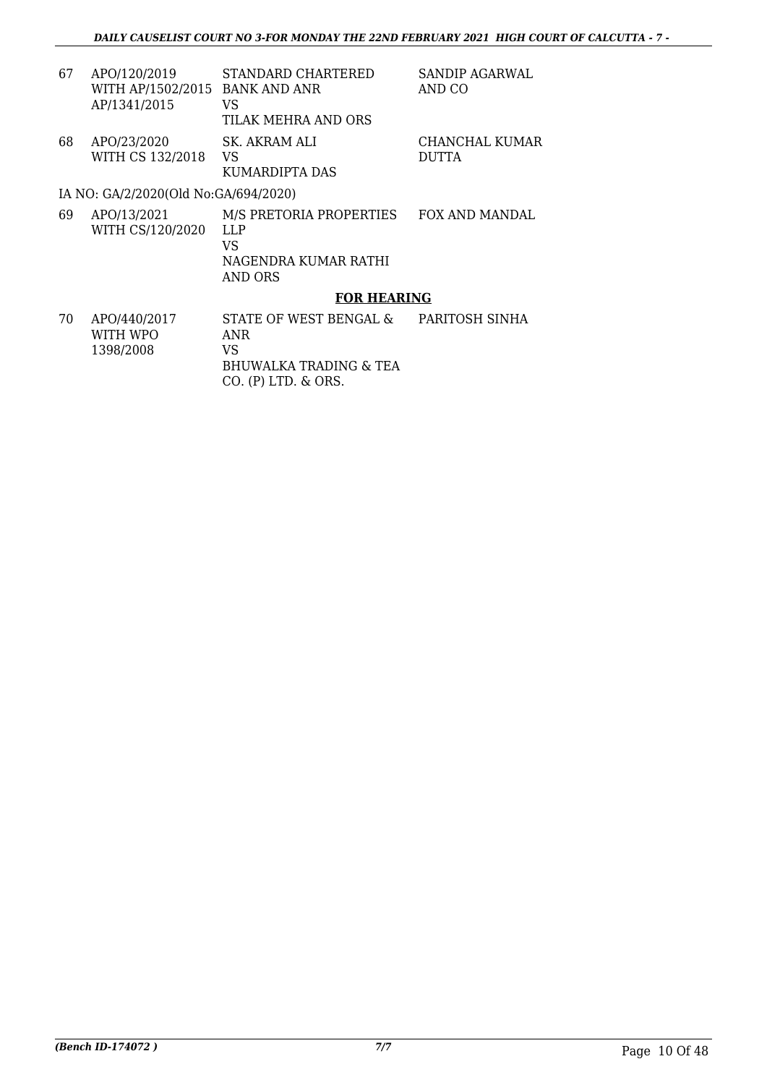| 67 | APO/120/2019<br>WITH AP/1502/2015 BANK AND ANR<br>AP/1341/2015 | STANDARD CHARTERED<br>VS<br>TILAK MEHRA AND ORS | <b>SANDIP AGARWAL</b><br>AND CO |
|----|----------------------------------------------------------------|-------------------------------------------------|---------------------------------|
| 68 | APO/23/2020<br>WITH CS 132/2018                                | SK. AKRAM ALI<br>VS<br>KUMARDIPTA DAS           | CHANCHAL KUMAR<br><b>DUTTA</b>  |
|    | IA NO: GA/2/2020(Old No:GA/694/2020)                           |                                                 |                                 |
| 69 | APO/13/2021<br>WITH CS/120/2020                                | M/S PRETORIA PROPERTIES<br>LLP<br>VS            | FOX AND MANDAL                  |

NAGENDRA KUMAR RATHI

AND ORS

### **FOR HEARING**

70 APO/440/2017 WITH WPO 1398/2008 STATE OF WEST BENGAL & ANR VS BHUWALKA TRADING & TEA CO. (P) LTD. & ORS. PARITOSH SINHA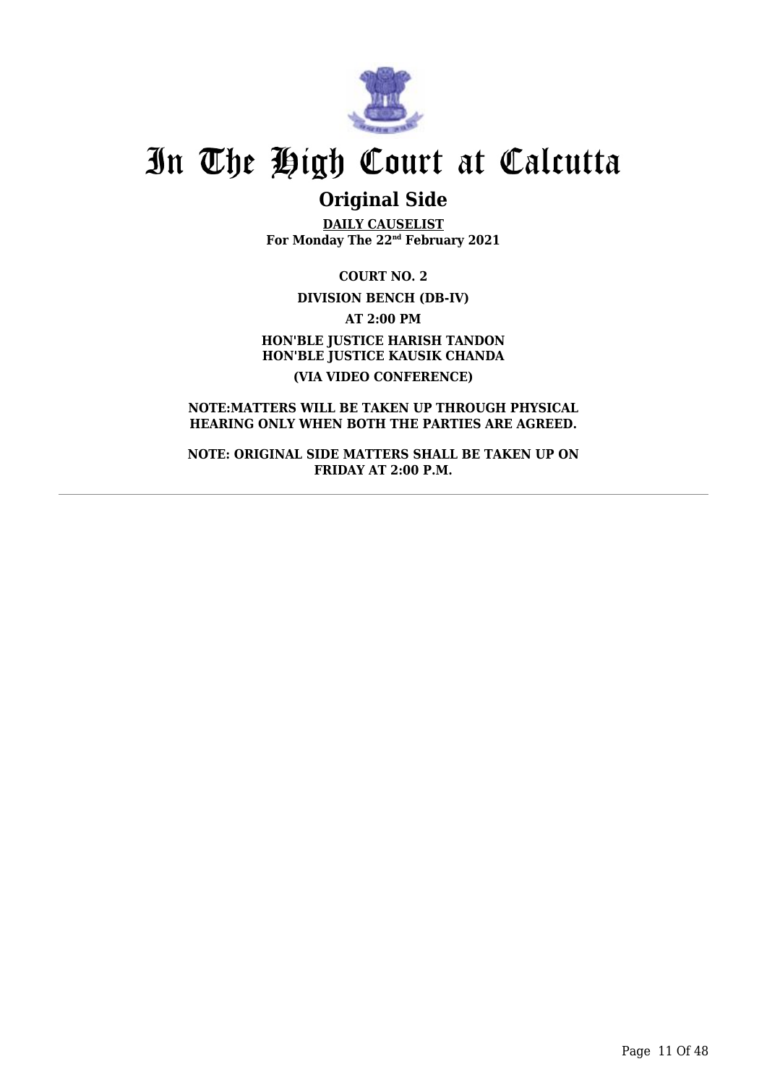

## **Original Side**

**DAILY CAUSELIST For Monday The 22nd February 2021**

**COURT NO. 2 DIVISION BENCH (DB-IV) AT 2:00 PM HON'BLE JUSTICE HARISH TANDON HON'BLE JUSTICE KAUSIK CHANDA (VIA VIDEO CONFERENCE)**

**NOTE:MATTERS WILL BE TAKEN UP THROUGH PHYSICAL HEARING ONLY WHEN BOTH THE PARTIES ARE AGREED.**

**NOTE: ORIGINAL SIDE MATTERS SHALL BE TAKEN UP ON FRIDAY AT 2:00 P.M.**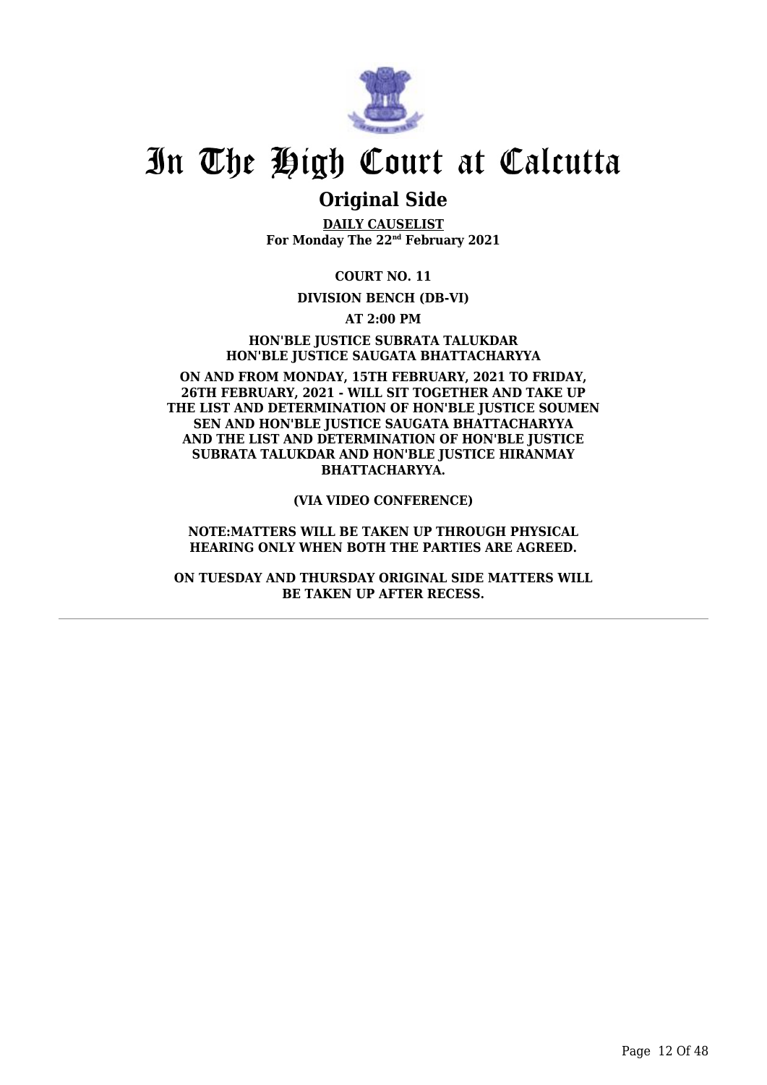

### **Original Side**

**DAILY CAUSELIST For Monday The 22nd February 2021**

**COURT NO. 11**

#### **DIVISION BENCH (DB-VI)**

**AT 2:00 PM**

**HON'BLE JUSTICE SUBRATA TALUKDAR HON'BLE JUSTICE SAUGATA BHATTACHARYYA**

**ON AND FROM MONDAY, 15TH FEBRUARY, 2021 TO FRIDAY, 26TH FEBRUARY, 2021 - WILL SIT TOGETHER AND TAKE UP THE LIST AND DETERMINATION OF HON'BLE JUSTICE SOUMEN SEN AND HON'BLE JUSTICE SAUGATA BHATTACHARYYA AND THE LIST AND DETERMINATION OF HON'BLE JUSTICE SUBRATA TALUKDAR AND HON'BLE JUSTICE HIRANMAY BHATTACHARYYA.**

**(VIA VIDEO CONFERENCE)**

**NOTE:MATTERS WILL BE TAKEN UP THROUGH PHYSICAL HEARING ONLY WHEN BOTH THE PARTIES ARE AGREED.**

**ON TUESDAY AND THURSDAY ORIGINAL SIDE MATTERS WILL BE TAKEN UP AFTER RECESS.**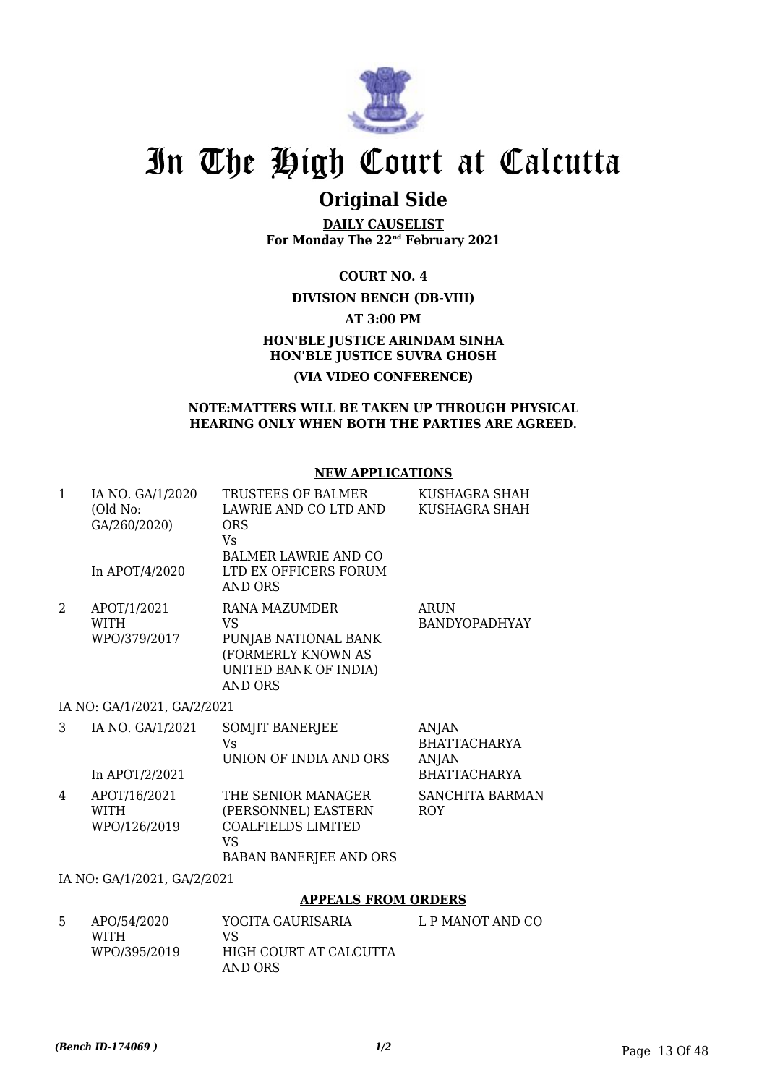

## **Original Side**

**DAILY CAUSELIST For Monday The 22nd February 2021**

**COURT NO. 4**

#### **DIVISION BENCH (DB-VIII)**

**AT 3:00 PM**

#### **HON'BLE JUSTICE ARINDAM SINHA HON'BLE JUSTICE SUVRA GHOSH (VIA VIDEO CONFERENCE)**

#### **NOTE:MATTERS WILL BE TAKEN UP THROUGH PHYSICAL HEARING ONLY WHEN BOTH THE PARTIES ARE AGREED.**

#### **NEW APPLICATIONS**

| 1                   | IA NO. GA/1/2020                            | TRUSTEES OF BALMER                                                                      | KUSHAGRA SHAH                                       |
|---------------------|---------------------------------------------|-----------------------------------------------------------------------------------------|-----------------------------------------------------|
|                     | (Old No:<br>GA/260/2020)                    | LAWRIE AND CO LTD AND<br><b>ORS</b>                                                     | KUSHAGRA SHAH                                       |
|                     | In APOT/4/2020                              | <b>V<sub>S</sub></b><br><b>BALMER LAWRIE AND CO</b><br>LTD EX OFFICERS FORUM<br>AND ORS |                                                     |
| 2                   | APOT/1/2021<br><b>WITH</b>                  | RANA MAZUMDER<br>VS                                                                     | <b>ARUN</b><br><b>BANDYOPADHYAY</b>                 |
|                     | WPO/379/2017                                | PUNJAB NATIONAL BANK<br>(FORMERLY KNOWN AS<br>UNITED BANK OF INDIA)<br><b>AND ORS</b>   |                                                     |
|                     | IA NO: GA/1/2021, GA/2/2021                 |                                                                                         |                                                     |
| 3                   | IA NO. GA/1/2021                            | SOMJIT BANERJEE<br>Vs<br>UNION OF INDIA AND ORS                                         | <b>ANJAN</b><br><b>BHATTACHARYA</b><br><b>ANJAN</b> |
|                     | In APOT/2/2021                              |                                                                                         | <b>BHATTACHARYA</b>                                 |
| 4                   | APOT/16/2021<br><b>WITH</b><br>WPO/126/2019 | THE SENIOR MANAGER<br>(PERSONNEL) EASTERN<br><b>COALFIELDS LIMITED</b><br><b>VS</b>     | SANCHITA BARMAN<br><b>ROY</b>                       |
|                     |                                             | BABAN BANERJEE AND ORS                                                                  |                                                     |
|                     | IA NO: GA/1/2021, GA/2/2021                 |                                                                                         |                                                     |
|                     |                                             | <b>APPEALS FROM ORDERS</b>                                                              |                                                     |
| こうしゃ こうしゃ こうしゃ こうしゃ | A DO /54 /2020                              | VOCITA CALIDICADIA                                                                      | $\overline{1}$ D MANIOT AND CO                      |

| -5 | APO/54/2020  | YOGITA GAURISARIA      | L P MANOT AND CO |
|----|--------------|------------------------|------------------|
|    | <b>WITH</b>  | VS.                    |                  |
|    | WPO/395/2019 | HIGH COURT AT CALCUTTA |                  |
|    |              | AND ORS                |                  |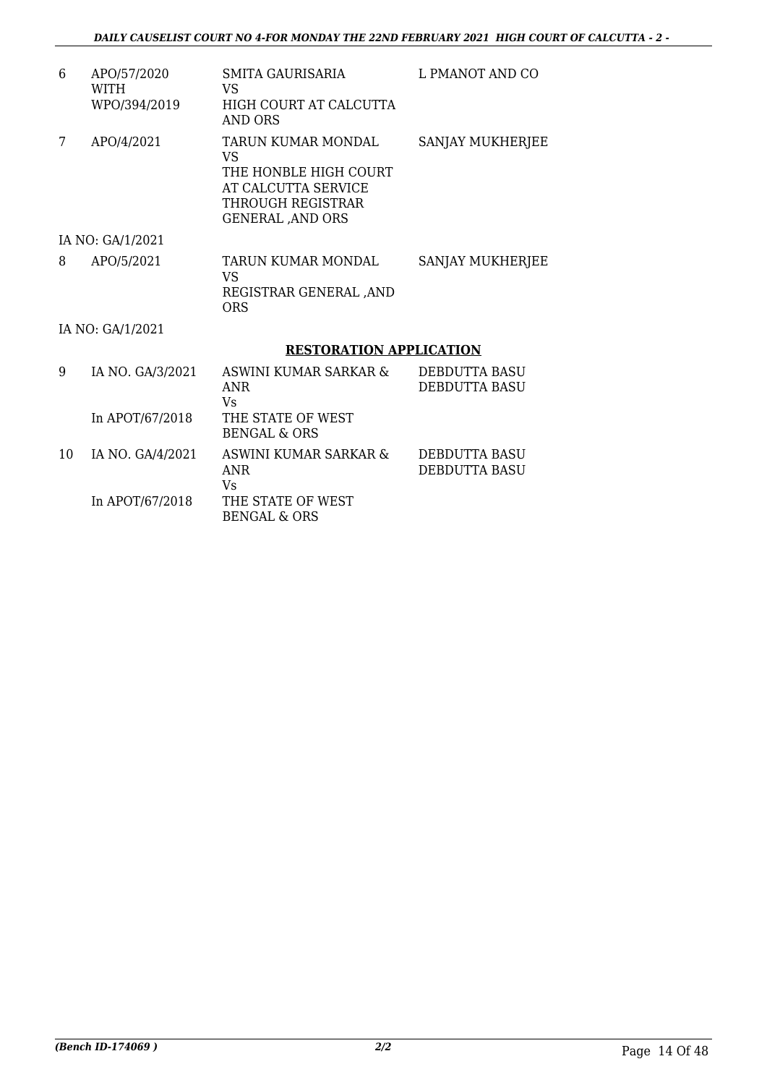| 6 | APO/57/2020<br><b>WITH</b><br>WPO/394/2019 | SMITA GAURISARIA<br>VS<br>HIGH COURT AT CALCUTTA<br>AND ORS                                                               | L PMANOT AND CO  |
|---|--------------------------------------------|---------------------------------------------------------------------------------------------------------------------------|------------------|
| 7 | APO/4/2021                                 | TARUN KUMAR MONDAL<br>VS<br>THE HONBLE HIGH COURT<br>AT CALCUTTA SERVICE<br>THROUGH REGISTRAR<br><b>GENERAL , AND ORS</b> | SANJAY MUKHERJEE |
|   | IA NO: GA/1/2021                           |                                                                                                                           |                  |
| 8 | APO/5/2021                                 | TARUN KUMAR MONDAL<br>VS<br>REGISTRAR GENERAL ,AND<br>ORS                                                                 | SANJAY MUKHERJEE |
|   | IA NO: GA/1/2021                           |                                                                                                                           |                  |
|   |                                            | <b>RESTORATION APPLICATION</b>                                                                                            |                  |
| 9 | IA NO-GA/3/2021                            | ASWINI KUMAR SARKAR &                                                                                                     | DEBDUTTA BASU    |

| 9  | IA NO. GA/3/2021 | ASWINI KUMAR SARKAR &<br>ANR<br>Vs           | DEBDUTTA BASU<br><b>DEBDUTTA BASU</b> |
|----|------------------|----------------------------------------------|---------------------------------------|
|    | In APOT/67/2018  | THE STATE OF WEST<br>BENGAL & ORS            |                                       |
| 10 | IA NO. GA/4/2021 | ASWINI KUMAR SARKAR &<br>ANR<br>Vs           | DEBDUTTA BASU<br><b>DEBDUTTA BASU</b> |
|    | In APOT/67/2018  | THE STATE OF WEST<br><b>BENGAL &amp; ORS</b> |                                       |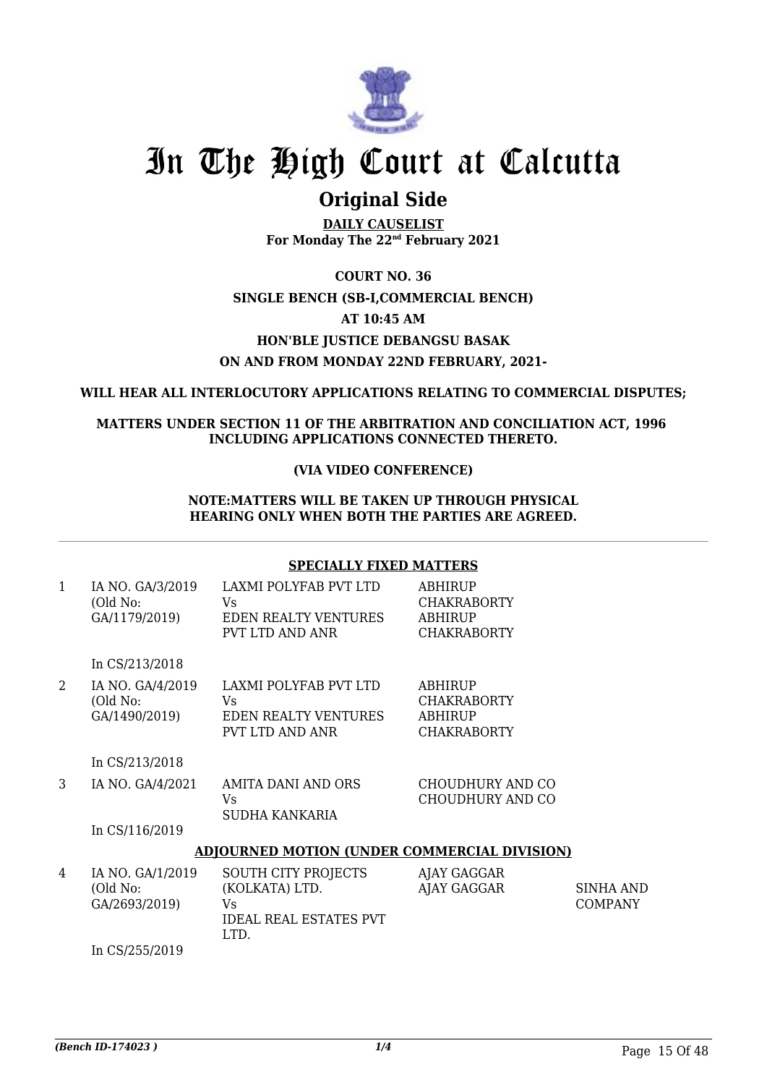

## **Original Side**

**DAILY CAUSELIST For Monday The 22nd February 2021**

**COURT NO. 36 SINGLE BENCH (SB-I,COMMERCIAL BENCH) AT 10:45 AM HON'BLE JUSTICE DEBANGSU BASAK ON AND FROM MONDAY 22ND FEBRUARY, 2021-**

**WILL HEAR ALL INTERLOCUTORY APPLICATIONS RELATING TO COMMERCIAL DISPUTES;**

**MATTERS UNDER SECTION 11 OF THE ARBITRATION AND CONCILIATION ACT, 1996 INCLUDING APPLICATIONS CONNECTED THERETO.**

#### **(VIA VIDEO CONFERENCE)**

#### **NOTE:MATTERS WILL BE TAKEN UP THROUGH PHYSICAL HEARING ONLY WHEN BOTH THE PARTIES ARE AGREED.**

#### **SPECIALLY FIXED MATTERS**

| 1 | IA NO. GA/3/2019<br>(Old No:<br>GA/1179/2019) | LAXMI POLYFAB PVT LTD<br>Vs.<br><b>EDEN REALTY VENTURES</b><br>PVT LTD AND ANR              | ABHIRUP<br><b>CHAKRABORTY</b><br>ABHIRUP<br><b>CHAKRABORTY</b> |                                    |
|---|-----------------------------------------------|---------------------------------------------------------------------------------------------|----------------------------------------------------------------|------------------------------------|
|   | In CS/213/2018                                |                                                                                             |                                                                |                                    |
| 2 | IA NO. GA/4/2019<br>(Old No:<br>GA/1490/2019) | LAXMI POLYFAB PVT LTD<br>Vs<br>EDEN REALTY VENTURES<br>PVT LTD AND ANR                      | ABHIRUP<br><b>CHAKRABORTY</b><br>ABHIRUP<br><b>CHAKRABORTY</b> |                                    |
|   | In CS/213/2018                                |                                                                                             |                                                                |                                    |
| 3 | IA NO. GA/4/2021                              | AMITA DANI AND ORS<br>Vs<br>SUDHA KANKARIA                                                  | CHOUDHURY AND CO<br>CHOUDHURY AND CO                           |                                    |
|   | In CS/116/2019                                |                                                                                             |                                                                |                                    |
|   |                                               | <b>ADJOURNED MOTION (UNDER COMMERCIAL DIVISION)</b>                                         |                                                                |                                    |
| 4 | IA NO. GA/1/2019<br>(Old No:<br>GA/2693/2019) | <b>SOUTH CITY PROJECTS</b><br>(KOLKATA) LTD.<br>Vs<br><b>IDEAL REAL ESTATES PVT</b><br>LTD. | AJAY GAGGAR<br>AJAY GAGGAR                                     | <b>SINHA AND</b><br><b>COMPANY</b> |
|   | In CS/255/2019                                |                                                                                             |                                                                |                                    |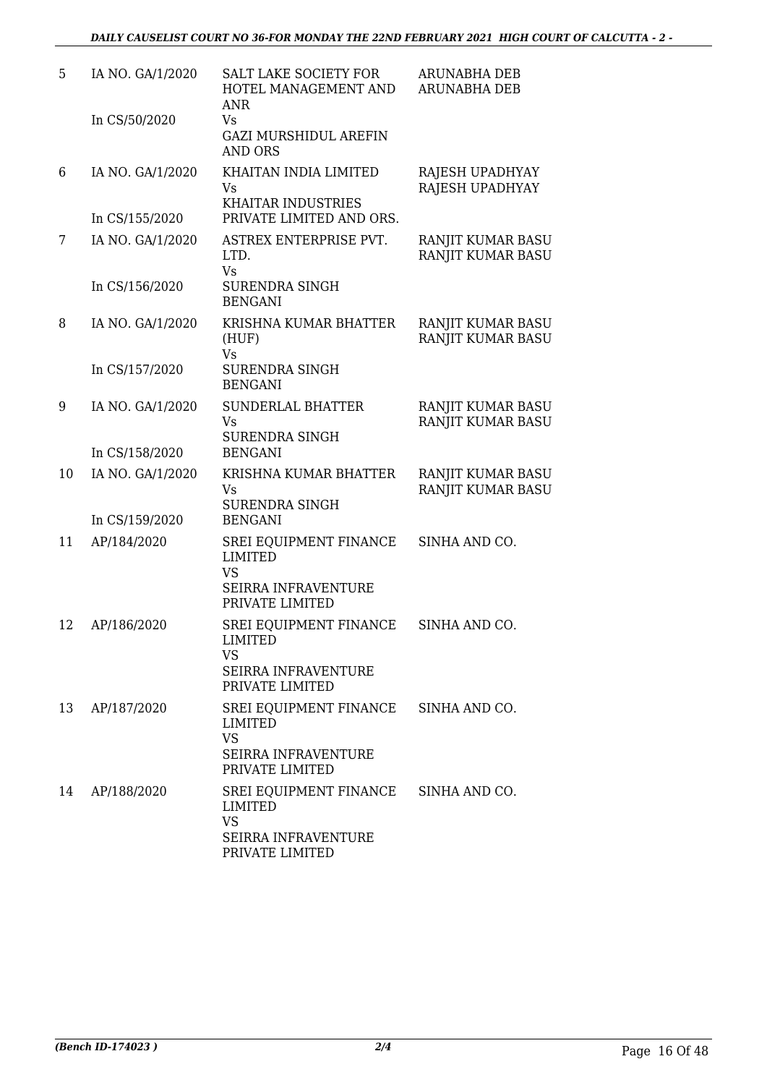| 5  | IA NO. GA/1/2020 | SALT LAKE SOCIETY FOR<br>HOTEL MANAGEMENT AND<br>ANR                                                   | <b>ARUNABHA DEB</b><br><b>ARUNABHA DEB</b> |
|----|------------------|--------------------------------------------------------------------------------------------------------|--------------------------------------------|
|    | In CS/50/2020    | Vs.<br><b>GAZI MURSHIDUL AREFIN</b><br><b>AND ORS</b>                                                  |                                            |
| 6  | IA NO. GA/1/2020 | KHAITAN INDIA LIMITED<br><b>Vs</b><br><b>KHAITAR INDUSTRIES</b>                                        | RAJESH UPADHYAY<br>RAJESH UPADHYAY         |
|    | In CS/155/2020   | PRIVATE LIMITED AND ORS.                                                                               |                                            |
| 7  | IA NO. GA/1/2020 | ASTREX ENTERPRISE PVT.<br>LTD.<br><b>Vs</b>                                                            | RANJIT KUMAR BASU<br>RANJIT KUMAR BASU     |
|    | In CS/156/2020   | <b>SURENDRA SINGH</b><br><b>BENGANI</b>                                                                |                                            |
| 8  | IA NO. GA/1/2020 | KRISHNA KUMAR BHATTER<br>(HUF)<br>Vs                                                                   | RANJIT KUMAR BASU<br>RANJIT KUMAR BASU     |
|    | In CS/157/2020   | <b>SURENDRA SINGH</b><br><b>BENGANI</b>                                                                |                                            |
| 9  | IA NO. GA/1/2020 | <b>SUNDERLAL BHATTER</b><br><b>Vs</b><br><b>SURENDRA SINGH</b>                                         | RANJIT KUMAR BASU<br>RANJIT KUMAR BASU     |
|    | In CS/158/2020   | <b>BENGANI</b>                                                                                         |                                            |
| 10 | IA NO. GA/1/2020 | KRISHNA KUMAR BHATTER<br>Vs<br><b>SURENDRA SINGH</b>                                                   | RANJIT KUMAR BASU<br>RANJIT KUMAR BASU     |
|    | In CS/159/2020   | <b>BENGANI</b>                                                                                         |                                            |
| 11 | AP/184/2020      | SREI EQUIPMENT FINANCE<br><b>LIMITED</b><br><b>VS</b><br><b>SEIRRA INFRAVENTURE</b><br>PRIVATE LIMITED | SINHA AND CO.                              |
| 12 | AP/186/2020      | SREI EQUIPMENT FINANCE<br>LIMITED<br><b>VS</b><br>SEIRRA INFRAVENTURE<br>PRIVATE LIMITED               | SINHA AND CO.                              |
| 13 | AP/187/2020      | SREI EQUIPMENT FINANCE<br><b>LIMITED</b><br><b>VS</b><br><b>SEIRRA INFRAVENTURE</b><br>PRIVATE LIMITED | SINHA AND CO.                              |
| 14 | AP/188/2020      | SREI EQUIPMENT FINANCE<br>LIMITED<br><b>VS</b><br><b>SEIRRA INFRAVENTURE</b><br>PRIVATE LIMITED        | SINHA AND CO.                              |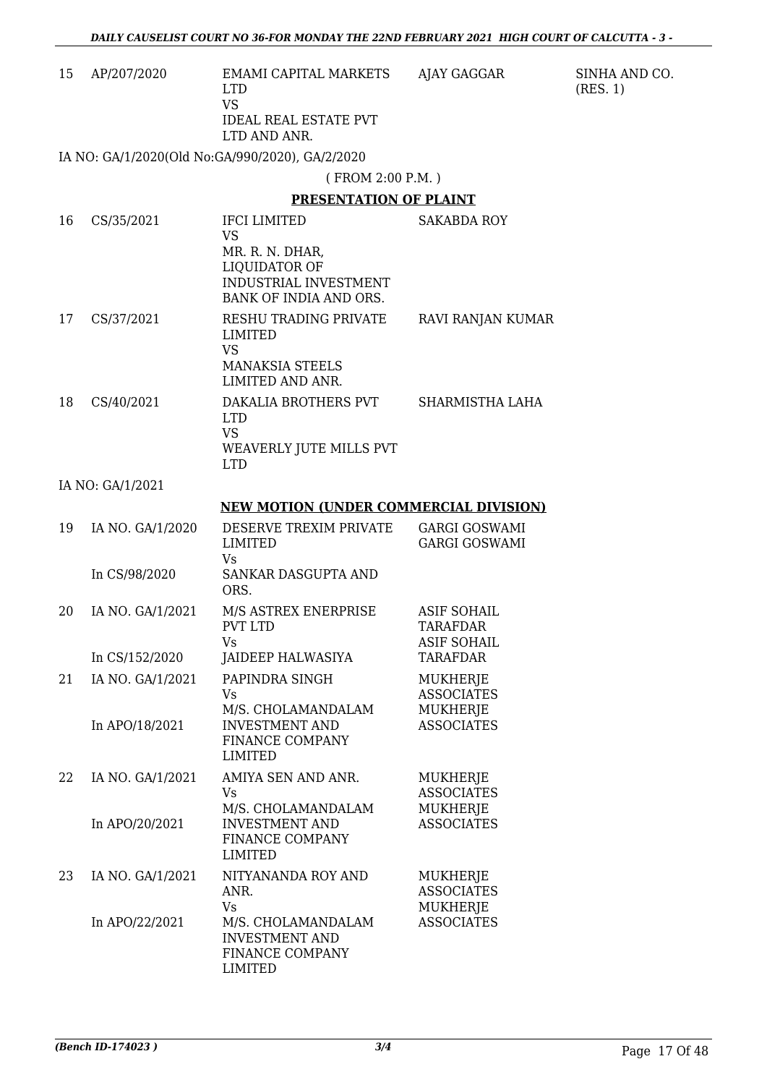|    |                  | - DAILY CAUSELIST COURT NO 36-FOR MONDAY THE 22ND FEBRUARY 2021  HIGH COURT OF CALCUTTA - 3             |                                                             |                           |
|----|------------------|---------------------------------------------------------------------------------------------------------|-------------------------------------------------------------|---------------------------|
| 15 | AP/207/2020      | <b>EMAMI CAPITAL MARKETS</b><br><b>LTD</b><br><b>VS</b><br><b>IDEAL REAL ESTATE PVT</b><br>LTD AND ANR. | AJAY GAGGAR                                                 | SINHA AND CO.<br>(RES. 1) |
|    |                  | IA NO: GA/1/2020(Old No:GA/990/2020), GA/2/2020                                                         |                                                             |                           |
|    |                  | (FROM 2:00 P.M.)                                                                                        |                                                             |                           |
|    |                  | <b>PRESENTATION OF PLAINT</b>                                                                           |                                                             |                           |
| 16 | CS/35/2021       | <b>IFCI LIMITED</b>                                                                                     | <b>SAKABDA ROY</b>                                          |                           |
|    |                  | <b>VS</b><br>MR. R. N. DHAR,<br><b>LIQUIDATOR OF</b><br>INDUSTRIAL INVESTMENT<br>BANK OF INDIA AND ORS. |                                                             |                           |
| 17 | CS/37/2021       | RESHU TRADING PRIVATE<br><b>LIMITED</b><br><b>VS</b><br><b>MANAKSIA STEELS</b><br>LIMITED AND ANR.      | RAVI RANJAN KUMAR                                           |                           |
| 18 | CS/40/2021       | DAKALIA BROTHERS PVT<br><b>LTD</b><br><b>VS</b><br>WEAVERLY JUTE MILLS PVT<br><b>LTD</b>                | SHARMISTHA LAHA                                             |                           |
|    | IA NO: GA/1/2021 |                                                                                                         |                                                             |                           |
|    |                  | <b>NEW MOTION (UNDER COMMERCIAL DIVISION)</b>                                                           |                                                             |                           |
| 19 | IA NO. GA/1/2020 | DESERVE TREXIM PRIVATE<br><b>LIMITED</b><br><b>Vs</b>                                                   | <b>GARGI GOSWAMI</b><br><b>GARGI GOSWAMI</b>                |                           |
|    | In CS/98/2020    | SANKAR DASGUPTA AND<br>ORS.                                                                             |                                                             |                           |
| 20 | IA NO. GA/1/2021 | M/S ASTREX ENERPRISE<br>PVT LTD<br><b>Vs</b>                                                            | <b>ASIF SOHAIL</b><br><b>TARAFDAR</b><br><b>ASIF SOHAIL</b> |                           |
|    | In CS/152/2020   | JAIDEEP HALWASIYA                                                                                       | <b>TARAFDAR</b>                                             |                           |
| 21 | IA NO. GA/1/2021 | PAPINDRA SINGH<br>Vs                                                                                    | <b>MUKHERJE</b><br><b>ASSOCIATES</b>                        |                           |
|    | In APO/18/2021   | M/S. CHOLAMANDALAM<br><b>INVESTMENT AND</b><br>FINANCE COMPANY<br><b>LIMITED</b>                        | MUKHERJE<br><b>ASSOCIATES</b>                               |                           |
| 22 | IA NO. GA/1/2021 | AMIYA SEN AND ANR.<br><b>Vs</b><br>M/S. CHOLAMANDALAM                                                   | MUKHERJE<br><b>ASSOCIATES</b>                               |                           |
|    | In APO/20/2021   | <b>INVESTMENT AND</b><br>FINANCE COMPANY<br><b>LIMITED</b>                                              | MUKHERJE<br><b>ASSOCIATES</b>                               |                           |
| 23 | IA NO. GA/1/2021 | NITYANANDA ROY AND<br>ANR.<br><b>Vs</b>                                                                 | MUKHERJE<br><b>ASSOCIATES</b><br>MUKHERJE                   |                           |
|    | In APO/22/2021   | M/S. CHOLAMANDALAM<br><b>INVESTMENT AND</b><br>FINANCE COMPANY                                          | <b>ASSOCIATES</b>                                           |                           |

LIMITED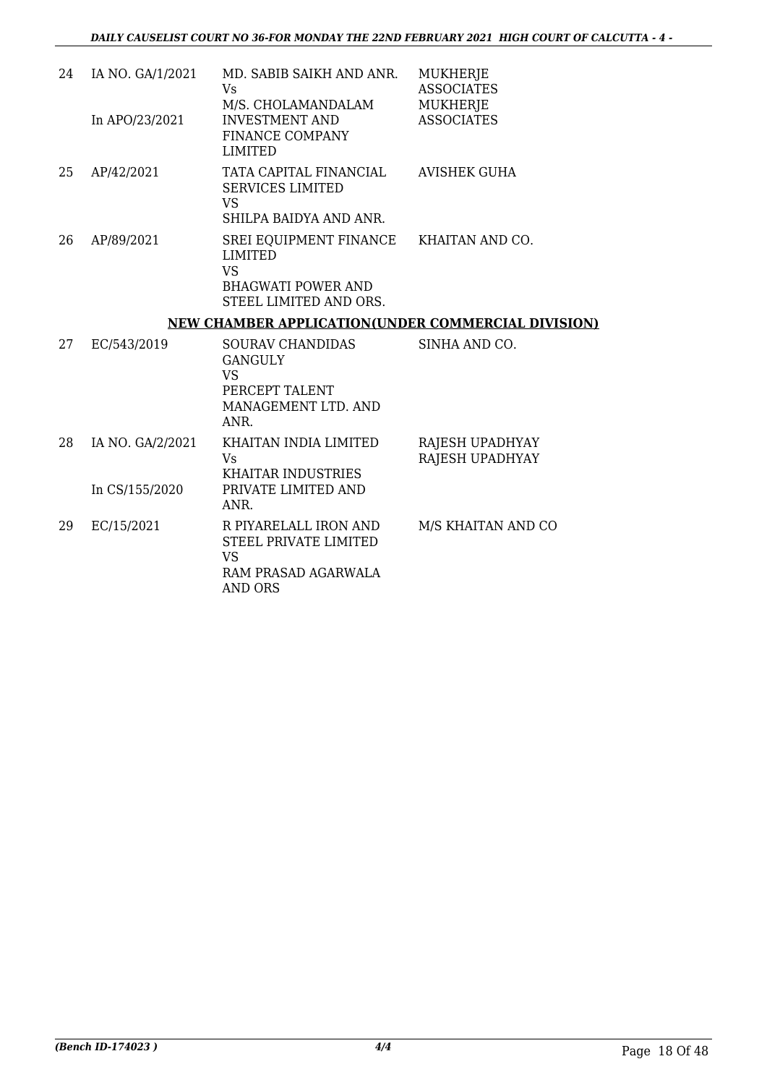| 24 | IA NO. GA/1/2021                   | MD. SABIB SAIKH AND ANR.<br>Vs                                                                                               | <b>MUKHERJE</b><br><b>ASSOCIATES</b> |
|----|------------------------------------|------------------------------------------------------------------------------------------------------------------------------|--------------------------------------|
|    | In APO/23/2021                     | M/S. CHOLAMANDALAM<br><b>INVESTMENT AND</b><br><b>FINANCE COMPANY</b><br><b>LIMITED</b>                                      | <b>MUKHERJE</b><br><b>ASSOCIATES</b> |
| 25 | AP/42/2021                         | TATA CAPITAL FINANCIAL<br><b>SERVICES LIMITED</b><br>VS<br>SHILPA BAIDYA AND ANR.                                            | AVISHEK GUHA                         |
| 26 | AP/89/2021                         | SREI EQUIPMENT FINANCE KHAITAN AND CO.<br><b>LIMITED</b><br><b>VS</b><br><b>BHAGWATI POWER AND</b><br>STEEL LIMITED AND ORS. |                                      |
|    |                                    | <b>NEW CHAMBER APPLICATION(UNDER COMMERCIAL DIVISION)</b>                                                                    |                                      |
| 27 | EC/543/2019                        | <b>SOURAV CHANDIDAS</b><br><b>GANGULY</b><br><b>VS</b><br>PERCEPT TALENT<br>MANAGEMENT LTD. AND<br>ANR.                      | SINHA AND CO.                        |
| 28 | IA NO. GA/2/2021<br>In CS/155/2020 | KHAITAN INDIA LIMITED<br>Vs<br><b>KHAITAR INDUSTRIES</b><br>PRIVATE LIMITED AND                                              | RAJESH UPADHYAY<br>RAJESH UPADHYAY   |
|    |                                    | ANR.                                                                                                                         |                                      |
| 29 | EC/15/2021                         | R PIYARELALL IRON AND                                                                                                        | M/S KHAITAN AND CO                   |

STEEL PRIVATE LIMITED VS RAM PRASAD AGARWALA AND ORS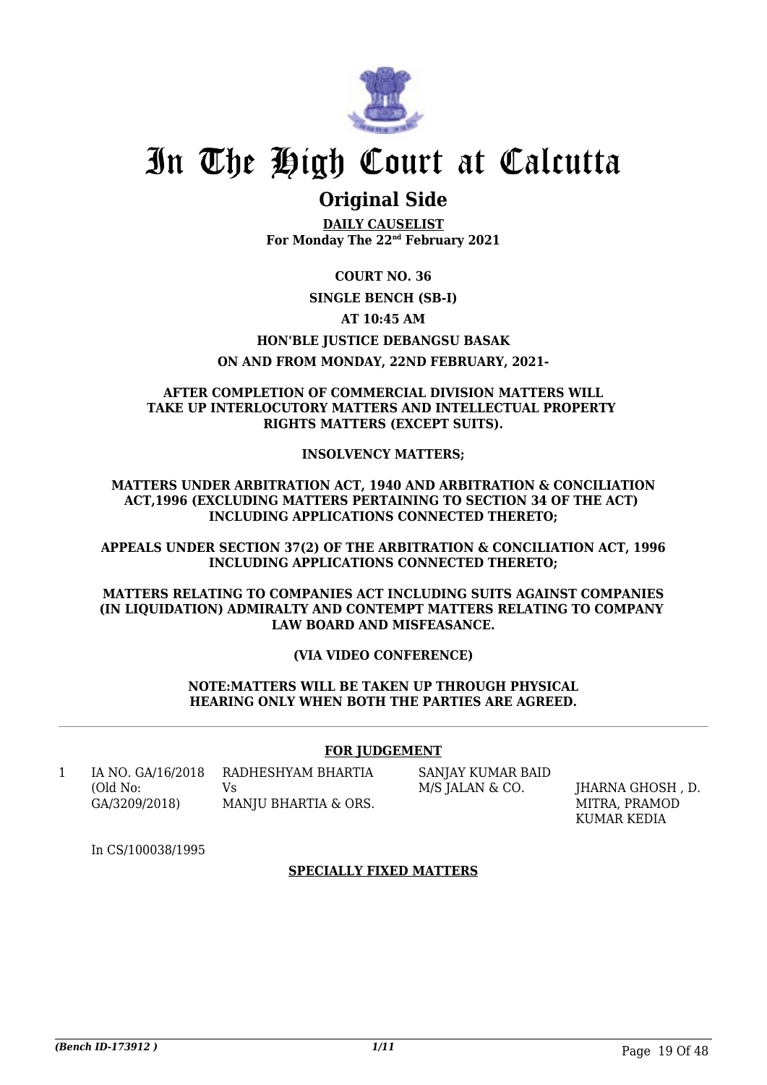

### **Original Side**

**DAILY CAUSELIST For Monday The 22nd February 2021**

**COURT NO. 36**

#### **SINGLE BENCH (SB-I)**

#### **AT 10:45 AM**

#### **HON'BLE JUSTICE DEBANGSU BASAK**

#### **ON AND FROM MONDAY, 22ND FEBRUARY, 2021-**

#### **AFTER COMPLETION OF COMMERCIAL DIVISION MATTERS WILL TAKE UP INTERLOCUTORY MATTERS AND INTELLECTUAL PROPERTY RIGHTS MATTERS (EXCEPT SUITS).**

#### **INSOLVENCY MATTERS;**

**MATTERS UNDER ARBITRATION ACT, 1940 AND ARBITRATION & CONCILIATION ACT,1996 (EXCLUDING MATTERS PERTAINING TO SECTION 34 OF THE ACT) INCLUDING APPLICATIONS CONNECTED THERETO;**

**APPEALS UNDER SECTION 37(2) OF THE ARBITRATION & CONCILIATION ACT, 1996 INCLUDING APPLICATIONS CONNECTED THERETO;**

#### **MATTERS RELATING TO COMPANIES ACT INCLUDING SUITS AGAINST COMPANIES (IN LIQUIDATION) ADMIRALTY AND CONTEMPT MATTERS RELATING TO COMPANY LAW BOARD AND MISFEASANCE.**

#### **(VIA VIDEO CONFERENCE)**

#### **NOTE:MATTERS WILL BE TAKEN UP THROUGH PHYSICAL HEARING ONLY WHEN BOTH THE PARTIES ARE AGREED.**

#### **FOR JUDGEMENT**

1 IA NO. GA/16/2018 (Old No: GA/3209/2018)

RADHESHYAM BHARTIA  $V<sub>c</sub>$ MANJU BHARTIA & ORS. SANJAY KUMAR BAID M/S JALAN & CO. **IHARNA GHOSH** , D.

MITRA, PRAMOD KUMAR KEDIA

In CS/100038/1995

#### **SPECIALLY FIXED MATTERS**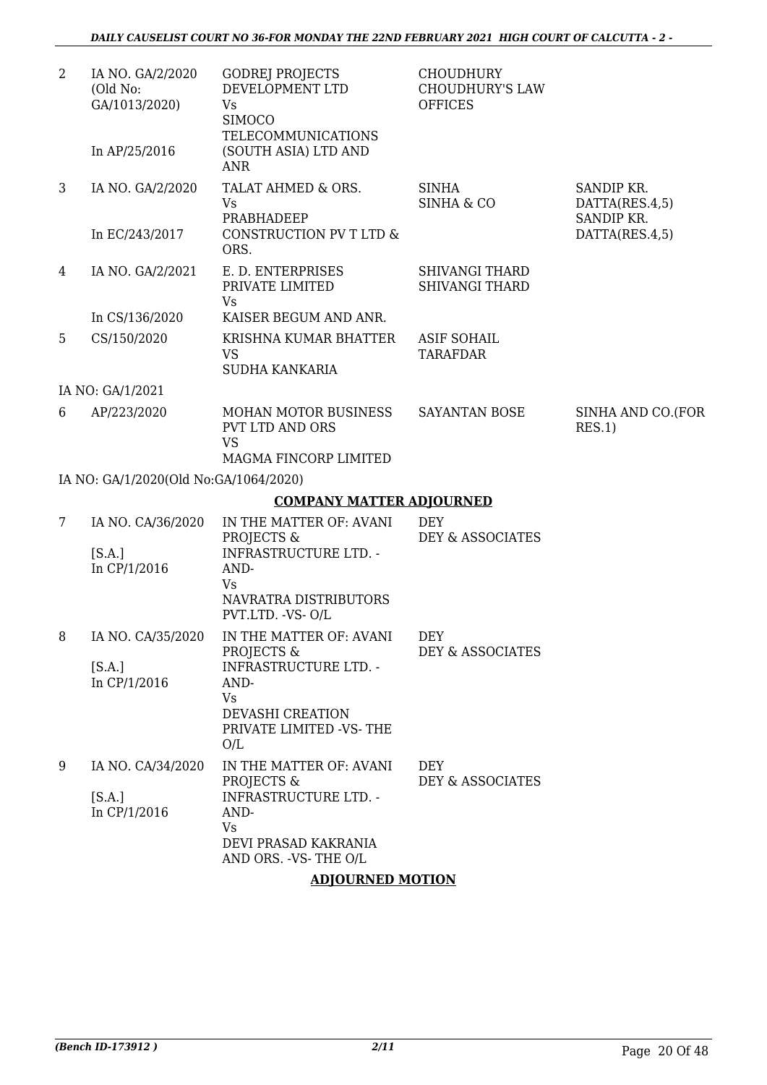| $\overline{2}$ | IA NO. GA/2/2020<br>(Old No:<br>GA/1013/2020)<br>In AP/25/2016 | <b>GODREJ PROJECTS</b><br>DEVELOPMENT LTD<br>Vs<br><b>SIMOCO</b><br><b>TELECOMMUNICATIONS</b><br>(SOUTH ASIA) LTD AND<br><b>ANR</b>                                | <b>CHOUDHURY</b><br><b>CHOUDHURY'S LAW</b><br><b>OFFICES</b> |                                                              |
|----------------|----------------------------------------------------------------|--------------------------------------------------------------------------------------------------------------------------------------------------------------------|--------------------------------------------------------------|--------------------------------------------------------------|
| 3              | IA NO. GA/2/2020<br>In EC/243/2017                             | TALAT AHMED & ORS.<br><b>Vs</b><br>PRABHADEEP<br>CONSTRUCTION PV T LTD &<br>ORS.                                                                                   | <b>SINHA</b><br><b>SINHA &amp; CO</b>                        | SANDIP KR.<br>DATTA(RES.4,5)<br>SANDIP KR.<br>DATTA(RES.4,5) |
| 4              | IA NO. GA/2/2021                                               | E. D. ENTERPRISES<br>PRIVATE LIMITED<br>Vs                                                                                                                         | <b>SHIVANGI THARD</b><br><b>SHIVANGI THARD</b>               |                                                              |
| 5              | In CS/136/2020<br>CS/150/2020                                  | KAISER BEGUM AND ANR.<br>KRISHNA KUMAR BHATTER<br><b>VS</b><br><b>SUDHA KANKARIA</b>                                                                               | <b>ASIF SOHAIL</b><br><b>TARAFDAR</b>                        |                                                              |
|                | IA NO: GA/1/2021                                               |                                                                                                                                                                    |                                                              |                                                              |
| 6              | AP/223/2020                                                    | <b>MOHAN MOTOR BUSINESS</b><br>PVT LTD AND ORS<br><b>VS</b><br>MAGMA FINCORP LIMITED                                                                               | <b>SAYANTAN BOSE</b>                                         | SINHA AND CO.(FOR<br>RES.1)                                  |
|                | IA NO: GA/1/2020(Old No:GA/1064/2020)                          |                                                                                                                                                                    |                                                              |                                                              |
|                |                                                                | <b>COMPANY MATTER ADJOURNED</b>                                                                                                                                    |                                                              |                                                              |
| 7              | IA NO. CA/36/2020<br>[S.A.]<br>In CP/1/2016                    | IN THE MATTER OF: AVANI<br>PROJECTS &<br><b>INFRASTRUCTURE LTD. -</b><br>AND-<br><b>Vs</b><br>NAVRATRA DISTRIBUTORS<br>PVT.LTD. - VS- O/L                          | <b>DEY</b><br>DEY & ASSOCIATES                               |                                                              |
| 8              | [S.A.]<br>In CP/1/2016                                         | IA NO. CA/35/2020 IN THE MATTER OF: AVANI<br>PROJECTS &<br><b>INFRASTRUCTURE LTD. -</b><br>AND-<br><b>Vs</b><br>DEVASHI CREATION<br>PRIVATE LIMITED -VS-THE<br>O/L | DEY<br>DEY & ASSOCIATES                                      |                                                              |
| 9              | IA NO. CA/34/2020<br>[S.A.]<br>In CP/1/2016                    | IN THE MATTER OF: AVANI<br>PROJECTS &<br><b>INFRASTRUCTURE LTD. -</b><br>AND-<br><b>Vs</b><br>DEVI PRASAD KAKRANIA<br>AND ORS. - VS- THE O/L                       | <b>DEY</b><br>DEY & ASSOCIATES                               |                                                              |

#### **ADJOURNED MOTION**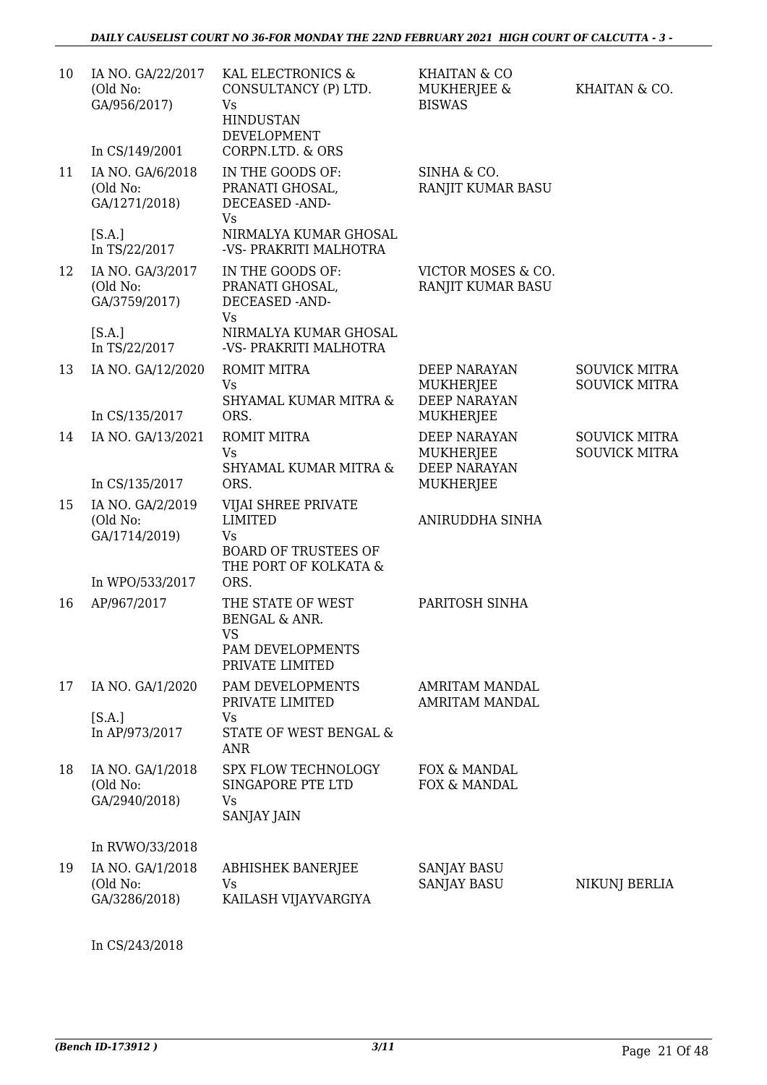| 10 | IA NO. GA/22/2017<br>(Old No:<br>GA/956/2017) | KAL ELECTRONICS &<br>CONSULTANCY (P) LTD.<br>Vs<br><b>HINDUSTAN</b><br>DEVELOPMENT         | <b>KHAITAN &amp; CO</b><br>MUKHERJEE &<br><b>BISWAS</b> | KHAITAN & CO.        |
|----|-----------------------------------------------|--------------------------------------------------------------------------------------------|---------------------------------------------------------|----------------------|
|    | In CS/149/2001                                | CORPN.LTD. & ORS                                                                           |                                                         |                      |
| 11 | IA NO. GA/6/2018<br>(Old No:<br>GA/1271/2018) | IN THE GOODS OF:<br>PRANATI GHOSAL,<br>DECEASED -AND-<br>Vs                                | SINHA & CO.<br>RANJIT KUMAR BASU                        |                      |
|    | [S.A.]<br>In TS/22/2017                       | NIRMALYA KUMAR GHOSAL<br>-VS- PRAKRITI MALHOTRA                                            |                                                         |                      |
| 12 | IA NO. GA/3/2017<br>(Old No:<br>GA/3759/2017) | IN THE GOODS OF:<br>PRANATI GHOSAL,<br>DECEASED -AND-<br>Vs                                | VICTOR MOSES & CO.<br>RANJIT KUMAR BASU                 |                      |
|    | [S.A.]<br>In TS/22/2017                       | NIRMALYA KUMAR GHOSAL<br>-VS- PRAKRITI MALHOTRA                                            |                                                         |                      |
| 13 | IA NO. GA/12/2020                             | ROMIT MITRA                                                                                | DEEP NARAYAN                                            | <b>SOUVICK MITRA</b> |
|    | In CS/135/2017                                | Vs<br>SHYAMAL KUMAR MITRA &<br>ORS.                                                        | <b>MUKHERJEE</b><br><b>DEEP NARAYAN</b><br>MUKHERJEE    | <b>SOUVICK MITRA</b> |
| 14 | IA NO. GA/13/2021                             | ROMIT MITRA                                                                                | <b>DEEP NARAYAN</b>                                     | <b>SOUVICK MITRA</b> |
|    | In CS/135/2017                                | <b>Vs</b><br>SHYAMAL KUMAR MITRA &<br>ORS.                                                 | MUKHERJEE<br><b>DEEP NARAYAN</b><br>MUKHERJEE           | <b>SOUVICK MITRA</b> |
| 15 | IA NO. GA/2/2019<br>(Old No:<br>GA/1714/2019) | VIJAI SHREE PRIVATE<br><b>LIMITED</b><br>Vs<br><b>BOARD OF TRUSTEES OF</b>                 | ANIRUDDHA SINHA                                         |                      |
|    | In WPO/533/2017                               | THE PORT OF KOLKATA &<br>ORS.                                                              |                                                         |                      |
| 16 | AP/967/2017                                   | THE STATE OF WEST<br><b>BENGAL &amp; ANR.</b><br>VS<br>PAM DEVELOPMENTS<br>PRIVATE LIMITED | PARITOSH SINHA                                          |                      |
| 17 | IA NO. GA/1/2020                              | PAM DEVELOPMENTS<br>PRIVATE LIMITED                                                        | AMRITAM MANDAL<br><b>AMRITAM MANDAL</b>                 |                      |
|    | [S.A.]<br>In AP/973/2017                      | Vs<br>STATE OF WEST BENGAL &<br><b>ANR</b>                                                 |                                                         |                      |
| 18 | IA NO. GA/1/2018<br>(Old No:<br>GA/2940/2018) | SPX FLOW TECHNOLOGY<br>SINGAPORE PTE LTD<br><b>Vs</b><br><b>SANJAY JAIN</b>                | FOX & MANDAL<br>FOX & MANDAL                            |                      |
|    | In RVWO/33/2018                               |                                                                                            |                                                         |                      |
| 19 | IA NO. GA/1/2018<br>(Old No:<br>GA/3286/2018) | <b>ABHISHEK BANERJEE</b><br>Vs<br>KAILASH VIJAYVARGIYA                                     | <b>SANJAY BASU</b><br><b>SANJAY BASU</b>                | NIKUNJ BERLIA        |

In CS/243/2018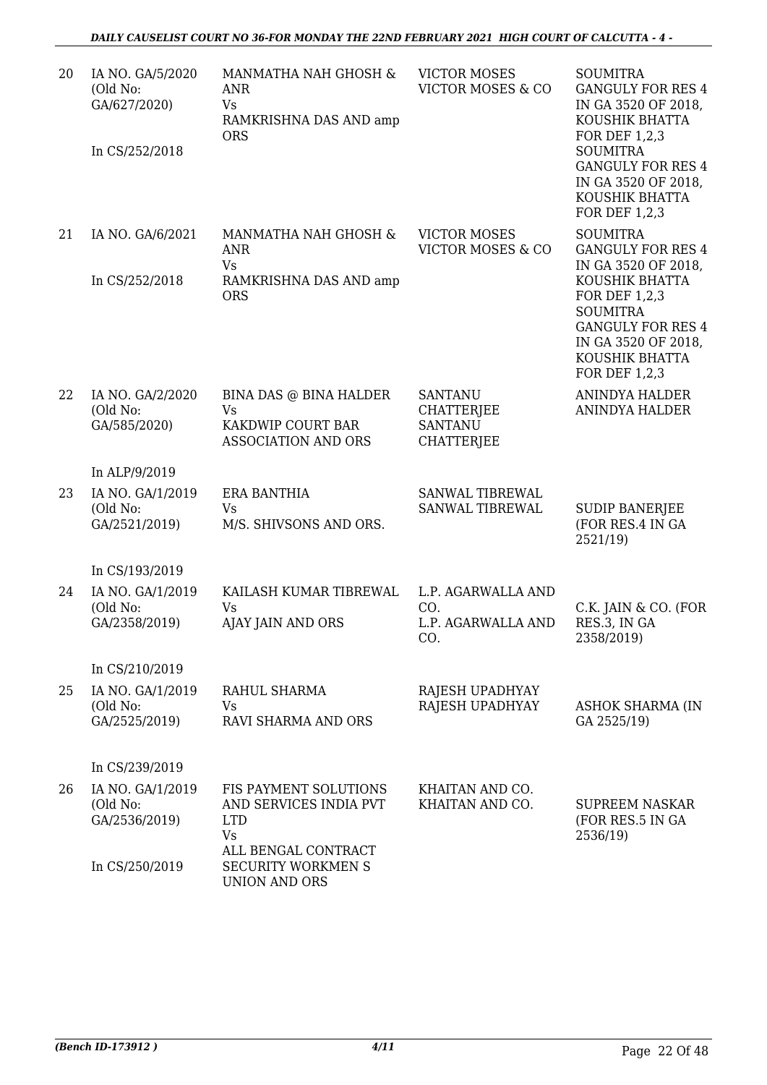| 20 | IA NO. GA/5/2020<br>(Old No:<br>GA/627/2020)<br>In CS/252/2018 | MANMATHA NAH GHOSH &<br>ANR<br><b>Vs</b><br>RAMKRISHNA DAS AND amp<br><b>ORS</b>       | <b>VICTOR MOSES</b><br><b>VICTOR MOSES &amp; CO</b>                        | <b>SOUMITRA</b><br><b>GANGULY FOR RES 4</b><br>IN GA 3520 OF 2018,<br>KOUSHIK BHATTA<br>FOR DEF 1,2,3<br><b>SOUMITRA</b><br><b>GANGULY FOR RES 4</b><br>IN GA 3520 OF 2018,<br>KOUSHIK BHATTA<br>FOR DEF 1,2,3 |
|----|----------------------------------------------------------------|----------------------------------------------------------------------------------------|----------------------------------------------------------------------------|----------------------------------------------------------------------------------------------------------------------------------------------------------------------------------------------------------------|
| 21 | IA NO. GA/6/2021                                               | MANMATHA NAH GHOSH &<br><b>ANR</b><br><b>Vs</b>                                        | <b>VICTOR MOSES</b><br><b>VICTOR MOSES &amp; CO</b>                        | <b>SOUMITRA</b><br><b>GANGULY FOR RES 4</b><br>IN GA 3520 OF 2018,                                                                                                                                             |
|    | In CS/252/2018                                                 | RAMKRISHNA DAS AND amp<br><b>ORS</b>                                                   |                                                                            | KOUSHIK BHATTA<br>FOR DEF 1,2,3<br><b>SOUMITRA</b><br><b>GANGULY FOR RES 4</b><br>IN GA 3520 OF 2018,<br>KOUSHIK BHATTA<br><b>FOR DEF 1,2,3</b>                                                                |
| 22 | IA NO. GA/2/2020<br>(Old No:<br>GA/585/2020)                   | BINA DAS @ BINA HALDER<br><b>Vs</b><br>KAKDWIP COURT BAR<br><b>ASSOCIATION AND ORS</b> | <b>SANTANU</b><br><b>CHATTERJEE</b><br><b>SANTANU</b><br><b>CHATTERJEE</b> | <b>ANINDYA HALDER</b><br><b>ANINDYA HALDER</b>                                                                                                                                                                 |
|    | In ALP/9/2019                                                  |                                                                                        |                                                                            |                                                                                                                                                                                                                |
| 23 | IA NO. GA/1/2019<br>(Old No:<br>GA/2521/2019)                  | <b>ERA BANTHIA</b><br><b>Vs</b><br>M/S. SHIVSONS AND ORS.                              | SANWAL TIBREWAL<br>SANWAL TIBREWAL                                         | <b>SUDIP BANERJEE</b><br>(FOR RES.4 IN GA<br>2521/19)                                                                                                                                                          |
|    | In CS/193/2019                                                 |                                                                                        |                                                                            |                                                                                                                                                                                                                |
| 24 | IA NO. GA/1/2019<br>(Old No:                                   | KAILASH KUMAR TIBREWAL<br><b>Vs</b>                                                    | L.P. AGARWALLA AND<br>CO.                                                  | C.K. JAIN & CO. (FOR                                                                                                                                                                                           |
|    | GA/2358/2019)                                                  | AJAY JAIN AND ORS                                                                      | L.P. AGARWALLA AND<br>CO.                                                  | RES.3, IN GA<br>2358/2019)                                                                                                                                                                                     |
|    | In CS/210/2019                                                 |                                                                                        |                                                                            |                                                                                                                                                                                                                |
| 25 | IA NO. GA/1/2019<br>(Old No:<br>GA/2525/2019)                  | RAHUL SHARMA<br>Vs<br>RAVI SHARMA AND ORS                                              | RAJESH UPADHYAY<br>RAJESH UPADHYAY                                         | <b>ASHOK SHARMA (IN</b><br>GA 2525/19)                                                                                                                                                                         |
|    | In CS/239/2019                                                 |                                                                                        |                                                                            |                                                                                                                                                                                                                |
| 26 | IA NO. GA/1/2019<br>(Old No:<br>GA/2536/2019)                  | FIS PAYMENT SOLUTIONS<br>AND SERVICES INDIA PVT<br><b>LTD</b><br><b>Vs</b>             | KHAITAN AND CO.<br>KHAITAN AND CO.                                         | <b>SUPREEM NASKAR</b><br>(FOR RES.5 IN GA<br>2536/19)                                                                                                                                                          |
|    | In CS/250/2019                                                 | ALL BENGAL CONTRACT<br><b>SECURITY WORKMEN S</b><br><b>UNION AND ORS</b>               |                                                                            |                                                                                                                                                                                                                |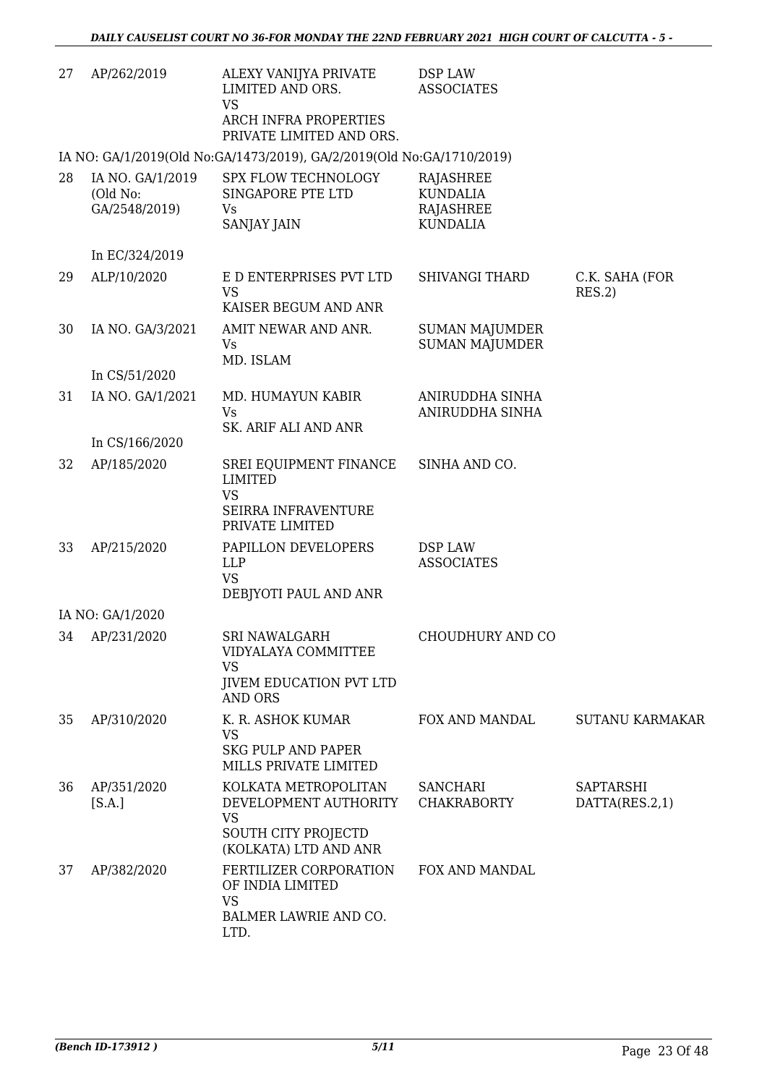| 27 | AP/262/2019                                   | ALEXY VANIJYA PRIVATE<br>LIMITED AND ORS.<br><b>VS</b><br>ARCH INFRA PROPERTIES<br>PRIVATE LIMITED AND ORS.       | DSP LAW<br><b>ASSOCIATES</b>                                 |                             |
|----|-----------------------------------------------|-------------------------------------------------------------------------------------------------------------------|--------------------------------------------------------------|-----------------------------|
|    |                                               | IA NO: GA/1/2019(Old No:GA/1473/2019), GA/2/2019(Old No:GA/1710/2019)                                             |                                                              |                             |
| 28 | IA NO. GA/1/2019<br>(Old No:<br>GA/2548/2019) | SPX FLOW TECHNOLOGY<br>SINGAPORE PTE LTD<br>Vs<br><b>SANJAY JAIN</b>                                              | RAJASHREE<br><b>KUNDALIA</b><br>RAJASHREE<br><b>KUNDALIA</b> |                             |
|    | In EC/324/2019                                |                                                                                                                   |                                                              |                             |
| 29 | ALP/10/2020                                   | E D ENTERPRISES PVT LTD<br><b>VS</b><br>KAISER BEGUM AND ANR                                                      | <b>SHIVANGI THARD</b>                                        | C.K. SAHA (FOR<br>RES.2)    |
| 30 | IA NO. GA/3/2021                              | AMIT NEWAR AND ANR.<br>Vs<br>MD. ISLAM                                                                            | <b>SUMAN MAJUMDER</b><br><b>SUMAN MAJUMDER</b>               |                             |
|    | In CS/51/2020                                 |                                                                                                                   |                                                              |                             |
| 31 | IA NO. GA/1/2021                              | MD. HUMAYUN KABIR<br><b>Vs</b><br>SK. ARIF ALI AND ANR                                                            | ANIRUDDHA SINHA<br>ANIRUDDHA SINHA                           |                             |
|    | In CS/166/2020                                |                                                                                                                   |                                                              |                             |
| 32 | AP/185/2020                                   | SREI EQUIPMENT FINANCE<br><b>LIMITED</b><br><b>VS</b><br>SEIRRA INFRAVENTURE<br>PRIVATE LIMITED                   | SINHA AND CO.                                                |                             |
| 33 | AP/215/2020                                   | PAPILLON DEVELOPERS<br><b>LLP</b><br><b>VS</b><br>DEBJYOTI PAUL AND ANR                                           | DSP LAW<br><b>ASSOCIATES</b>                                 |                             |
|    | IA NO: GA/1/2020                              |                                                                                                                   |                                                              |                             |
| 34 | AP/231/2020                                   | <b>SRI NAWALGARH</b><br>VIDYALAYA COMMITTEE<br><b>VS</b><br><b>JIVEM EDUCATION PVT LTD</b>                        | CHOUDHURY AND CO                                             |                             |
|    |                                               | <b>AND ORS</b>                                                                                                    |                                                              |                             |
| 35 | AP/310/2020                                   | K. R. ASHOK KUMAR<br><b>VS</b><br><b>SKG PULP AND PAPER</b><br>MILLS PRIVATE LIMITED                              | FOX AND MANDAL                                               | <b>SUTANU KARMAKAR</b>      |
| 36 | AP/351/2020<br>[S.A.]                         | KOLKATA METROPOLITAN<br>DEVELOPMENT AUTHORITY<br><b>VS</b><br><b>SOUTH CITY PROJECTD</b><br>(KOLKATA) LTD AND ANR | <b>SANCHARI</b><br><b>CHAKRABORTY</b>                        | SAPTARSHI<br>DATTA(RES.2,1) |
| 37 | AP/382/2020                                   | FERTILIZER CORPORATION<br>OF INDIA LIMITED<br><b>VS</b><br>BALMER LAWRIE AND CO.<br>LTD.                          | FOX AND MANDAL                                               |                             |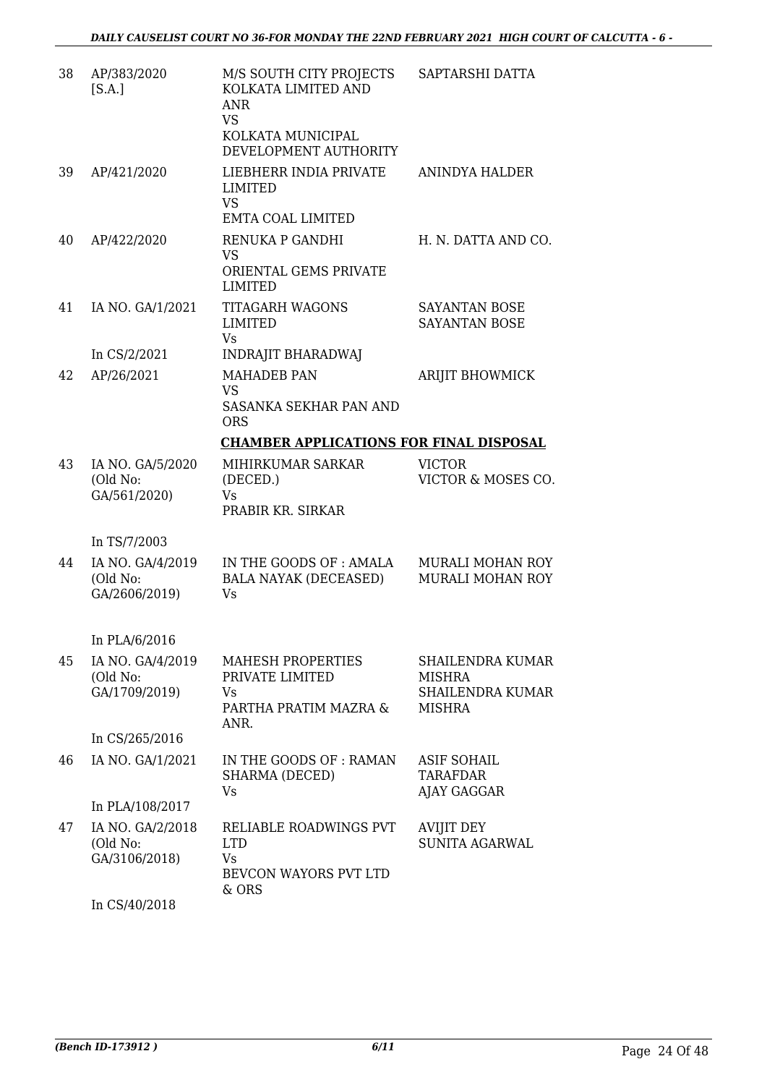| 38 | AP/383/2020<br>[S.A.]                                          | M/S SOUTH CITY PROJECTS<br>KOLKATA LIMITED AND<br><b>ANR</b><br><b>VS</b><br>KOLKATA MUNICIPAL<br>DEVELOPMENT AUTHORITY | SAPTARSHI DATTA                                                 |
|----|----------------------------------------------------------------|-------------------------------------------------------------------------------------------------------------------------|-----------------------------------------------------------------|
| 39 | AP/421/2020                                                    | LIEBHERR INDIA PRIVATE<br><b>LIMITED</b><br><b>VS</b><br><b>EMTA COAL LIMITED</b>                                       | ANINDYA HALDER                                                  |
| 40 | AP/422/2020                                                    | RENUKA P GANDHI<br><b>VS</b><br>ORIENTAL GEMS PRIVATE                                                                   | H. N. DATTA AND CO.                                             |
| 41 | IA NO. GA/1/2021                                               | <b>LIMITED</b><br><b>TITAGARH WAGONS</b><br>LIMITED<br><b>Vs</b>                                                        | SAYANTAN BOSE<br><b>SAYANTAN BOSE</b>                           |
|    | In $CS/2/2021$                                                 | <b>INDRAJIT BHARADWAJ</b>                                                                                               |                                                                 |
| 42 | AP/26/2021                                                     | <b>MAHADEB PAN</b><br><b>VS</b><br><b>SASANKA SEKHAR PAN AND</b><br><b>ORS</b>                                          | <b>ARIJIT BHOWMICK</b>                                          |
|    |                                                                | <b>CHAMBER APPLICATIONS FOR FINAL DISPOSAL</b>                                                                          |                                                                 |
| 43 | IA NO. GA/5/2020<br>(Old No:<br>GA/561/2020)                   | MIHIRKUMAR SARKAR<br>(DECED.)<br><b>Vs</b><br>PRABIR KR. SIRKAR                                                         | <b>VICTOR</b><br>VICTOR & MOSES CO.                             |
|    | In TS/7/2003                                                   |                                                                                                                         |                                                                 |
| 44 | IA NO. GA/4/2019<br>(Old No:<br>GA/2606/2019)                  | IN THE GOODS OF : AMALA<br>BALA NAYAK (DECEASED)<br><b>Vs</b>                                                           | <b>MURALI MOHAN ROY</b><br><b>MURALI MOHAN ROY</b>              |
|    |                                                                |                                                                                                                         |                                                                 |
| 45 | In PLA/6/2016<br>IA NO. GA/4/2019<br>(Old No:<br>GA/1709/2019) | MAHESH PROPERTIES<br>PRIVATE LIMITED<br>Vs<br>PARTHA PRATIM MAZRA &<br>ANR.                                             | SHAILENDRA KUMAR<br>MISHRA<br>SHAILENDRA KUMAR<br><b>MISHRA</b> |
|    | In CS/265/2016                                                 |                                                                                                                         |                                                                 |
| 46 | IA NO. GA/1/2021                                               | IN THE GOODS OF: RAMAN<br>SHARMA (DECED)<br>Vs                                                                          | <b>ASIF SOHAIL</b><br><b>TARAFDAR</b><br>AJAY GAGGAR            |
|    | In PLA/108/2017                                                |                                                                                                                         |                                                                 |
| 47 | IA NO. GA/2/2018<br>(Old No:<br>GA/3106/2018)                  | RELIABLE ROADWINGS PVT<br><b>LTD</b><br>Vs<br>BEVCON WAYORS PVT LTD<br>& ORS                                            | <b>AVIJIT DEY</b><br><b>SUNITA AGARWAL</b>                      |
|    | In CS/40/2018                                                  |                                                                                                                         |                                                                 |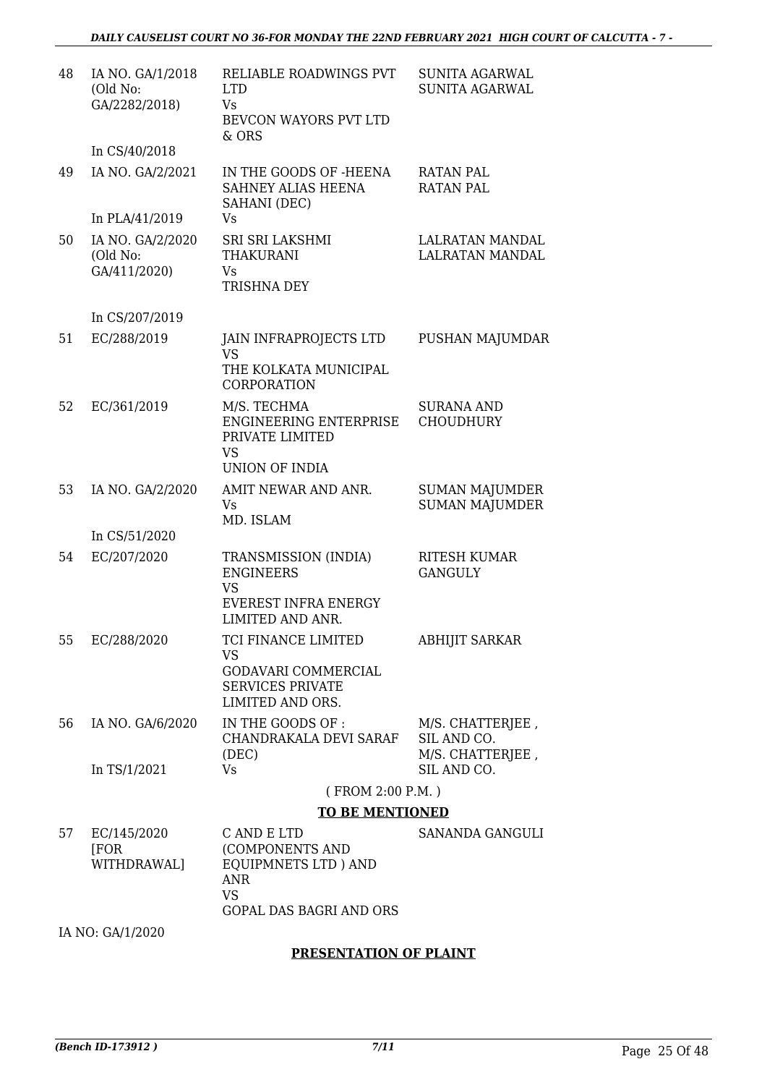| 48 | IA NO. GA/1/2018<br>(Old No:<br>GA/2282/2018) | RELIABLE ROADWINGS PVT<br><b>LTD</b><br>Vs<br>BEVCON WAYORS PVT LTD<br>& ORS                             | <b>SUNITA AGARWAL</b><br><b>SUNITA AGARWAL</b>      |
|----|-----------------------------------------------|----------------------------------------------------------------------------------------------------------|-----------------------------------------------------|
|    | In CS/40/2018                                 |                                                                                                          |                                                     |
| 49 | IA NO. GA/2/2021                              | IN THE GOODS OF -HEENA<br>SAHNEY ALIAS HEENA<br>SAHANI (DEC)                                             | <b>RATAN PAL</b><br><b>RATAN PAL</b>                |
|    | In PLA/41/2019                                | Vs                                                                                                       |                                                     |
| 50 | IA NO. GA/2/2020<br>(Old No:<br>GA/411/2020)  | SRI SRI LAKSHMI<br><b>THAKURANI</b><br>Vs<br>TRISHNA DEY                                                 | <b>LALRATAN MANDAL</b><br><b>LALRATAN MANDAL</b>    |
|    | In CS/207/2019                                |                                                                                                          |                                                     |
| 51 | EC/288/2019                                   | JAIN INFRAPROJECTS LTD<br><b>VS</b><br>THE KOLKATA MUNICIPAL<br>CORPORATION                              | PUSHAN MAJUMDAR                                     |
| 52 | EC/361/2019                                   | M/S. TECHMA<br><b>ENGINEERING ENTERPRISE</b><br>PRIVATE LIMITED<br><b>VS</b><br>UNION OF INDIA           | <b>SURANA AND</b><br><b>CHOUDHURY</b>               |
| 53 | IA NO. GA/2/2020                              | AMIT NEWAR AND ANR.<br>Vs<br>MD. ISLAM                                                                   | <b>SUMAN MAJUMDER</b><br><b>SUMAN MAJUMDER</b>      |
|    | In CS/51/2020                                 |                                                                                                          |                                                     |
| 54 | EC/207/2020                                   | TRANSMISSION (INDIA)<br><b>ENGINEERS</b><br><b>VS</b><br><b>EVEREST INFRA ENERGY</b><br>LIMITED AND ANR. | <b>RITESH KUMAR</b><br><b>GANGULY</b>               |
| 55 | EC/288/2020                                   | TCI FINANCE LIMITED<br>VS<br><b>GODAVARI COMMERCIAL</b><br><b>SERVICES PRIVATE</b><br>LIMITED AND ORS.   | <b>ABHIJIT SARKAR</b>                               |
| 56 | IA NO. GA/6/2020                              | IN THE GOODS OF :<br>CHANDRAKALA DEVI SARAF<br>(DEC)                                                     | M/S. CHATTERJEE,<br>SIL AND CO.<br>M/S. CHATTERJEE, |
|    | In TS/1/2021                                  | <b>Vs</b>                                                                                                | SIL AND CO.                                         |
|    |                                               | (FROM 2:00 P.M.)                                                                                         |                                                     |
|    |                                               | <b>TO BE MENTIONED</b>                                                                                   |                                                     |
| 57 | EC/145/2020<br>[FOR<br>WITHDRAWAL]            | C AND E LTD<br>(COMPONENTS AND<br>EQUIPMNETS LTD) AND<br><b>ANR</b>                                      | SANANDA GANGULI                                     |

IA NO: GA/1/2020

VS

GOPAL DAS BAGRI AND ORS

#### **PRESENTATION OF PLAINT**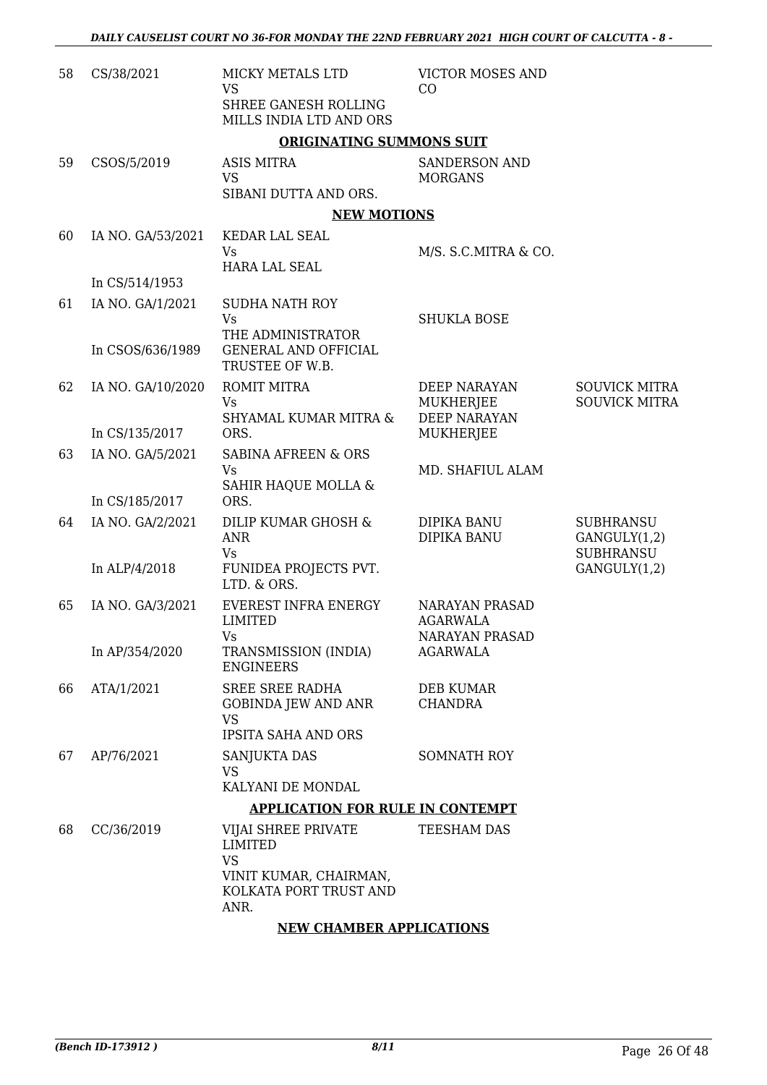| 58 | CS/38/2021        | MICKY METALS LTD<br><b>VS</b><br>SHREE GANESH ROLLING<br>MILLS INDIA LTD AND ORS                       | <b>VICTOR MOSES AND</b><br>CO                                     |                                                      |
|----|-------------------|--------------------------------------------------------------------------------------------------------|-------------------------------------------------------------------|------------------------------------------------------|
|    |                   | <b>ORIGINATING SUMMONS SUIT</b>                                                                        |                                                                   |                                                      |
| 59 | CSOS/5/2019       | <b>ASIS MITRA</b><br><b>VS</b><br>SIBANI DUTTA AND ORS.                                                | <b>SANDERSON AND</b><br><b>MORGANS</b>                            |                                                      |
|    |                   | <b>NEW MOTIONS</b>                                                                                     |                                                                   |                                                      |
| 60 | IA NO. GA/53/2021 | KEDAR LAL SEAL                                                                                         |                                                                   |                                                      |
|    |                   | <b>Vs</b>                                                                                              | M/S. S.C.MITRA & CO.                                              |                                                      |
|    | In CS/514/1953    | <b>HARA LAL SEAL</b>                                                                                   |                                                                   |                                                      |
| 61 | IA NO. GA/1/2021  | <b>SUDHA NATH ROY</b>                                                                                  |                                                                   |                                                      |
|    |                   | Vs                                                                                                     | <b>SHUKLA BOSE</b>                                                |                                                      |
|    |                   | THE ADMINISTRATOR                                                                                      |                                                                   |                                                      |
|    | In CSOS/636/1989  | <b>GENERAL AND OFFICIAL</b><br>TRUSTEE OF W.B.                                                         |                                                                   |                                                      |
| 62 | IA NO. GA/10/2020 | <b>ROMIT MITRA</b>                                                                                     | DEEP NARAYAN                                                      | <b>SOUVICK MITRA</b>                                 |
|    |                   | Vs                                                                                                     | <b>MUKHERJEE</b>                                                  | <b>SOUVICK MITRA</b>                                 |
|    |                   | <b>SHYAMAL KUMAR MITRA &amp;</b>                                                                       | <b>DEEP NARAYAN</b>                                               |                                                      |
|    | In CS/135/2017    | ORS.                                                                                                   | MUKHERJEE                                                         |                                                      |
| 63 | IA NO. GA/5/2021  | SABINA AFREEN & ORS<br><b>Vs</b>                                                                       | MD. SHAFIUL ALAM                                                  |                                                      |
|    |                   | SAHIR HAQUE MOLLA &                                                                                    |                                                                   |                                                      |
|    | In CS/185/2017    | ORS.                                                                                                   |                                                                   |                                                      |
| 64 | IA NO. GA/2/2021  | DILIP KUMAR GHOSH &<br><b>ANR</b><br>Vs                                                                | DIPIKA BANU<br>DIPIKA BANU                                        | <b>SUBHRANSU</b><br>GANGULY(1,2)<br><b>SUBHRANSU</b> |
|    | In ALP/4/2018     | FUNIDEA PROJECTS PVT.                                                                                  |                                                                   | GANGULY(1,2)                                         |
|    |                   | LTD. & ORS.                                                                                            |                                                                   |                                                      |
| 65 | IA NO. GA/3/2021  | <b>EVEREST INFRA ENERGY</b><br><b>LIMITED</b><br>$V$ s                                                 | <b>NARAYAN PRASAD</b><br><b>AGARWALA</b><br><b>NARAYAN PRASAD</b> |                                                      |
|    | In AP/354/2020    | TRANSMISSION (INDIA)<br><b>ENGINEERS</b>                                                               | <b>AGARWALA</b>                                                   |                                                      |
| 66 | ATA/1/2021        | SREE SREE RADHA                                                                                        | DEB KUMAR                                                         |                                                      |
|    |                   | GOBINDA JEW AND ANR<br>VS                                                                              | <b>CHANDRA</b>                                                    |                                                      |
|    |                   | <b>IPSITA SAHA AND ORS</b>                                                                             |                                                                   |                                                      |
| 67 | AP/76/2021        | SANJUKTA DAS                                                                                           | SOMNATH ROY                                                       |                                                      |
|    |                   | <b>VS</b>                                                                                              |                                                                   |                                                      |
|    |                   | KALYANI DE MONDAL                                                                                      |                                                                   |                                                      |
|    |                   | <b>APPLICATION FOR RULE IN CONTEMPT</b>                                                                |                                                                   |                                                      |
| 68 | CC/36/2019        | VIJAI SHREE PRIVATE<br><b>LIMITED</b><br><b>VS</b><br>VINIT KUMAR, CHAIRMAN,<br>KOLKATA PORT TRUST AND | TEESHAM DAS                                                       |                                                      |
|    |                   | ANR.                                                                                                   |                                                                   |                                                      |

### **NEW CHAMBER APPLICATIONS**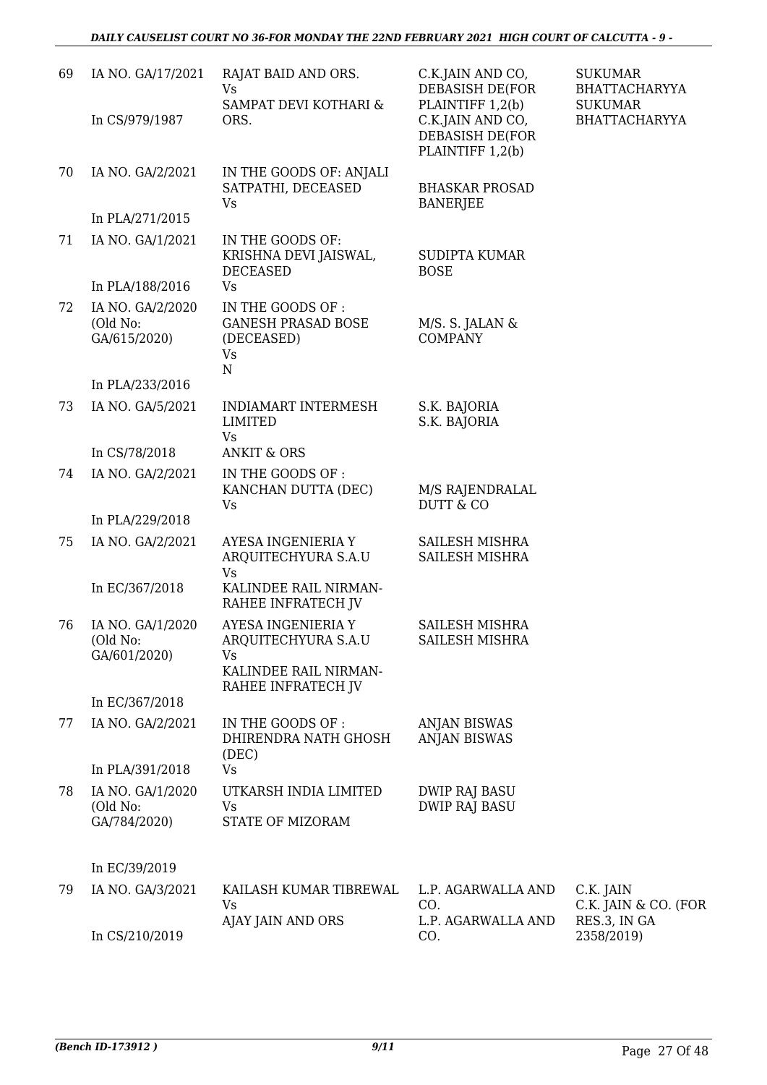| 69 | IA NO. GA/17/2021                            | RAJAT BAID AND ORS.<br><b>Vs</b><br>SAMPAT DEVI KOTHARI &                                      | C.K.JAIN AND CO,<br>DEBASISH DE(FOR<br>PLAINTIFF 1,2(b) | <b>SUKUMAR</b><br><b>BHATTACHARYYA</b>            |
|----|----------------------------------------------|------------------------------------------------------------------------------------------------|---------------------------------------------------------|---------------------------------------------------|
|    | In CS/979/1987                               | ORS.                                                                                           | C.K.JAIN AND CO,<br>DEBASISH DE(FOR<br>PLAINTIFF 1,2(b) | <b>SUKUMAR</b><br><b>BHATTACHARYYA</b>            |
| 70 | IA NO. GA/2/2021                             | IN THE GOODS OF: ANJALI<br>SATPATHI, DECEASED<br>Vs                                            | <b>BHASKAR PROSAD</b><br><b>BANERJEE</b>                |                                                   |
|    | In PLA/271/2015                              |                                                                                                |                                                         |                                                   |
| 71 | IA NO. GA/1/2021                             | IN THE GOODS OF:<br>KRISHNA DEVI JAISWAL,<br><b>DECEASED</b>                                   | <b>SUDIPTA KUMAR</b><br><b>BOSE</b>                     |                                                   |
|    | In PLA/188/2016                              | <b>Vs</b>                                                                                      |                                                         |                                                   |
| 72 | IA NO. GA/2/2020<br>(Old No:<br>GA/615/2020) | IN THE GOODS OF:<br><b>GANESH PRASAD BOSE</b><br>(DECEASED)<br><b>Vs</b><br>${\bf N}$          | M/S. S. JALAN &<br><b>COMPANY</b>                       |                                                   |
|    | In PLA/233/2016                              |                                                                                                |                                                         |                                                   |
| 73 | IA NO. GA/5/2021                             | <b>INDIAMART INTERMESH</b><br><b>LIMITED</b><br>Vs                                             | S.K. BAJORIA<br>S.K. BAJORIA                            |                                                   |
|    | In CS/78/2018                                | <b>ANKIT &amp; ORS</b>                                                                         |                                                         |                                                   |
| 74 | IA NO. GA/2/2021                             | IN THE GOODS OF :<br>KANCHAN DUTTA (DEC)<br>Vs                                                 | M/S RAJENDRALAL<br><b>DUTT &amp; CO</b>                 |                                                   |
|    | In PLA/229/2018                              |                                                                                                |                                                         |                                                   |
| 75 | IA NO. GA/2/2021                             | AYESA INGENIERIA Y<br>ARQUITECHYURA S.A.U<br><b>Vs</b>                                         | SAILESH MISHRA<br>SAILESH MISHRA                        |                                                   |
|    | In EC/367/2018                               | KALINDEE RAIL NIRMAN-<br>RAHEE INFRATECH JV                                                    |                                                         |                                                   |
| 76 | IA NO. GA/1/2020<br>(Old No:<br>GA/601/2020) | AYESA INGENIERIA Y<br>ARQUITECHYURA S.A.U<br>Vs<br>KALINDEE RAIL NIRMAN-<br>RAHEE INFRATECH JV | <b>SAILESH MISHRA</b><br>SAILESH MISHRA                 |                                                   |
|    | In EC/367/2018                               |                                                                                                |                                                         |                                                   |
| 77 | IA NO. GA/2/2021                             | IN THE GOODS OF:<br>DHIRENDRA NATH GHOSH<br>(DEC)                                              | <b>ANJAN BISWAS</b><br><b>ANJAN BISWAS</b>              |                                                   |
|    | In PLA/391/2018                              | <b>Vs</b>                                                                                      |                                                         |                                                   |
| 78 | IA NO. GA/1/2020<br>(Old No:<br>GA/784/2020) | UTKARSH INDIA LIMITED<br>Vs<br>STATE OF MIZORAM                                                | <b>DWIP RAJ BASU</b><br><b>DWIP RAJ BASU</b>            |                                                   |
|    | In EC/39/2019                                |                                                                                                |                                                         |                                                   |
| 79 | IA NO. GA/3/2021                             | KAILASH KUMAR TIBREWAL<br><b>Vs</b><br>AJAY JAIN AND ORS                                       | L.P. AGARWALLA AND<br>CO.<br>L.P. AGARWALLA AND         | C.K. JAIN<br>C.K. JAIN & CO. (FOR<br>RES.3, IN GA |
|    | In CS/210/2019                               |                                                                                                | CO.                                                     | 2358/2019)                                        |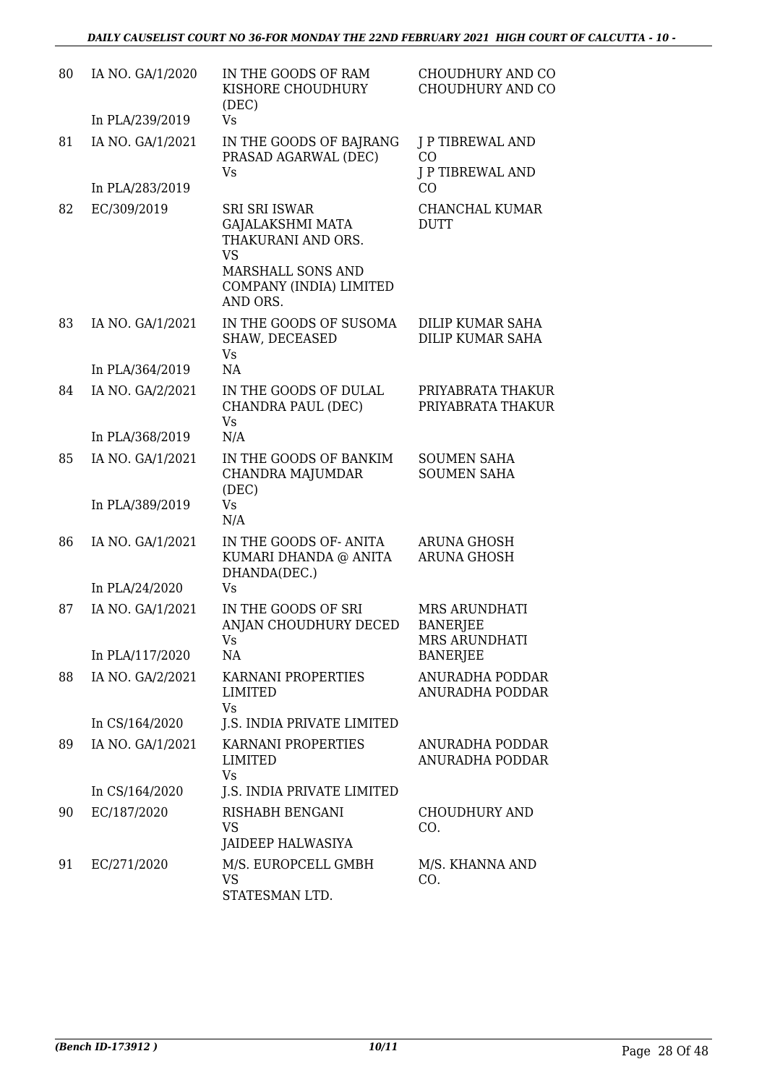| 80 | IA NO. GA/1/2020 | IN THE GOODS OF RAM<br>KISHORE CHOUDHURY<br>(DEC)                                                                                  | CHOUDHURY AND CO<br>CHOUDHURY AND CO              |
|----|------------------|------------------------------------------------------------------------------------------------------------------------------------|---------------------------------------------------|
|    | In PLA/239/2019  | <b>Vs</b>                                                                                                                          |                                                   |
| 81 | IA NO. GA/1/2021 | IN THE GOODS OF BAJRANG<br>PRASAD AGARWAL (DEC)                                                                                    | <b>J P TIBREWAL AND</b><br>CO                     |
|    | In PLA/283/2019  | Vs                                                                                                                                 | J P TIBREWAL AND<br>C <sub>O</sub>                |
| 82 | EC/309/2019      | <b>SRI SRI ISWAR</b><br><b>GAJALAKSHMI MATA</b><br>THAKURANI AND ORS.<br><b>VS</b><br>MARSHALL SONS AND<br>COMPANY (INDIA) LIMITED | CHANCHAL KUMAR<br><b>DUTT</b>                     |
|    |                  | AND ORS.                                                                                                                           |                                                   |
| 83 | IA NO. GA/1/2021 | IN THE GOODS OF SUSOMA<br>SHAW, DECEASED<br><b>Vs</b>                                                                              | DILIP KUMAR SAHA<br><b>DILIP KUMAR SAHA</b>       |
|    | In PLA/364/2019  | NA                                                                                                                                 |                                                   |
| 84 | IA NO. GA/2/2021 | IN THE GOODS OF DULAL<br>CHANDRA PAUL (DEC)<br><b>Vs</b>                                                                           | PRIYABRATA THAKUR<br>PRIYABRATA THAKUR            |
|    | In PLA/368/2019  | N/A                                                                                                                                |                                                   |
| 85 | IA NO. GA/1/2021 | IN THE GOODS OF BANKIM<br>CHANDRA MAJUMDAR<br>(DEC)                                                                                | <b>SOUMEN SAHA</b><br><b>SOUMEN SAHA</b>          |
|    | In PLA/389/2019  | <b>Vs</b><br>N/A                                                                                                                   |                                                   |
| 86 | IA NO. GA/1/2021 | IN THE GOODS OF-ANITA<br>KUMARI DHANDA @ ANITA<br>DHANDA(DEC.)                                                                     | <b>ARUNA GHOSH</b><br>ARUNA GHOSH                 |
|    | In PLA/24/2020   | Vs                                                                                                                                 |                                                   |
| 87 | IA NO. GA/1/2021 | IN THE GOODS OF SRI<br>ANJAN CHOUDHURY DECED<br>Vs                                                                                 | MRS ARUNDHATI<br><b>BANERJEE</b><br>MRS ARUNDHATI |
|    | In PLA/117/2020  | NA                                                                                                                                 | <b>BANERJEE</b>                                   |
| 88 | IA NO. GA/2/2021 | KARNANI PROPERTIES<br><b>LIMITED</b><br>Vs                                                                                         | ANURADHA PODDAR<br><b>ANURADHA PODDAR</b>         |
|    | In CS/164/2020   | <b>J.S. INDIA PRIVATE LIMITED</b>                                                                                                  |                                                   |
| 89 | IA NO. GA/1/2021 | KARNANI PROPERTIES<br>LIMITED<br><b>Vs</b>                                                                                         | ANURADHA PODDAR<br>ANURADHA PODDAR                |
|    | In CS/164/2020   | J.S. INDIA PRIVATE LIMITED                                                                                                         |                                                   |
| 90 | EC/187/2020      | RISHABH BENGANI<br>VS<br>JAIDEEP HALWASIYA                                                                                         | CHOUDHURY AND<br>CO.                              |
| 91 | EC/271/2020      | M/S. EUROPCELL GMBH<br><b>VS</b><br>STATESMAN LTD.                                                                                 | M/S. KHANNA AND<br>CO.                            |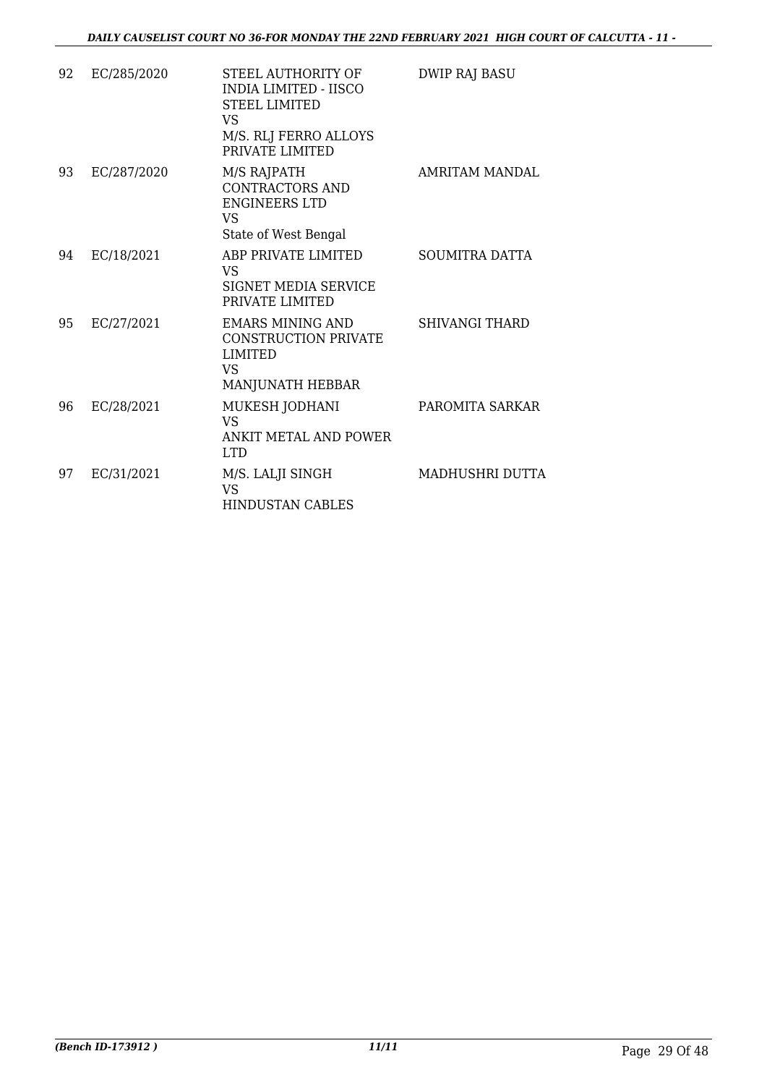| 92 | EC/285/2020 | STEEL AUTHORITY OF<br><b>INDIA LIMITED - IISCO</b><br><b>STEEL LIMITED</b><br><b>VS</b><br>M/S. RLJ FERRO ALLOYS<br>PRIVATE LIMITED | <b>DWIP RAJ BASU</b>  |
|----|-------------|-------------------------------------------------------------------------------------------------------------------------------------|-----------------------|
| 93 | EC/287/2020 | M/S RAJPATH<br><b>CONTRACTORS AND</b><br><b>ENGINEERS LTD</b><br><b>VS</b><br>State of West Bengal                                  | <b>AMRITAM MANDAL</b> |
| 94 | EC/18/2021  | ABP PRIVATE LIMITED<br><b>VS</b><br><b>SIGNET MEDIA SERVICE</b><br>PRIVATE LIMITED                                                  | <b>SOUMITRA DATTA</b> |
| 95 | EC/27/2021  | <b>EMARS MINING AND</b><br><b>CONSTRUCTION PRIVATE</b><br><b>LIMITED</b><br><b>VS</b><br>MANJUNATH HEBBAR                           | <b>SHIVANGI THARD</b> |
| 96 | EC/28/2021  | MUKESH JODHANI<br><b>VS</b><br>ANKIT METAL AND POWER<br><b>T.TD</b>                                                                 | PAROMITA SARKAR       |
| 97 | EC/31/2021  | M/S. LALJI SINGH<br><b>VS</b><br><b>HINDUSTAN CABLES</b>                                                                            | MADHUSHRI DUTTA       |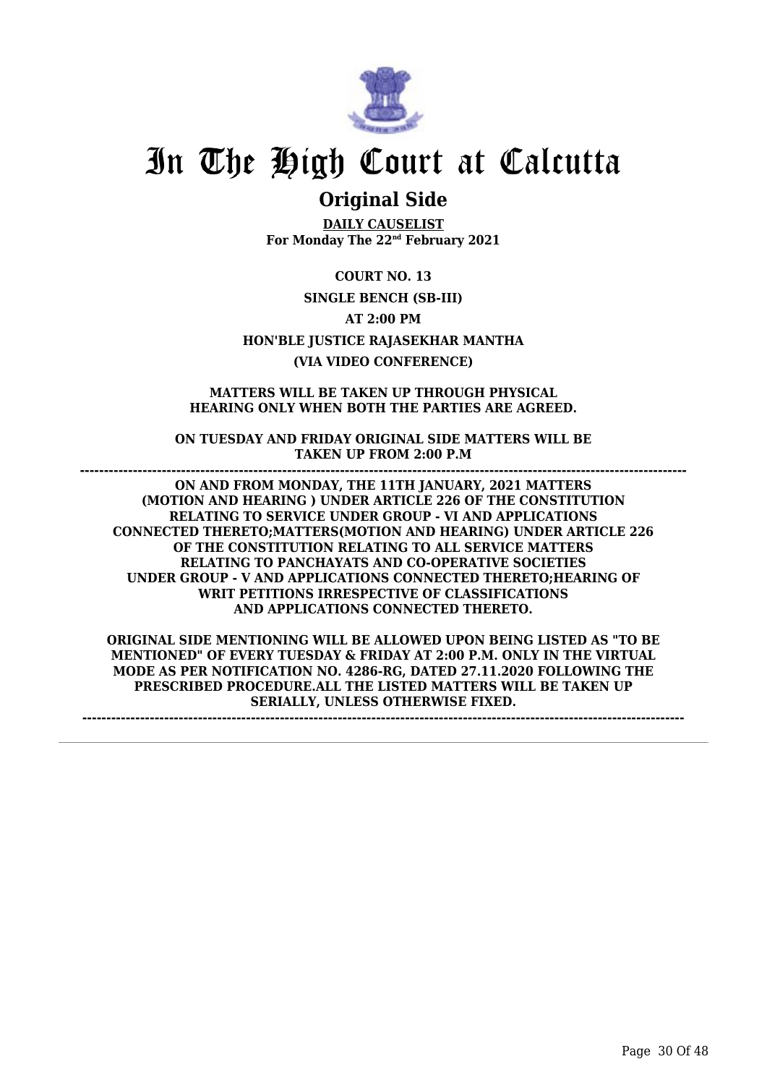

### **Original Side**

**DAILY CAUSELIST For Monday The 22nd February 2021**

**COURT NO. 13 SINGLE BENCH (SB-III) AT 2:00 PM HON'BLE JUSTICE RAJASEKHAR MANTHA (VIA VIDEO CONFERENCE)**

**MATTERS WILL BE TAKEN UP THROUGH PHYSICAL HEARING ONLY WHEN BOTH THE PARTIES ARE AGREED.**

**ON TUESDAY AND FRIDAY ORIGINAL SIDE MATTERS WILL BE TAKEN UP FROM 2:00 P.M ------------------------------------------------------------------------------------------------------------------------------**

**ON AND FROM MONDAY, THE 11TH JANUARY, 2021 MATTERS (MOTION AND HEARING ) UNDER ARTICLE 226 OF THE CONSTITUTION RELATING TO SERVICE UNDER GROUP - VI AND APPLICATIONS CONNECTED THERETO;MATTERS(MOTION AND HEARING) UNDER ARTICLE 226 OF THE CONSTITUTION RELATING TO ALL SERVICE MATTERS RELATING TO PANCHAYATS AND CO-OPERATIVE SOCIETIES UNDER GROUP - V AND APPLICATIONS CONNECTED THERETO;HEARING OF WRIT PETITIONS IRRESPECTIVE OF CLASSIFICATIONS AND APPLICATIONS CONNECTED THERETO.**

**ORIGINAL SIDE MENTIONING WILL BE ALLOWED UPON BEING LISTED AS "TO BE MENTIONED" OF EVERY TUESDAY & FRIDAY AT 2:00 P.M. ONLY IN THE VIRTUAL MODE AS PER NOTIFICATION NO. 4286-RG, DATED 27.11.2020 FOLLOWING THE PRESCRIBED PROCEDURE.ALL THE LISTED MATTERS WILL BE TAKEN UP SERIALLY, UNLESS OTHERWISE FIXED.**

**-----------------------------------------------------------------------------------------------------------------------------**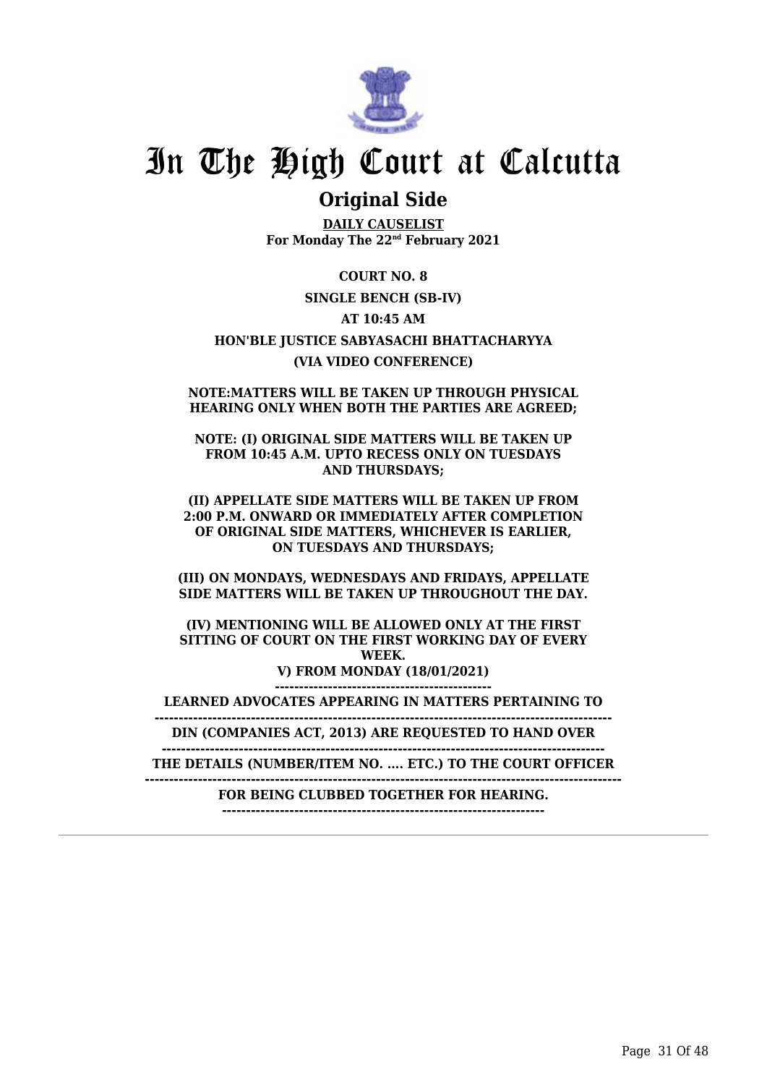

### **Original Side**

**DAILY CAUSELIST For Monday The 22nd February 2021**

**COURT NO. 8 SINGLE BENCH (SB-IV) AT 10:45 AM HON'BLE JUSTICE SABYASACHI BHATTACHARYYA (VIA VIDEO CONFERENCE)**

**NOTE:MATTERS WILL BE TAKEN UP THROUGH PHYSICAL HEARING ONLY WHEN BOTH THE PARTIES ARE AGREED;**

**NOTE: (I) ORIGINAL SIDE MATTERS WILL BE TAKEN UP FROM 10:45 A.M. UPTO RECESS ONLY ON TUESDAYS AND THURSDAYS;**

**(II) APPELLATE SIDE MATTERS WILL BE TAKEN UP FROM 2:00 P.M. ONWARD OR IMMEDIATELY AFTER COMPLETION OF ORIGINAL SIDE MATTERS, WHICHEVER IS EARLIER, ON TUESDAYS AND THURSDAYS;**

**(III) ON MONDAYS, WEDNESDAYS AND FRIDAYS, APPELLATE SIDE MATTERS WILL BE TAKEN UP THROUGHOUT THE DAY.**

**(IV) MENTIONING WILL BE ALLOWED ONLY AT THE FIRST SITTING OF COURT ON THE FIRST WORKING DAY OF EVERY WEEK. V) FROM MONDAY (18/01/2021) ---------------------------------------------**

**LEARNED ADVOCATES APPEARING IN MATTERS PERTAINING TO**

**----------------------------------------------------------------------------------------------- DIN (COMPANIES ACT, 2013) ARE REQUESTED TO HAND OVER**

**--------------------------------------------------------------------------------------------**

**THE DETAILS (NUMBER/ITEM NO. .... ETC.) TO THE COURT OFFICER**

**---------------------------------------------------------------------------------------------------**

**FOR BEING CLUBBED TOGETHER FOR HEARING. -------------------------------------------------------------------**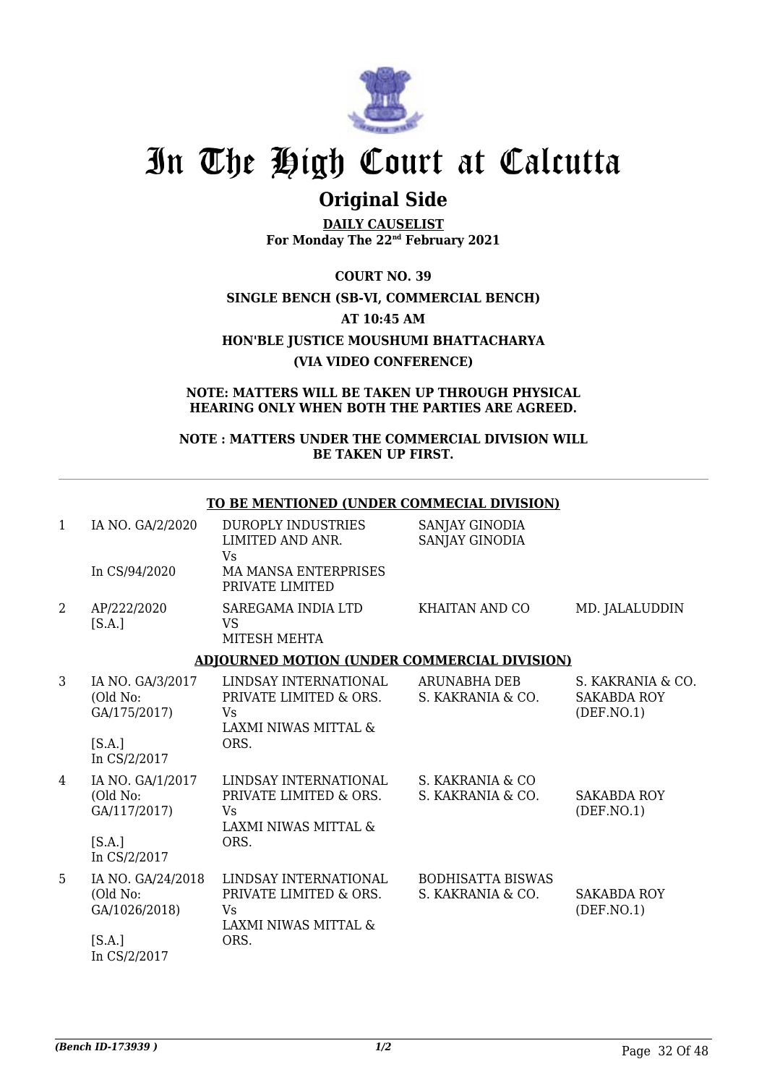

## **Original Side**

**DAILY CAUSELIST For Monday The 22nd February 2021**

**COURT NO. 39 SINGLE BENCH (SB-VI, COMMERCIAL BENCH) AT 10:45 AM HON'BLE JUSTICE MOUSHUMI BHATTACHARYA (VIA VIDEO CONFERENCE)**

**NOTE: MATTERS WILL BE TAKEN UP THROUGH PHYSICAL HEARING ONLY WHEN BOTH THE PARTIES ARE AGREED.**

#### **NOTE : MATTERS UNDER THE COMMERCIAL DIVISION WILL BE TAKEN UP FIRST.**

**TO BE MENTIONED (UNDER COMMECIAL DIVISION)**

| $\mathbf{1}$ | IA NO. GA/2/2020                               | <b>DUROPLY INDUSTRIES</b><br>LIMITED AND ANR.<br>Vs                            | SANJAY GINODIA<br><b>SANJAY GINODIA</b>       |                                                         |
|--------------|------------------------------------------------|--------------------------------------------------------------------------------|-----------------------------------------------|---------------------------------------------------------|
|              | In CS/94/2020                                  | <b>MA MANSA ENTERPRISES</b><br>PRIVATE LIMITED                                 |                                               |                                                         |
| 2            | AP/222/2020<br>[S.A.]                          | SAREGAMA INDIA LTD<br><b>VS</b><br>MITESH MEHTA                                | <b>KHAITAN AND CO</b>                         | MD. JALALUDDIN                                          |
|              |                                                | <b>ADJOURNED MOTION (UNDER COMMERCIAL DIVISION)</b>                            |                                               |                                                         |
| 3            | IA NO. GA/3/2017<br>(Old No:<br>GA/175/2017)   | LINDSAY INTERNATIONAL<br>PRIVATE LIMITED & ORS.<br>Vs<br>LAXMI NIWAS MITTAL &  | <b>ARUNABHA DEB</b><br>S. KAKRANIA & CO.      | S. KAKRANIA & CO.<br><b>SAKABDA ROY</b><br>(DEF. NO. 1) |
|              | [S.A.]<br>In CS/2/2017                         | ORS.                                                                           |                                               |                                                         |
| 4            | IA NO. GA/1/2017<br>(Old No:<br>GA/117/2017)   | LINDSAY INTERNATIONAL<br>PRIVATE LIMITED & ORS.<br>Vs.<br>LAXMI NIWAS MITTAL & | S. KAKRANIA & CO<br>S. KAKRANIA & CO.         | <b>SAKABDA ROY</b><br>(DEF. NO. 1)                      |
|              | [S.A.]<br>In CS/2/2017                         | ORS.                                                                           |                                               |                                                         |
| 5            | IA NO. GA/24/2018<br>(Old No:<br>GA/1026/2018) | LINDSAY INTERNATIONAL<br>PRIVATE LIMITED & ORS.<br>Vs<br>LAXMI NIWAS MITTAL &  | <b>BODHISATTA BISWAS</b><br>S. KAKRANIA & CO. | <b>SAKABDA ROY</b><br>(DEF. NO. 1)                      |
|              | [S.A.]<br>In CS/2/2017                         | ORS.                                                                           |                                               |                                                         |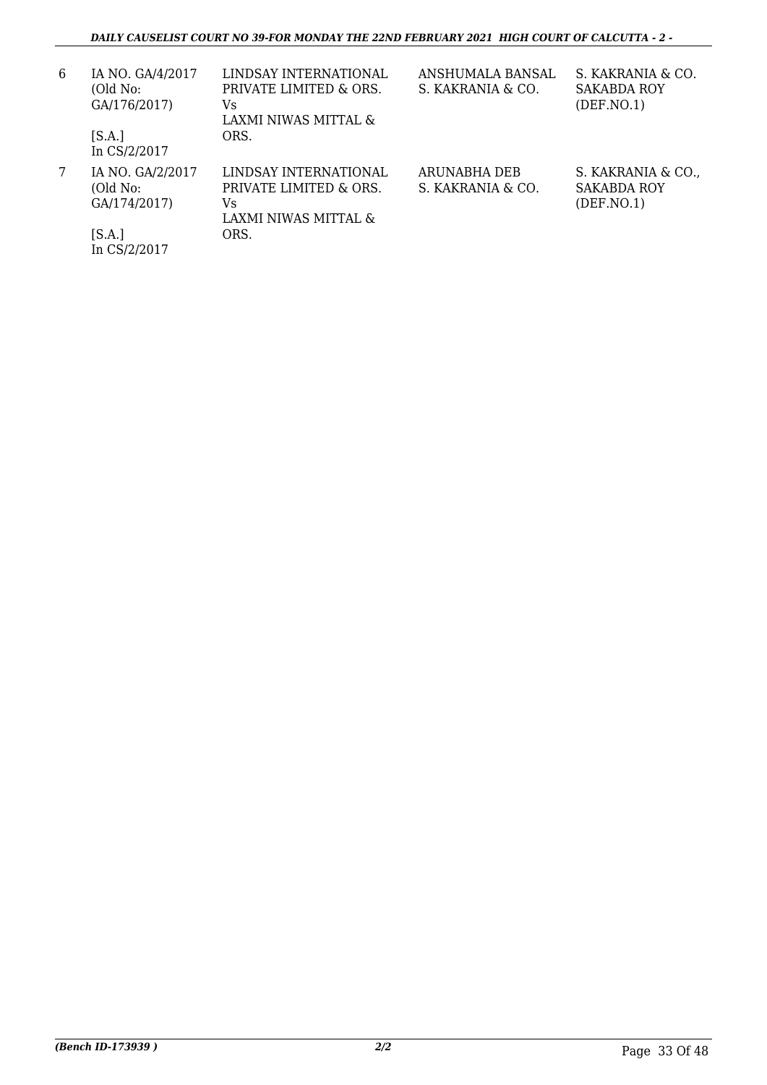| 6 | IA NO. GA/4/2017<br>(Old No:<br>GA/176/2017)<br>[S.A.] | LINDSAY INTERNATIONAL<br>PRIVATE LIMITED & ORS.<br>Vs<br>LAXMI NIWAS MITTAL &<br>ORS. | ANSHUMALA BANSAL<br>S. KAKRANIA & CO. | S. KAKRANIA & CO.<br><b>SAKABDA ROY</b><br>(DEF. NO.1)  |
|---|--------------------------------------------------------|---------------------------------------------------------------------------------------|---------------------------------------|---------------------------------------------------------|
|   |                                                        |                                                                                       |                                       |                                                         |
|   | In CS/2/2017                                           |                                                                                       |                                       |                                                         |
| 7 | IA NO. GA/2/2017<br>(Old No:<br>GA/174/2017)           | LINDSAY INTERNATIONAL<br>PRIVATE LIMITED & ORS.<br>Vs.<br>LAXMI NIWAS MITTAL &        | ARUNABHA DEB<br>S. KAKRANIA & CO.     | S. KAKRANIA & CO.,<br><b>SAKABDA ROY</b><br>(DEF. NO.1) |
|   | [S.A.]<br>In CS/2/2017                                 | ORS.                                                                                  |                                       |                                                         |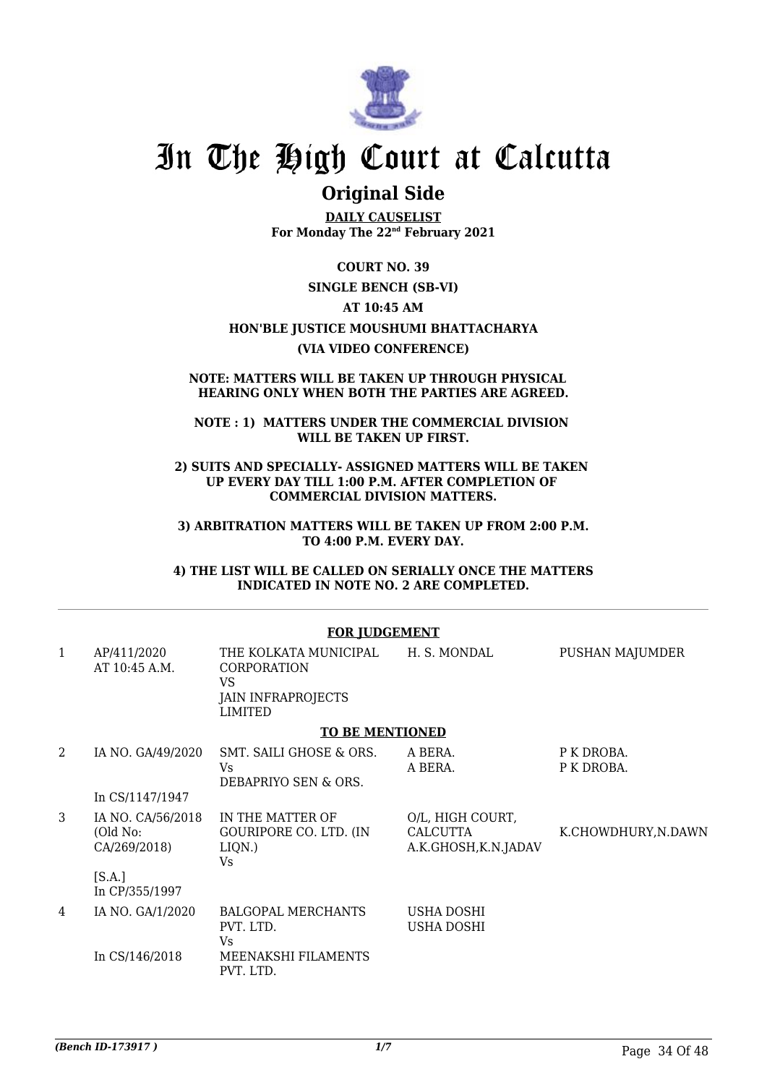

### **Original Side**

**DAILY CAUSELIST For Monday The 22nd February 2021**

**COURT NO. 39**

**SINGLE BENCH (SB-VI)**

**AT 10:45 AM**

#### **HON'BLE JUSTICE MOUSHUMI BHATTACHARYA**

**(VIA VIDEO CONFERENCE)**

#### **NOTE: MATTERS WILL BE TAKEN UP THROUGH PHYSICAL HEARING ONLY WHEN BOTH THE PARTIES ARE AGREED.**

**NOTE : 1) MATTERS UNDER THE COMMERCIAL DIVISION WILL BE TAKEN UP FIRST.**

**2) SUITS AND SPECIALLY- ASSIGNED MATTERS WILL BE TAKEN UP EVERY DAY TILL 1:00 P.M. AFTER COMPLETION OF COMMERCIAL DIVISION MATTERS.**

**3) ARBITRATION MATTERS WILL BE TAKEN UP FROM 2:00 P.M. TO 4:00 P.M. EVERY DAY.**

**4) THE LIST WILL BE CALLED ON SERIALLY ONCE THE MATTERS INDICATED IN NOTE NO. 2 ARE COMPLETED.**

#### **FOR JUDGEMENT**

| 1 | AP/411/2020<br>AT 10:45 A.M.                  | THE KOLKATA MUNICIPAL<br><b>CORPORATION</b><br>VS<br><b>JAIN INFRAPROJECTS</b><br><b>LIMITED</b> | H. S. MONDAL                                         | PUSHAN MAJUMDER          |
|---|-----------------------------------------------|--------------------------------------------------------------------------------------------------|------------------------------------------------------|--------------------------|
|   |                                               | <b>TO BE MENTIONED</b>                                                                           |                                                      |                          |
| 2 | IA NO. GA/49/2020                             | SMT. SAILI GHOSE & ORS.<br>Vs<br>DEBAPRIYO SEN & ORS.                                            | A BERA.<br>A BERA.                                   | P K DROBA.<br>P K DROBA. |
|   | In CS/1147/1947                               |                                                                                                  |                                                      |                          |
| 3 | IA NO. CA/56/2018<br>(Old No:<br>CA/269/2018) | IN THE MATTER OF<br>GOURIPORE CO. LTD. (IN<br>LIQN.)<br>Vs                                       | O/L, HIGH COURT,<br>CALCUTTA<br>A.K.GHOSH, K.N.JADAV | K.CHOWDHURY, N.DAWN      |
|   | [S.A.]<br>In CP/355/1997                      |                                                                                                  |                                                      |                          |
| 4 | IA NO. GA/1/2020                              | <b>BALGOPAL MERCHANTS</b><br>PVT. LTD.<br>Vs                                                     | USHA DOSHI<br>USHA DOSHI                             |                          |
|   | In CS/146/2018                                | MEENAKSHI FILAMENTS<br>PVT. LTD.                                                                 |                                                      |                          |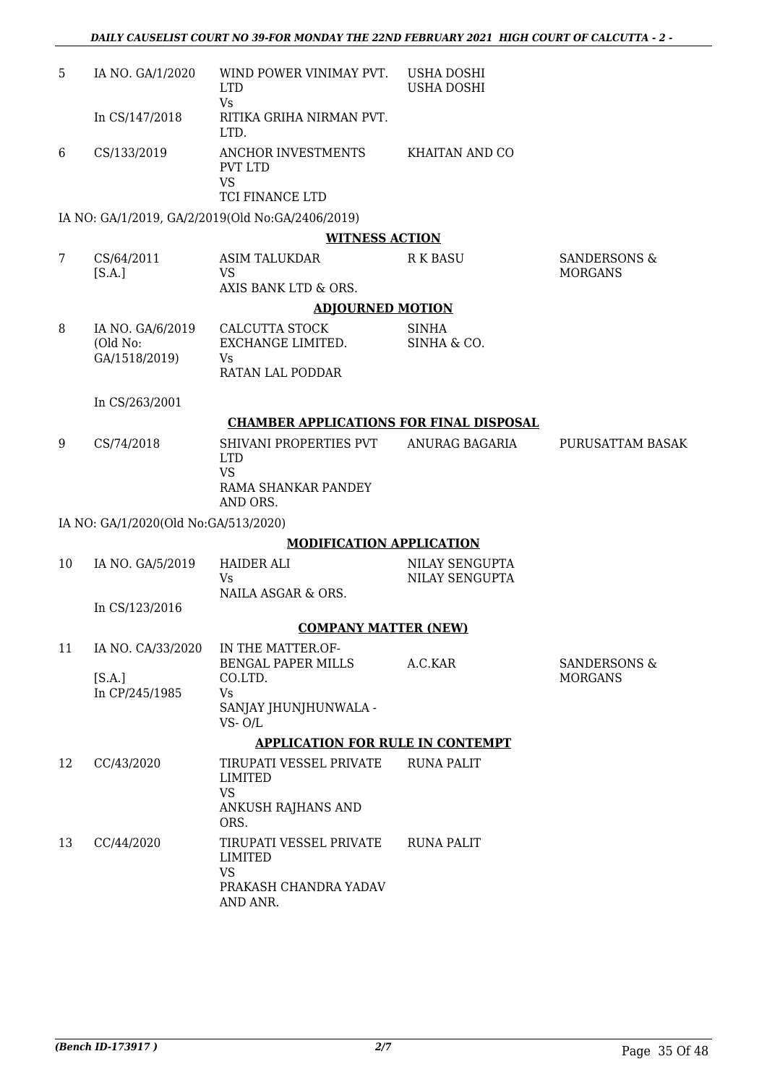| 5  | IA NO. GA/1/2020                     | WIND POWER VINIMAY PVT.<br><b>LTD</b><br><b>Vs</b>                                   | USHA DOSHI<br>USHA DOSHI         |                                           |
|----|--------------------------------------|--------------------------------------------------------------------------------------|----------------------------------|-------------------------------------------|
|    | In CS/147/2018                       | RITIKA GRIHA NIRMAN PVT.<br>LTD.                                                     |                                  |                                           |
| 6  | CS/133/2019                          | ANCHOR INVESTMENTS<br>PVT LTD<br><b>VS</b><br>TCI FINANCE LTD                        | <b>KHAITAN AND CO</b>            |                                           |
|    |                                      | IA NO: GA/1/2019, GA/2/2019(Old No:GA/2406/2019)                                     |                                  |                                           |
|    |                                      | <b>WITNESS ACTION</b>                                                                |                                  |                                           |
| 7  | CS/64/2011<br>[S.A.]                 | <b>ASIM TALUKDAR</b><br><b>VS</b><br>AXIS BANK LTD & ORS.                            | <b>R K BASU</b>                  | <b>SANDERSONS &amp;</b><br><b>MORGANS</b> |
|    |                                      | <b>ADJOURNED MOTION</b>                                                              |                                  |                                           |
| 8  | IA NO. GA/6/2019                     | <b>CALCUTTA STOCK</b>                                                                | <b>SINHA</b>                     |                                           |
|    | (Old No:                             | EXCHANGE LIMITED.                                                                    | SINHA & CO.                      |                                           |
|    | GA/1518/2019)                        | <b>Vs</b><br>RATAN LAL PODDAR                                                        |                                  |                                           |
|    | In CS/263/2001                       |                                                                                      |                                  |                                           |
|    |                                      | <b>CHAMBER APPLICATIONS FOR FINAL DISPOSAL</b>                                       |                                  |                                           |
| 9  | CS/74/2018                           | SHIVANI PROPERTIES PVT<br><b>LTD</b><br><b>VS</b><br>RAMA SHANKAR PANDEY<br>AND ORS. | ANURAG BAGARIA                   | PURUSATTAM BASAK                          |
|    | IA NO: GA/1/2020(Old No:GA/513/2020) |                                                                                      |                                  |                                           |
|    |                                      | <b>MODIFICATION APPLICATION</b>                                                      |                                  |                                           |
| 10 | IA NO. GA/5/2019                     | <b>HAIDER ALI</b><br>Vs<br>NAILA ASGAR & ORS.                                        | NILAY SENGUPTA<br>NILAY SENGUPTA |                                           |
|    | In CS/123/2016                       |                                                                                      |                                  |                                           |
|    |                                      | <b>COMPANY MATTER (NEW)</b>                                                          |                                  |                                           |
| 11 | IA NO. CA/33/2020                    | IN THE MATTER.OF-                                                                    |                                  |                                           |
|    | [SA.]                                | <b>BENGAL PAPER MILLS</b><br>CO.LTD.                                                 | A.C.KAR                          | <b>SANDERSONS &amp;</b><br><b>MORGANS</b> |
|    | In CP/245/1985                       | Vs<br>SANJAY JHUNJHUNWALA -<br>$VS - O/L$                                            |                                  |                                           |
|    |                                      | <b>APPLICATION FOR RULE IN CONTEMPT</b>                                              |                                  |                                           |
| 12 | CC/43/2020                           | TIRUPATI VESSEL PRIVATE<br><b>LIMITED</b><br><b>VS</b><br>ANKUSH RAJHANS AND<br>ORS. | <b>RUNA PALIT</b>                |                                           |
| 13 | CC/44/2020                           | TIRUPATI VESSEL PRIVATE<br>LIMITED<br><b>VS</b><br>PRAKASH CHANDRA YADAV<br>AND ANR. | <b>RUNA PALIT</b>                |                                           |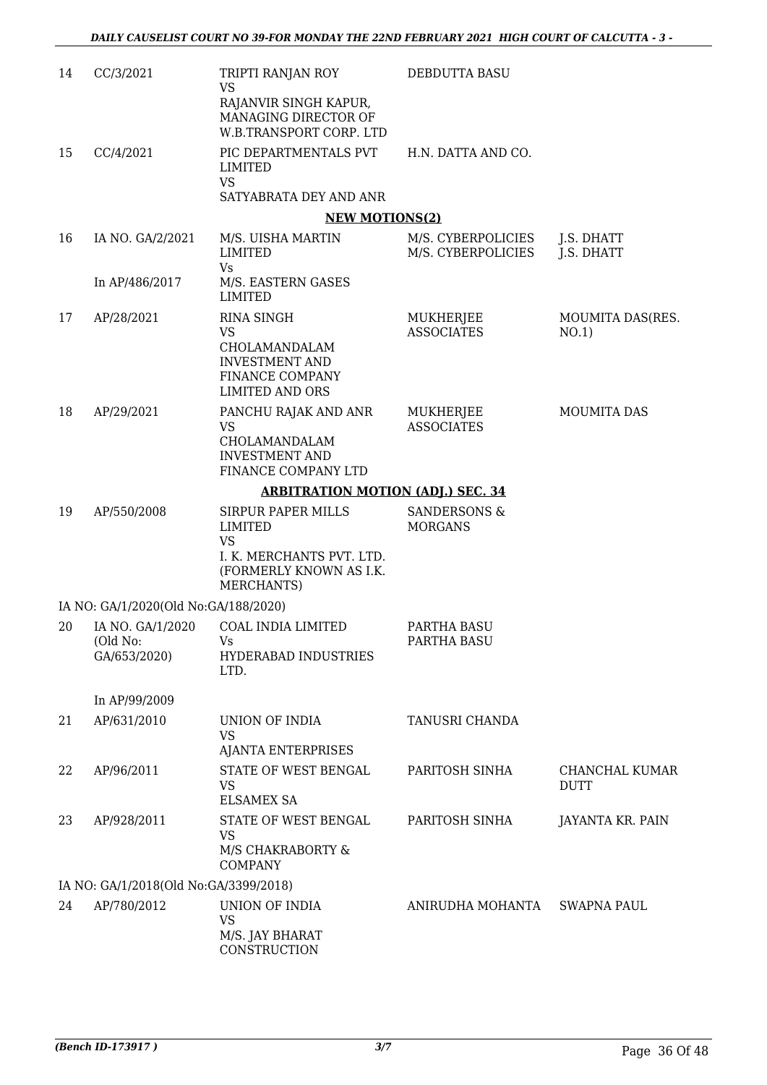| 14 | CC/3/2021                                    | TRIPTI RANJAN ROY<br><b>VS</b><br>RAJANVIR SINGH KAPUR,<br>MANAGING DIRECTOR OF<br>W.B.TRANSPORT CORP. LTD     | DEBDUTTA BASU                             |                                  |
|----|----------------------------------------------|----------------------------------------------------------------------------------------------------------------|-------------------------------------------|----------------------------------|
| 15 | CC/4/2021                                    | PIC DEPARTMENTALS PVT<br>LIMITED<br><b>VS</b><br>SATYABRATA DEY AND ANR                                        | H.N. DATTA AND CO.                        |                                  |
|    |                                              | <b>NEW MOTIONS(2)</b>                                                                                          |                                           |                                  |
| 16 | IA NO. GA/2/2021                             | M/S. UISHA MARTIN<br>LIMITED<br><b>Vs</b>                                                                      | M/S. CYBERPOLICIES<br>M/S. CYBERPOLICIES  | J.S. DHATT<br>J.S. DHATT         |
|    | In AP/486/2017                               | M/S. EASTERN GASES<br><b>LIMITED</b>                                                                           |                                           |                                  |
| 17 | AP/28/2021                                   | <b>RINA SINGH</b><br>VS<br>CHOLAMANDALAM<br><b>INVESTMENT AND</b><br>FINANCE COMPANY<br><b>LIMITED AND ORS</b> | MUKHERJEE<br><b>ASSOCIATES</b>            | <b>MOUMITA DAS(RES.</b><br>NO.1) |
| 18 | AP/29/2021                                   | PANCHU RAJAK AND ANR<br>VS<br>CHOLAMANDALAM<br><b>INVESTMENT AND</b><br>FINANCE COMPANY LTD                    | MUKHERJEE<br><b>ASSOCIATES</b>            | <b>MOUMITA DAS</b>               |
|    |                                              | <b>ARBITRATION MOTION (ADJ.) SEC. 34</b>                                                                       |                                           |                                  |
| 19 | AP/550/2008                                  | <b>SIRPUR PAPER MILLS</b><br>LIMITED<br>VS                                                                     | <b>SANDERSONS &amp;</b><br><b>MORGANS</b> |                                  |
|    |                                              | I. K. MERCHANTS PVT. LTD.<br>(FORMERLY KNOWN AS I.K.<br>MERCHANTS)                                             |                                           |                                  |
|    | IA NO: GA/1/2020(Old No:GA/188/2020)         |                                                                                                                |                                           |                                  |
| 20 | IA NO. GA/1/2020<br>(Old No:<br>GA/653/2020) | COAL INDIA LIMITED<br>HYDERABAD INDUSTRIES<br>LTD.                                                             | PARTHA BASU<br>PARTHA BASU                |                                  |
|    | In AP/99/2009                                |                                                                                                                |                                           |                                  |
| 21 | AP/631/2010                                  | UNION OF INDIA<br><b>VS</b><br><b>AJANTA ENTERPRISES</b>                                                       | <b>TANUSRI CHANDA</b>                     |                                  |
| 22 | AP/96/2011                                   | STATE OF WEST BENGAL<br><b>VS</b><br><b>ELSAMEX SA</b>                                                         | PARITOSH SINHA                            | CHANCHAL KUMAR<br><b>DUTT</b>    |
| 23 | AP/928/2011                                  | STATE OF WEST BENGAL<br><b>VS</b><br>M/S CHAKRABORTY &<br><b>COMPANY</b>                                       | PARITOSH SINHA                            | JAYANTA KR. PAIN                 |
|    | IA NO: GA/1/2018(Old No:GA/3399/2018)        |                                                                                                                |                                           |                                  |
| 24 | AP/780/2012                                  | UNION OF INDIA<br><b>VS</b><br>M/S. JAY BHARAT<br>CONSTRUCTION                                                 | ANIRUDHA MOHANTA                          | <b>SWAPNA PAUL</b>               |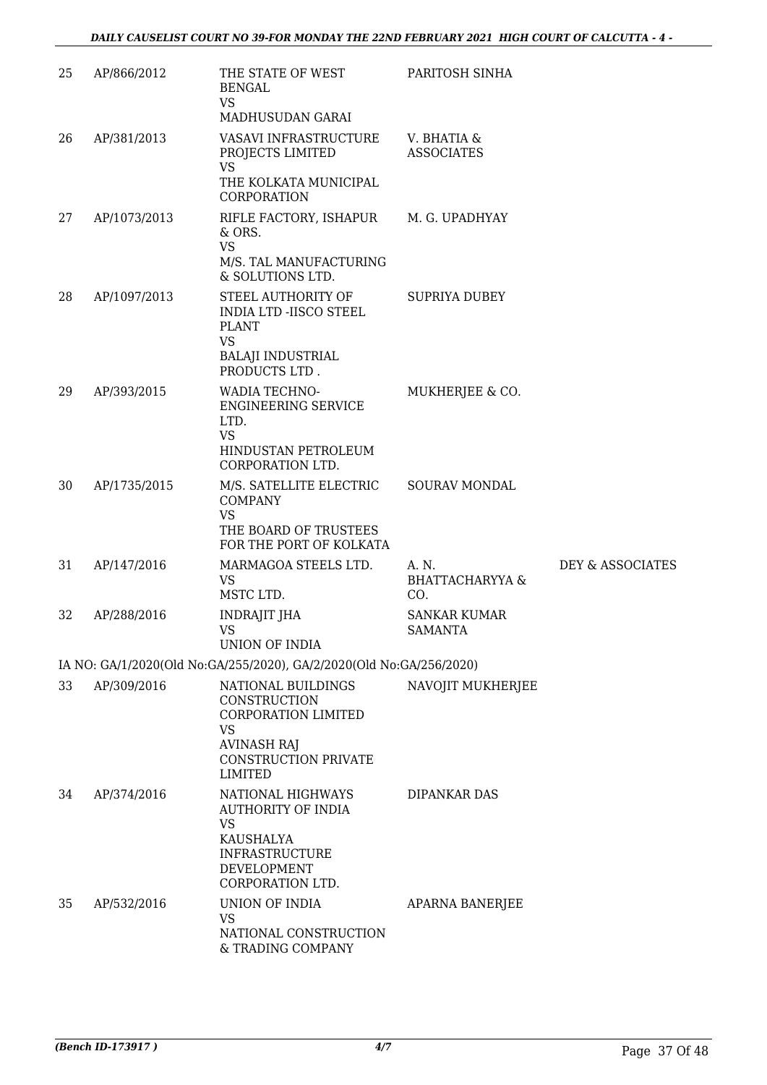| 25 | AP/866/2012  | THE STATE OF WEST<br><b>BENGAL</b><br><b>VS</b><br>MADHUSUDAN GARAI                                                                           | PARITOSH SINHA                             |                  |
|----|--------------|-----------------------------------------------------------------------------------------------------------------------------------------------|--------------------------------------------|------------------|
| 26 | AP/381/2013  | VASAVI INFRASTRUCTURE<br>PROJECTS LIMITED<br><b>VS</b>                                                                                        | V. BHATIA &<br><b>ASSOCIATES</b>           |                  |
|    |              | THE KOLKATA MUNICIPAL<br>CORPORATION                                                                                                          |                                            |                  |
| 27 | AP/1073/2013 | RIFLE FACTORY, ISHAPUR<br>& ORS.<br><b>VS</b>                                                                                                 | M. G. UPADHYAY                             |                  |
|    |              | M/S. TAL MANUFACTURING<br>& SOLUTIONS LTD.                                                                                                    |                                            |                  |
| 28 | AP/1097/2013 | STEEL AUTHORITY OF<br><b>INDIA LTD -IISCO STEEL</b><br><b>PLANT</b><br><b>VS</b>                                                              | <b>SUPRIYA DUBEY</b>                       |                  |
|    |              | <b>BALAJI INDUSTRIAL</b><br>PRODUCTS LTD.                                                                                                     |                                            |                  |
| 29 | AP/393/2015  | WADIA TECHNO-<br><b>ENGINEERING SERVICE</b><br>LTD.<br><b>VS</b><br>HINDUSTAN PETROLEUM                                                       | MUKHERJEE & CO.                            |                  |
| 30 | AP/1735/2015 | CORPORATION LTD.<br>M/S. SATELLITE ELECTRIC                                                                                                   | SOURAV MONDAL                              |                  |
|    |              | <b>COMPANY</b><br><b>VS</b><br>THE BOARD OF TRUSTEES<br>FOR THE PORT OF KOLKATA                                                               |                                            |                  |
| 31 | AP/147/2016  | MARMAGOA STEELS LTD.<br><b>VS</b><br>MSTC LTD.                                                                                                | A. N.<br><b>BHATTACHARYYA &amp;</b><br>CO. | DEY & ASSOCIATES |
| 32 | AP/288/2016  | INDRAJIT JHA<br>VS<br><b>UNION OF INDIA</b>                                                                                                   | <b>SANKAR KUMAR</b><br><b>SAMANTA</b>      |                  |
|    |              | IA NO: GA/1/2020(Old No:GA/255/2020), GA/2/2020(Old No:GA/256/2020)                                                                           |                                            |                  |
| 33 | AP/309/2016  | NATIONAL BUILDINGS<br>CONSTRUCTION<br>CORPORATION LIMITED<br><b>VS</b><br><b>AVINASH RAJ</b><br><b>CONSTRUCTION PRIVATE</b><br><b>LIMITED</b> | NAVOJIT MUKHERJEE                          |                  |
| 34 | AP/374/2016  | NATIONAL HIGHWAYS<br><b>AUTHORITY OF INDIA</b><br><b>VS</b>                                                                                   | DIPANKAR DAS                               |                  |
|    |              | KAUSHALYA<br><b>INFRASTRUCTURE</b><br>DEVELOPMENT<br>CORPORATION LTD.                                                                         |                                            |                  |
| 35 | AP/532/2016  | UNION OF INDIA<br><b>VS</b>                                                                                                                   | APARNA BANERJEE                            |                  |
|    |              | NATIONAL CONSTRUCTION<br>& TRADING COMPANY                                                                                                    |                                            |                  |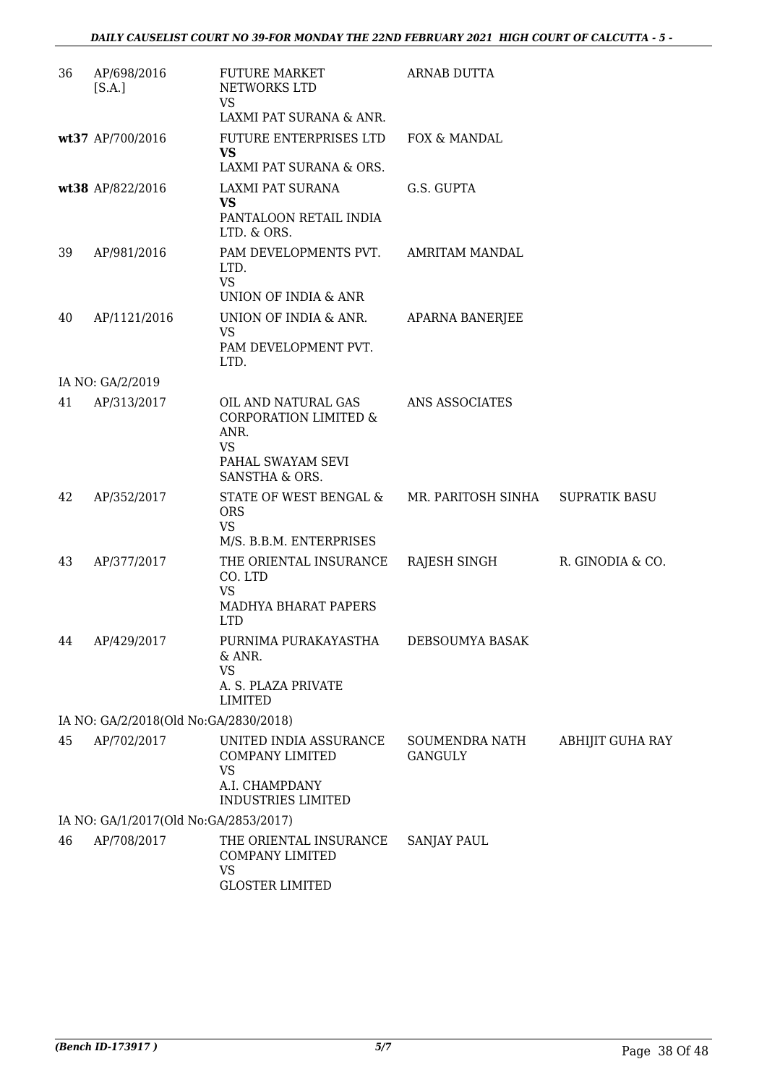| 36 | AP/698/2016<br>[S.A.]                 | <b>FUTURE MARKET</b><br>NETWORKS LTD<br><b>VS</b><br>LAXMI PAT SURANA & ANR.                                           | <b>ARNAB DUTTA</b>        |                         |
|----|---------------------------------------|------------------------------------------------------------------------------------------------------------------------|---------------------------|-------------------------|
|    | wt37 AP/700/2016                      | FUTURE ENTERPRISES LTD<br><b>VS</b>                                                                                    | FOX & MANDAL              |                         |
|    |                                       | LAXMI PAT SURANA & ORS.                                                                                                |                           |                         |
|    | wt38 AP/822/2016                      | LAXMI PAT SURANA<br><b>VS</b><br>PANTALOON RETAIL INDIA<br>LTD. & ORS.                                                 | G.S. GUPTA                |                         |
| 39 | AP/981/2016                           | PAM DEVELOPMENTS PVT.<br>LTD.<br><b>VS</b>                                                                             | <b>AMRITAM MANDAL</b>     |                         |
|    |                                       | UNION OF INDIA & ANR                                                                                                   |                           |                         |
| 40 | AP/1121/2016                          | UNION OF INDIA & ANR.<br><b>VS</b><br>PAM DEVELOPMENT PVT.<br>LTD.                                                     | <b>APARNA BANERJEE</b>    |                         |
|    | IA NO: GA/2/2019                      |                                                                                                                        |                           |                         |
| 41 | AP/313/2017                           | OIL AND NATURAL GAS<br><b>CORPORATION LIMITED &amp;</b><br>ANR.<br><b>VS</b><br>PAHAL SWAYAM SEVI<br>SANSTHA & ORS.    | ANS ASSOCIATES            |                         |
| 42 | AP/352/2017                           | STATE OF WEST BENGAL &<br><b>ORS</b><br><b>VS</b>                                                                      | MR. PARITOSH SINHA        | <b>SUPRATIK BASU</b>    |
| 43 | AP/377/2017                           | M/S. B.B.M. ENTERPRISES<br>THE ORIENTAL INSURANCE<br>CO. LTD<br><b>VS</b><br><b>MADHYA BHARAT PAPERS</b><br><b>LTD</b> | RAJESH SINGH              | R. GINODIA & CO.        |
| 44 | AP/429/2017                           | PURNIMA PURAKAYASTHA<br>& ANR.<br><b>VS</b><br>A. S. PLAZA PRIVATE<br><b>LIMITED</b>                                   | DEBSOUMYA BASAK           |                         |
|    | IA NO: GA/2/2018(Old No:GA/2830/2018) |                                                                                                                        |                           |                         |
| 45 | AP/702/2017                           | UNITED INDIA ASSURANCE<br><b>COMPANY LIMITED</b><br><b>VS</b><br>A.I. CHAMPDANY                                        | SOUMENDRA NATH<br>GANGULY | <b>ABHIJIT GUHA RAY</b> |
|    | IA NO: GA/1/2017(Old No:GA/2853/2017) | <b>INDUSTRIES LIMITED</b>                                                                                              |                           |                         |
| 46 | AP/708/2017                           | THE ORIENTAL INSURANCE<br>COMPANY LIMITED<br><b>VS</b><br><b>GLOSTER LIMITED</b>                                       | <b>SANJAY PAUL</b>        |                         |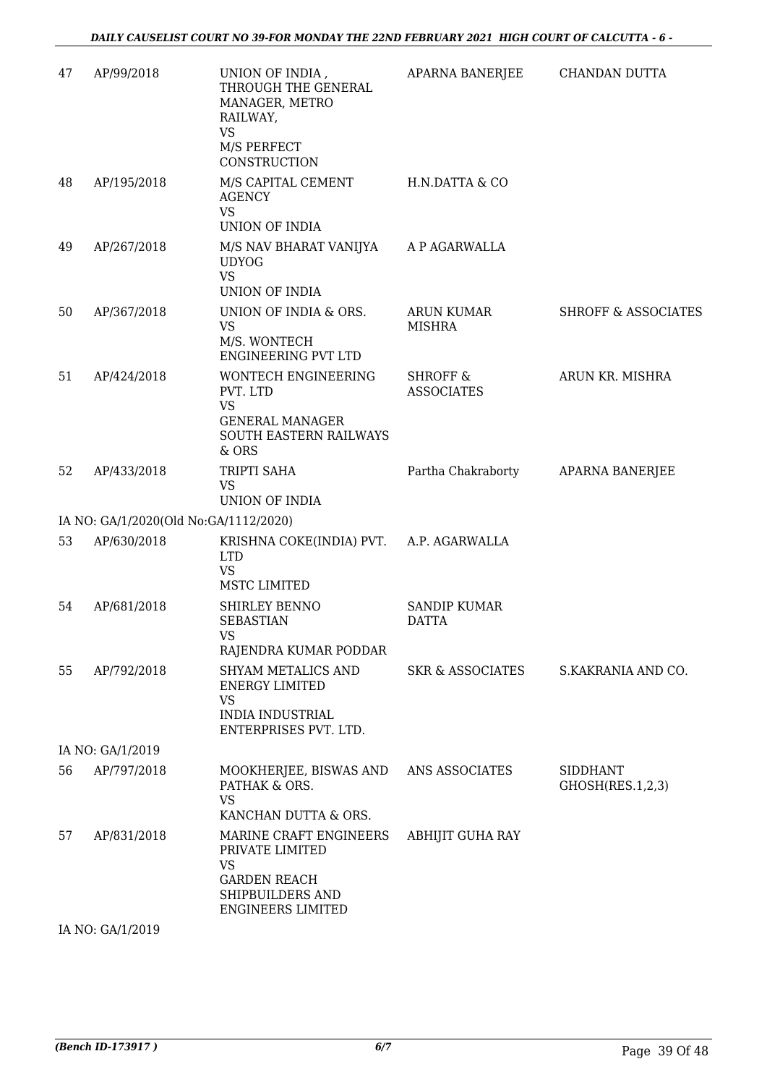| 47 | AP/99/2018                            | UNION OF INDIA,<br>THROUGH THE GENERAL<br>MANAGER, METRO<br>RAILWAY,<br><b>VS</b><br>M/S PERFECT                              | APARNA BANERJEE                          | CHANDAN DUTTA                       |
|----|---------------------------------------|-------------------------------------------------------------------------------------------------------------------------------|------------------------------------------|-------------------------------------|
| 48 | AP/195/2018                           | CONSTRUCTION<br>M/S CAPITAL CEMENT<br><b>AGENCY</b><br><b>VS</b><br>UNION OF INDIA                                            | H.N.DATTA & CO                           |                                     |
| 49 | AP/267/2018                           | M/S NAV BHARAT VANIJYA<br><b>UDYOG</b><br><b>VS</b><br>UNION OF INDIA                                                         | A P AGARWALLA                            |                                     |
| 50 | AP/367/2018                           | UNION OF INDIA & ORS.<br><b>VS</b><br>M/S. WONTECH<br><b>ENGINEERING PVT LTD</b>                                              | ARUN KUMAR<br><b>MISHRA</b>              | <b>SHROFF &amp; ASSOCIATES</b>      |
| 51 | AP/424/2018                           | <b>WONTECH ENGINEERING</b><br>PVT. LTD<br><b>VS</b><br><b>GENERAL MANAGER</b><br>SOUTH EASTERN RAILWAYS<br>& ORS              | <b>SHROFF &amp;</b><br><b>ASSOCIATES</b> | ARUN KR. MISHRA                     |
| 52 | AP/433/2018                           | TRIPTI SAHA<br><b>VS</b><br><b>UNION OF INDIA</b>                                                                             | Partha Chakraborty                       | APARNA BANERJEE                     |
|    | IA NO: GA/1/2020(Old No:GA/1112/2020) |                                                                                                                               |                                          |                                     |
| 53 | AP/630/2018                           | KRISHNA COKE(INDIA) PVT. A.P. AGARWALLA<br><b>LTD</b><br><b>VS</b><br><b>MSTC LIMITED</b>                                     |                                          |                                     |
| 54 | AP/681/2018                           | SHIRLEY BENNO<br><b>SEBASTIAN</b><br><b>VS</b><br>RAJENDRA KUMAR PODDAR                                                       | <b>SANDIP KUMAR</b><br><b>DATTA</b>      |                                     |
| 55 | AP/792/2018                           | <b>SHYAM METALICS AND</b><br><b>ENERGY LIMITED</b><br><b>VS</b><br><b>INDIA INDUSTRIAL</b><br>ENTERPRISES PVT. LTD.           | <b>SKR &amp; ASSOCIATES</b>              | S.KAKRANIA AND CO.                  |
|    | IA NO: GA/1/2019                      |                                                                                                                               |                                          |                                     |
| 56 | AP/797/2018                           | MOOKHERJEE, BISWAS AND<br>PATHAK & ORS.<br><b>VS</b><br>KANCHAN DUTTA & ORS.                                                  | ANS ASSOCIATES                           | <b>SIDDHANT</b><br>GHOSH(RES.1,2,3) |
| 57 | AP/831/2018                           | MARINE CRAFT ENGINEERS<br>PRIVATE LIMITED<br><b>VS</b><br><b>GARDEN REACH</b><br>SHIPBUILDERS AND<br><b>ENGINEERS LIMITED</b> | <b>ABHIJIT GUHA RAY</b>                  |                                     |
|    |                                       |                                                                                                                               |                                          |                                     |

IA NO: GA/1/2019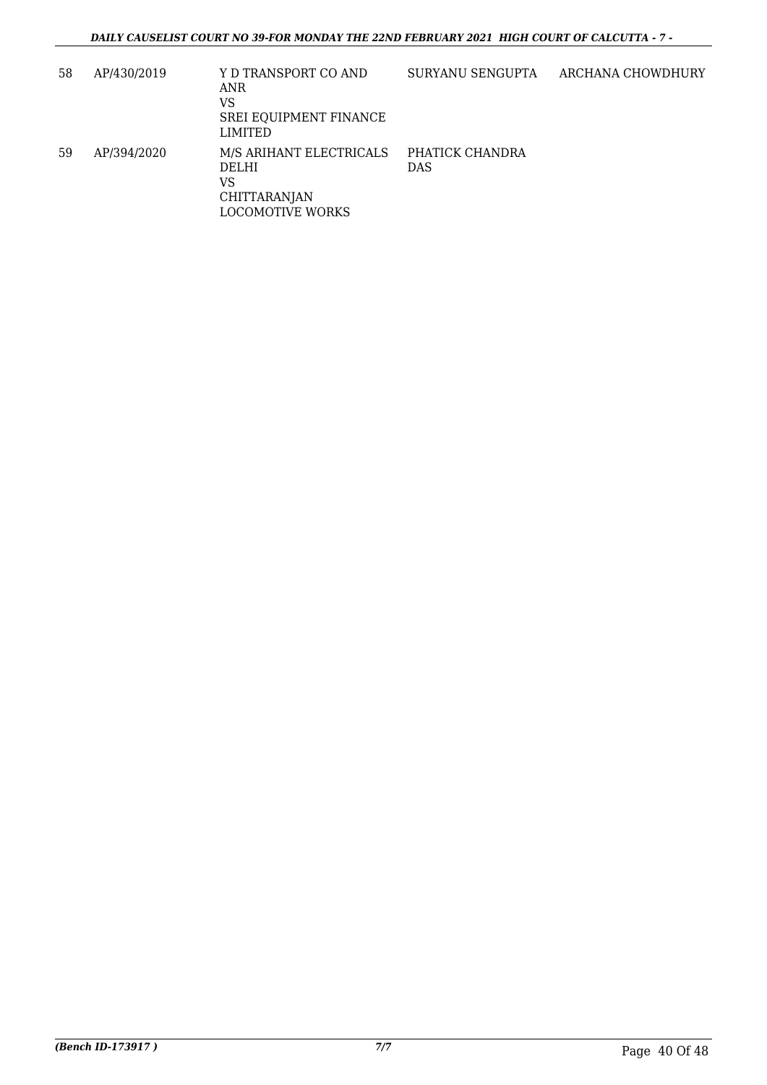| 58 | AP/430/2019 | Y D TRANSPORT CO AND<br>ANR<br>VS<br>SREI EQUIPMENT FINANCE<br>LIMITED                   | SURYANU SENGUPTA              | ARCHANA CHOWDHURY |
|----|-------------|------------------------------------------------------------------------------------------|-------------------------------|-------------------|
| 59 | AP/394/2020 | M/S ARIHANT ELECTRICALS<br>DELHI<br>VS<br><b>CHITTARANJAN</b><br><b>LOCOMOTIVE WORKS</b> | PHATICK CHANDRA<br><b>DAS</b> |                   |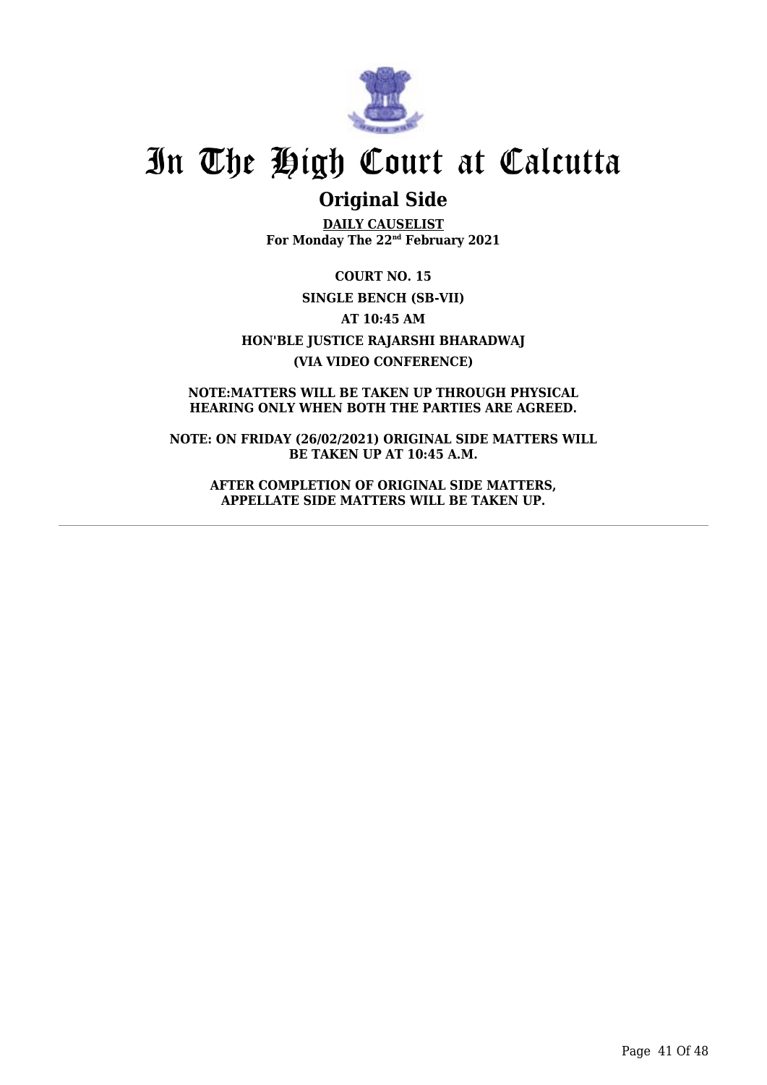

## **Original Side**

**DAILY CAUSELIST For Monday The 22nd February 2021**

**COURT NO. 15 SINGLE BENCH (SB-VII) AT 10:45 AM HON'BLE JUSTICE RAJARSHI BHARADWAJ (VIA VIDEO CONFERENCE)**

**NOTE:MATTERS WILL BE TAKEN UP THROUGH PHYSICAL HEARING ONLY WHEN BOTH THE PARTIES ARE AGREED.**

**NOTE: ON FRIDAY (26/02/2021) ORIGINAL SIDE MATTERS WILL BE TAKEN UP AT 10:45 A.M.**

**AFTER COMPLETION OF ORIGINAL SIDE MATTERS, APPELLATE SIDE MATTERS WILL BE TAKEN UP.**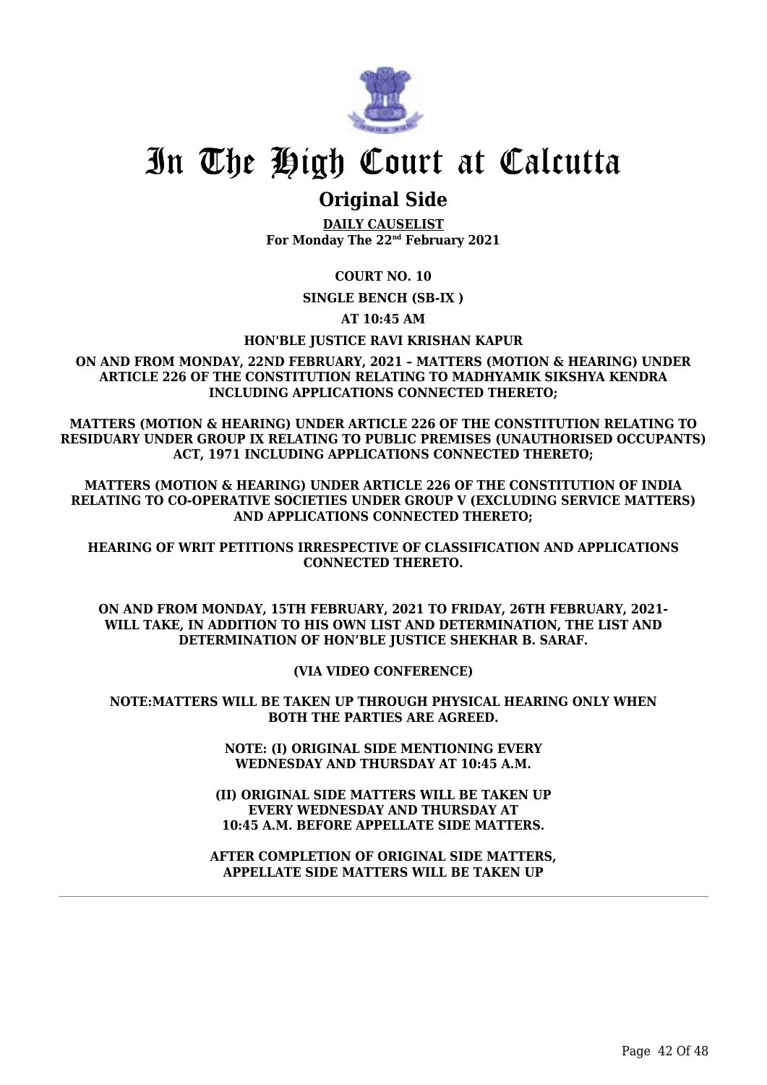

### **Original Side**

**DAILY CAUSELIST For Monday The 22nd February 2021**

**COURT NO. 10**

**SINGLE BENCH (SB-IX )**

**AT 10:45 AM**

#### **HON'BLE JUSTICE RAVI KRISHAN KAPUR**

**ON AND FROM MONDAY, 22ND FEBRUARY, 2021 – MATTERS (MOTION & HEARING) UNDER ARTICLE 226 OF THE CONSTITUTION RELATING TO MADHYAMIK SIKSHYA KENDRA INCLUDING APPLICATIONS CONNECTED THERETO;**

**MATTERS (MOTION & HEARING) UNDER ARTICLE 226 OF THE CONSTITUTION RELATING TO RESIDUARY UNDER GROUP IX RELATING TO PUBLIC PREMISES (UNAUTHORISED OCCUPANTS) ACT, 1971 INCLUDING APPLICATIONS CONNECTED THERETO;**

**MATTERS (MOTION & HEARING) UNDER ARTICLE 226 OF THE CONSTITUTION OF INDIA RELATING TO CO-OPERATIVE SOCIETIES UNDER GROUP V (EXCLUDING SERVICE MATTERS) AND APPLICATIONS CONNECTED THERETO;**

**HEARING OF WRIT PETITIONS IRRESPECTIVE OF CLASSIFICATION AND APPLICATIONS CONNECTED THERETO.**

**ON AND FROM MONDAY, 15TH FEBRUARY, 2021 TO FRIDAY, 26TH FEBRUARY, 2021- WILL TAKE, IN ADDITION TO HIS OWN LIST AND DETERMINATION, THE LIST AND DETERMINATION OF HON'BLE JUSTICE SHEKHAR B. SARAF.**

**(VIA VIDEO CONFERENCE)**

**NOTE:MATTERS WILL BE TAKEN UP THROUGH PHYSICAL HEARING ONLY WHEN BOTH THE PARTIES ARE AGREED.**

> **NOTE: (I) ORIGINAL SIDE MENTIONING EVERY WEDNESDAY AND THURSDAY AT 10:45 A.M.**

**(II) ORIGINAL SIDE MATTERS WILL BE TAKEN UP EVERY WEDNESDAY AND THURSDAY AT 10:45 A.M. BEFORE APPELLATE SIDE MATTERS.**

**AFTER COMPLETION OF ORIGINAL SIDE MATTERS, APPELLATE SIDE MATTERS WILL BE TAKEN UP**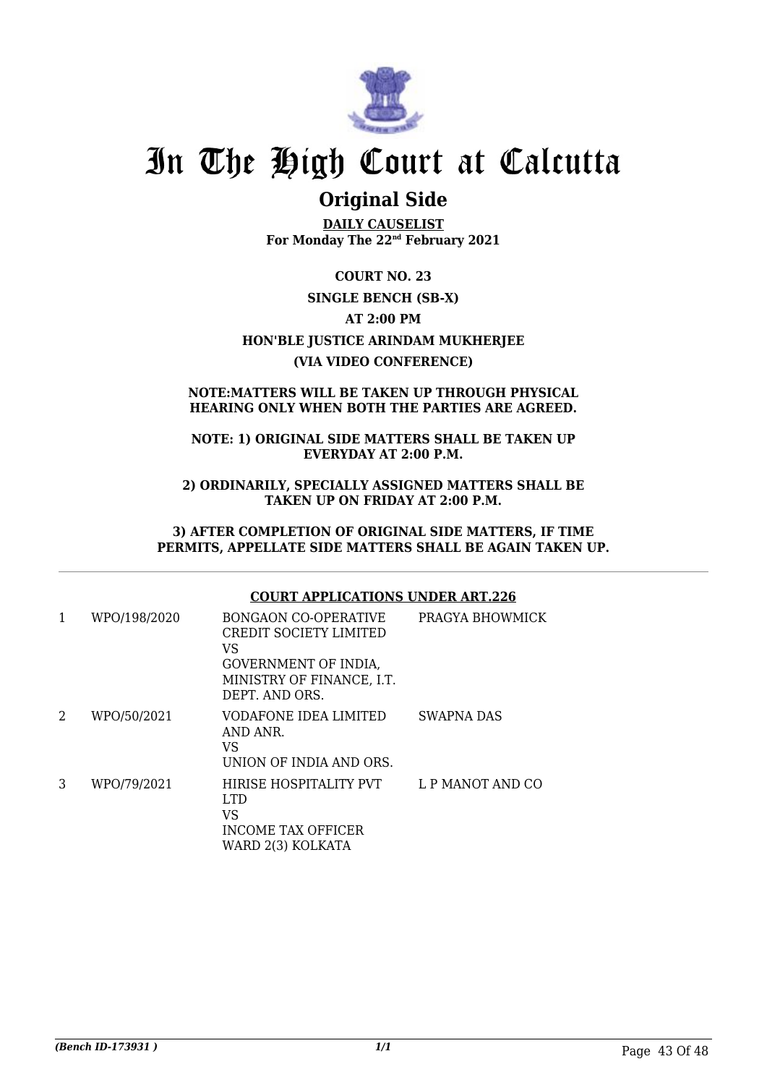

## **Original Side**

**DAILY CAUSELIST For Monday The 22nd February 2021**

**COURT NO. 23 SINGLE BENCH (SB-X) AT 2:00 PM HON'BLE JUSTICE ARINDAM MUKHERJEE (VIA VIDEO CONFERENCE)**

#### **NOTE:MATTERS WILL BE TAKEN UP THROUGH PHYSICAL HEARING ONLY WHEN BOTH THE PARTIES ARE AGREED.**

#### **NOTE: 1) ORIGINAL SIDE MATTERS SHALL BE TAKEN UP EVERYDAY AT 2:00 P.M.**

**2) ORDINARILY, SPECIALLY ASSIGNED MATTERS SHALL BE TAKEN UP ON FRIDAY AT 2:00 P.M.**

**3) AFTER COMPLETION OF ORIGINAL SIDE MATTERS, IF TIME PERMITS, APPELLATE SIDE MATTERS SHALL BE AGAIN TAKEN UP.**

#### **COURT APPLICATIONS UNDER ART.226**

| 1 | WPO/198/2020 | <b>BONGAON CO-OPERATIVE</b><br>CREDIT SOCIETY LIMITED<br>VS<br>GOVERNMENT OF INDIA,<br>MINISTRY OF FINANCE, I.T.<br>DEPT. AND ORS. | PRAGYA BHOWMICK  |
|---|--------------|------------------------------------------------------------------------------------------------------------------------------------|------------------|
| 2 | WPO/50/2021  | VODAFONE IDEA LIMITED<br>AND ANR.<br>VS<br>UNION OF INDIA AND ORS.                                                                 | SWAPNA DAS       |
| 3 | WPO/79/2021  | HIRISE HOSPITALITY PVT<br>LTD.<br>VS<br><b>INCOME TAX OFFICER</b><br>WARD 2(3) KOLKATA                                             | L P MANOT AND CO |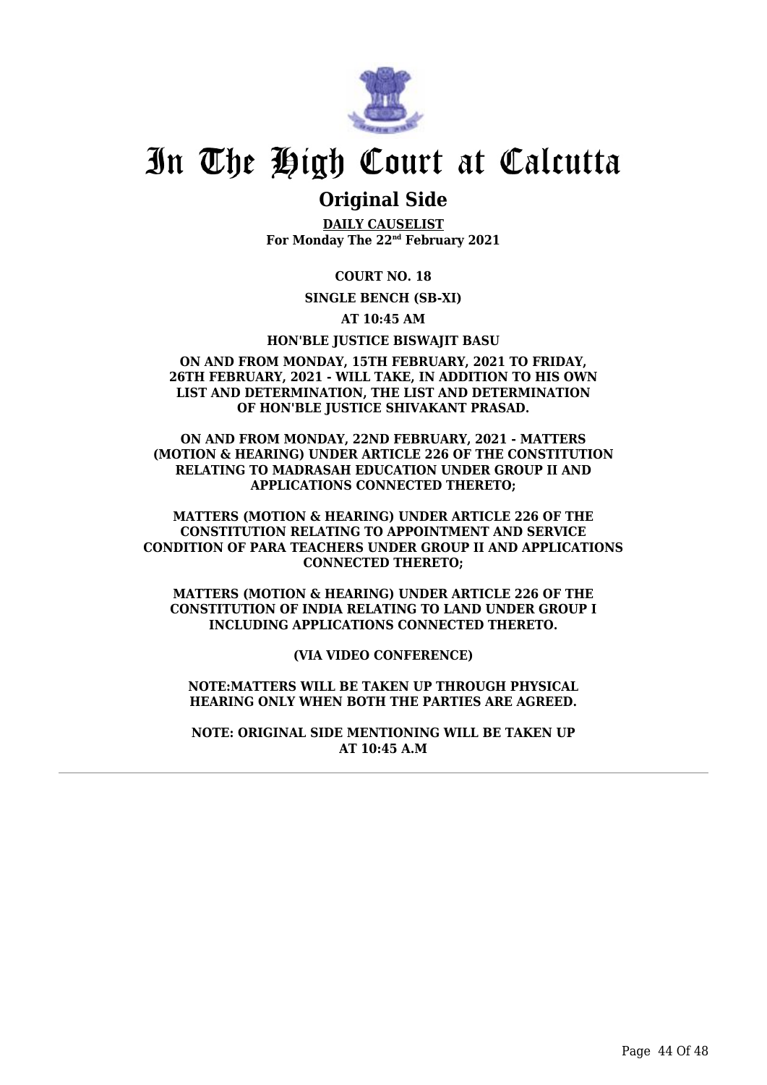

### **Original Side**

**DAILY CAUSELIST For Monday The 22nd February 2021**

**COURT NO. 18**

**SINGLE BENCH (SB-XI)**

**AT 10:45 AM**

**HON'BLE JUSTICE BISWAJIT BASU**

#### **ON AND FROM MONDAY, 15TH FEBRUARY, 2021 TO FRIDAY, 26TH FEBRUARY, 2021 - WILL TAKE, IN ADDITION TO HIS OWN LIST AND DETERMINATION, THE LIST AND DETERMINATION OF HON'BLE JUSTICE SHIVAKANT PRASAD.**

**ON AND FROM MONDAY, 22ND FEBRUARY, 2021 - MATTERS (MOTION & HEARING) UNDER ARTICLE 226 OF THE CONSTITUTION RELATING TO MADRASAH EDUCATION UNDER GROUP II AND APPLICATIONS CONNECTED THERETO;**

**MATTERS (MOTION & HEARING) UNDER ARTICLE 226 OF THE CONSTITUTION RELATING TO APPOINTMENT AND SERVICE CONDITION OF PARA TEACHERS UNDER GROUP II AND APPLICATIONS CONNECTED THERETO;**

**MATTERS (MOTION & HEARING) UNDER ARTICLE 226 OF THE CONSTITUTION OF INDIA RELATING TO LAND UNDER GROUP I INCLUDING APPLICATIONS CONNECTED THERETO.**

**(VIA VIDEO CONFERENCE)**

**NOTE:MATTERS WILL BE TAKEN UP THROUGH PHYSICAL HEARING ONLY WHEN BOTH THE PARTIES ARE AGREED.**

**NOTE: ORIGINAL SIDE MENTIONING WILL BE TAKEN UP AT 10:45 A.M**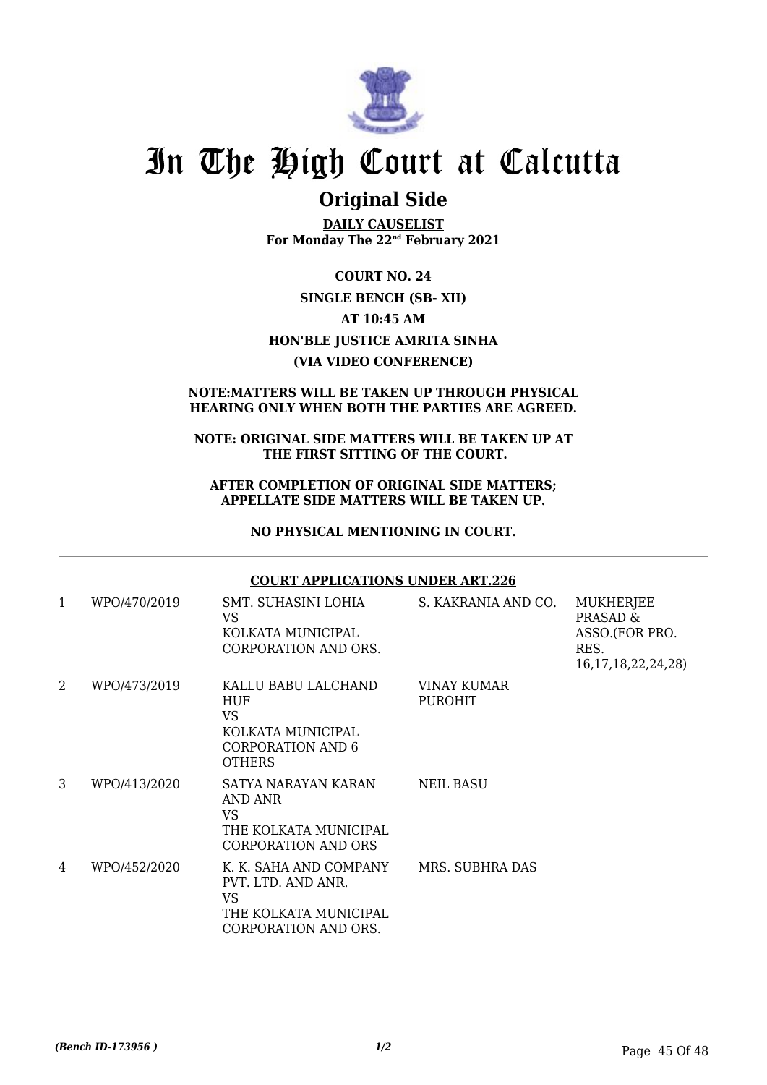

### **Original Side**

**DAILY CAUSELIST For Monday The 22nd February 2021**

**COURT NO. 24 SINGLE BENCH (SB- XII) AT 10:45 AM HON'BLE JUSTICE AMRITA SINHA (VIA VIDEO CONFERENCE)**

#### **NOTE:MATTERS WILL BE TAKEN UP THROUGH PHYSICAL HEARING ONLY WHEN BOTH THE PARTIES ARE AGREED.**

#### **NOTE: ORIGINAL SIDE MATTERS WILL BE TAKEN UP AT THE FIRST SITTING OF THE COURT.**

#### **AFTER COMPLETION OF ORIGINAL SIDE MATTERS; APPELLATE SIDE MATTERS WILL BE TAKEN UP.**

#### **NO PHYSICAL MENTIONING IN COURT.**

#### **COURT APPLICATIONS UNDER ART.226**

| 1 | WPO/470/2019 | SMT. SUHASINI LOHIA<br>VS<br>KOLKATA MUNICIPAL<br><b>CORPORATION AND ORS.</b>                              | S. KAKRANIA AND CO.           | MUKHERJEE<br>PRASAD &<br>ASSO.(FOR PRO.<br>RES.<br>16, 17, 18, 22, 24, 28) |
|---|--------------|------------------------------------------------------------------------------------------------------------|-------------------------------|----------------------------------------------------------------------------|
| 2 | WPO/473/2019 | KALLU BABU LALCHAND<br>HUF<br>VS<br>KOLKATA MUNICIPAL<br>CORPORATION AND 6<br><b>OTHERS</b>                | VINAY KUMAR<br><b>PUROHIT</b> |                                                                            |
| 3 | WPO/413/2020 | SATYA NARAYAN KARAN<br>AND ANR<br>VS.<br>THE KOLKATA MUNICIPAL<br>CORPORATION AND ORS                      | <b>NEIL BASU</b>              |                                                                            |
| 4 | WPO/452/2020 | K. K. SAHA AND COMPANY<br>PVT. LTD. AND ANR.<br><b>VS</b><br>THE KOLKATA MUNICIPAL<br>CORPORATION AND ORS. | MRS. SUBHRA DAS               |                                                                            |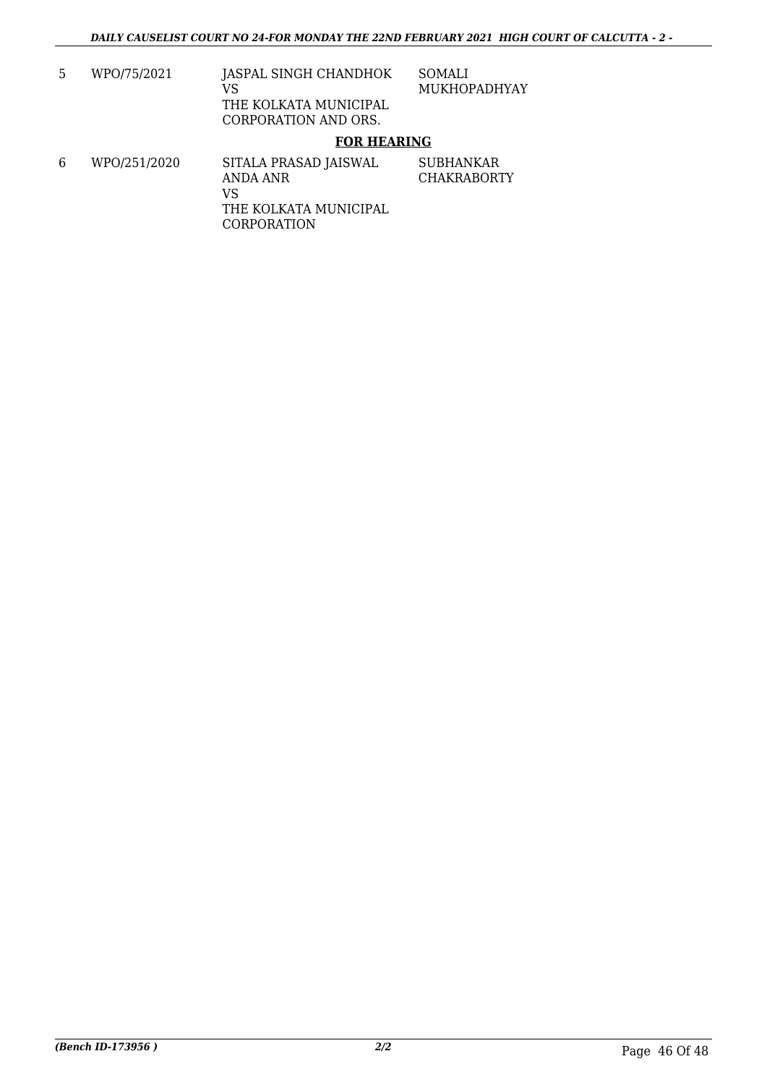5 WPO/75/2021 JASPAL SINGH CHANDHOK VS THE KOLKATA MUNICIPAL CORPORATION AND ORS. SOMALI MUKHOPADHYAY

#### **FOR HEARING**

6 WPO/251/2020 SITALA PRASAD JAISWAL ANDA ANR VS THE KOLKATA MUNICIPAL CORPORATION SUBHANKAR CHAKRABORTY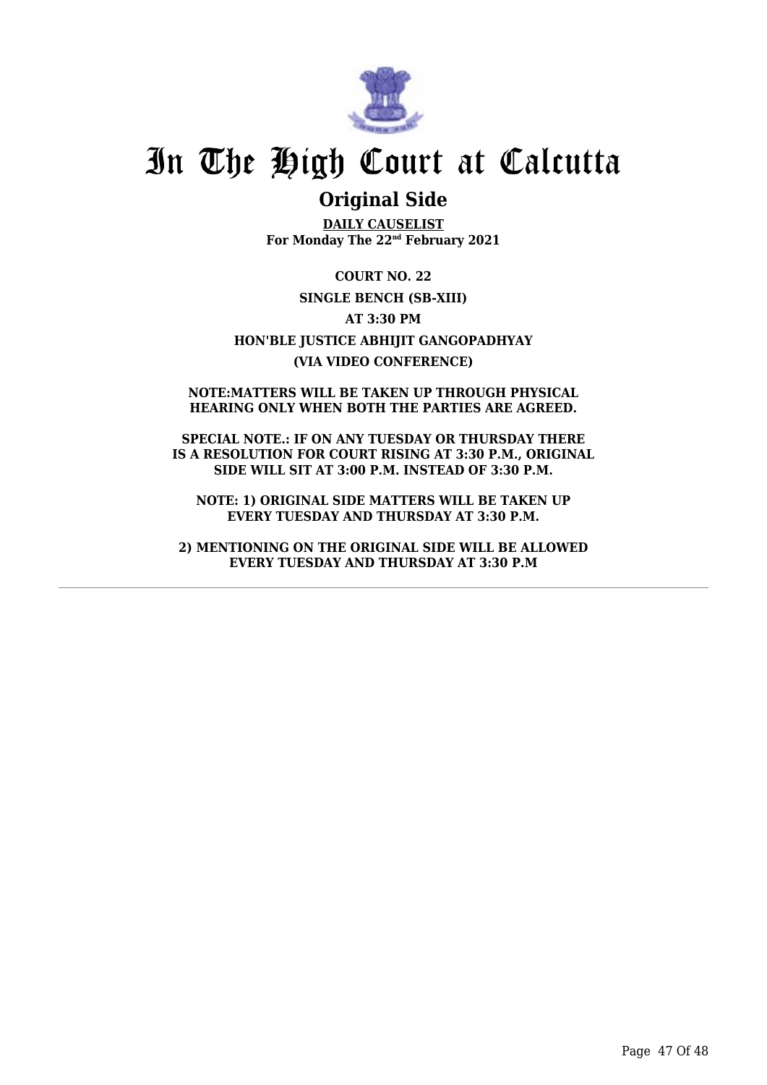

### **Original Side**

**DAILY CAUSELIST For Monday The 22nd February 2021**

**COURT NO. 22 SINGLE BENCH (SB-XIII) AT 3:30 PM HON'BLE JUSTICE ABHIJIT GANGOPADHYAY (VIA VIDEO CONFERENCE)**

**NOTE:MATTERS WILL BE TAKEN UP THROUGH PHYSICAL HEARING ONLY WHEN BOTH THE PARTIES ARE AGREED.**

**SPECIAL NOTE.: IF ON ANY TUESDAY OR THURSDAY THERE IS A RESOLUTION FOR COURT RISING AT 3:30 P.M., ORIGINAL SIDE WILL SIT AT 3:00 P.M. INSTEAD OF 3:30 P.M.**

**NOTE: 1) ORIGINAL SIDE MATTERS WILL BE TAKEN UP EVERY TUESDAY AND THURSDAY AT 3:30 P.M.**

**2) MENTIONING ON THE ORIGINAL SIDE WILL BE ALLOWED EVERY TUESDAY AND THURSDAY AT 3:30 P.M**